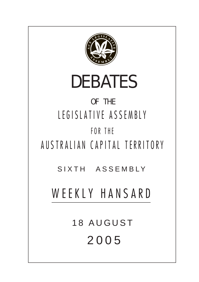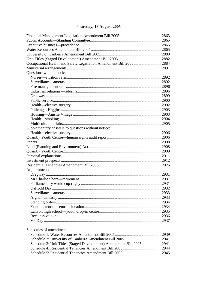# Thursday, 18 August 2005

| Occupational Health and Safety Legislation Amendment Bill 2005 2884   |  |
|-----------------------------------------------------------------------|--|
|                                                                       |  |
| Questions without notice:                                             |  |
|                                                                       |  |
|                                                                       |  |
|                                                                       |  |
|                                                                       |  |
|                                                                       |  |
|                                                                       |  |
|                                                                       |  |
|                                                                       |  |
|                                                                       |  |
|                                                                       |  |
|                                                                       |  |
| Supplementary answers to questions without notice:                    |  |
|                                                                       |  |
|                                                                       |  |
|                                                                       |  |
|                                                                       |  |
|                                                                       |  |
|                                                                       |  |
|                                                                       |  |
|                                                                       |  |
| Adjournment:                                                          |  |
|                                                                       |  |
|                                                                       |  |
|                                                                       |  |
|                                                                       |  |
|                                                                       |  |
|                                                                       |  |
|                                                                       |  |
|                                                                       |  |
|                                                                       |  |
|                                                                       |  |
|                                                                       |  |
|                                                                       |  |
| Schedules of amendments:                                              |  |
|                                                                       |  |
|                                                                       |  |
| Schedule 3: Unit Titles (Staged Development) Amendment Bill 2005 2941 |  |
|                                                                       |  |
|                                                                       |  |
|                                                                       |  |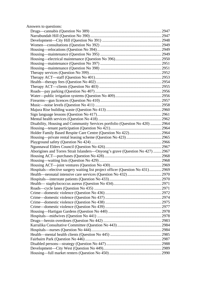| Answers to questions:                                                          |  |
|--------------------------------------------------------------------------------|--|
|                                                                                |  |
|                                                                                |  |
|                                                                                |  |
|                                                                                |  |
|                                                                                |  |
|                                                                                |  |
|                                                                                |  |
|                                                                                |  |
|                                                                                |  |
|                                                                                |  |
|                                                                                |  |
|                                                                                |  |
|                                                                                |  |
|                                                                                |  |
|                                                                                |  |
|                                                                                |  |
|                                                                                |  |
|                                                                                |  |
|                                                                                |  |
|                                                                                |  |
| Disability, Housing and Community Services portfolio (Question No 420)  2964   |  |
|                                                                                |  |
|                                                                                |  |
|                                                                                |  |
|                                                                                |  |
|                                                                                |  |
| Aborigines and Torres Strait Islanders—Onyong's grave (Question No 427)  2967  |  |
|                                                                                |  |
|                                                                                |  |
|                                                                                |  |
| Hospitals—elective surgery waiting list project officer (Question No 431) 2969 |  |
|                                                                                |  |
|                                                                                |  |
|                                                                                |  |
|                                                                                |  |
|                                                                                |  |
|                                                                                |  |
|                                                                                |  |
|                                                                                |  |
|                                                                                |  |
|                                                                                |  |
|                                                                                |  |
|                                                                                |  |
|                                                                                |  |
|                                                                                |  |
|                                                                                |  |
|                                                                                |  |
|                                                                                |  |
|                                                                                |  |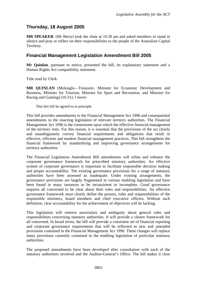# <span id="page-4-0"></span>**Thursday, 18 August 2005**

**MR SPEAKER**: (Mr Berry) took the chair at 10.30 am and asked members to stand in silence and pray or reflect on their responsibilities to the people of the Australian Capital Territory.

## **Financial Management Legislation Amendment Bill 2005**

**Mr Quinlan**, pursuant to notice, presented the bill, its explanatory statement and a Human Rights Act compatibility statement.

Title read by Clerk.

**MR QUINLAN** (Molonglo—Treasurer, Minister for Economic Development and Business, Minister for Tourism, Minister for Sport and Recreation, and Minister for Racing and Gaming) (10.31): I move:

That this bill be agreed to in principle.

This bill provides amendments to the Financial Management Act 1996 and consequential amendments to the enacting legislation of relevant territory authorities. The Financial Management Act 1996 is the cornerstone upon which the effective financial management of the territory rests. For this reason, it is essential that the provisions of the act clearly and unambiguously convey financial requirements and obligations that result in effective, efficient and modern financial management practices. This bill strengthens the financial framework by standardising and improving governance arrangements for territory authorities.

The Financial Legislation Amendment Bill amendments will refine and enhance the corporate governance framework for prescribed statutory authorities. An effective system of corporate governance is important to facilitate responsible decision making and proper accountability. The existing governance provisions for a range of statutory authorities have been assessed as inadequate. Under existing arrangements, the governance provisions are largely fragmented in various enabling legislation and have been found in many instances to be inconsistent or incomplete. Good governance requires all concerned to be clear about their roles and responsibilities. An effective governance framework must clearly define the powers, roles and responsibilities of the responsible ministers, board members and chief executive officers. Without such definition, clear accountability for the achievement of objectives will be lacking.

This legislation will remove uncertainty and ambiguity about general roles and responsibilities concerning statutory authorities. It will provide a clearer framework for all concerned. In broad terms, the bill will provide a consistent set of financial reporting and corporate governance requirements that will be reflected in new and amended provisions contained in the Financial Management Act 1996. These changes will replace many provisions currently contained in the enabling legislation of particular statutory authorities.

The proposed amendments have been developed after consultation with each of the statutory authorities involved and the Auditor-General's Office. The bill makes it clear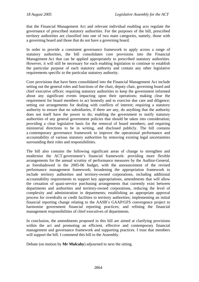that the Financial Management Act and relevant individual enabling acts regulate the governance of prescribed statutory authorities. For the purposes of the bill, prescribed territory authorities are classified into one of two main categories, namely, those with a governing board and those that do not have a governing board.

In order to provide a consistent governance framework to apply across a range of statutory authorities, the bill consolidates core provisions into the Financial Management Act that can be applied appropriately to prescribed statutory authorities. However, it will still be necessary for each enabling legislation to continue to establish the particular purpose of each statutory authority and contain any other legislative requirements specific to the particular statutory authority.

Core provisions that have been consolidated into the Financial Management Act include setting out the general roles and functions of the chair, deputy chair, governing board and chief executive officer; requiring statutory authorities to keep the government informed about any significant events impacting upon their operations; making clear the requirement for board members to act honestly and to exercise due care and diligence; setting out arrangements for dealing with conflicts of interest; requiring a statutory authority to ensure that no subsidiaries, if there are any, do anything that the authority does not itself have the power to do; enabling the government to notify statutory authorities of any general government policies that should be taken into consideration; providing a clear legislative basis for the removal of board members; and requiring ministerial directions to be in writing, and disclosed publicly. The bill contains a contemporary governance framework to improve the operational performance and accountability of various statutory authorities by removing existing legal uncertainties surrounding their roles and responsibilities.

The bill also contains the following significant areas of change to strengthen and modernise the ACT government's financial framework: providing more flexible arrangements for the annual scrutiny of performance measures by the Auditor-General, as foreshadowed in the 2005-06 budget, with the announcement of the revised performance management framework; broadening the appropriation framework to include territory authorities and territory-owned corporations, including additional accountability requirements to support key appropriations, amendments that will allow the cessation of quasi-service purchasing arrangements that currently exist between departments and authorities and territory-owned corporations, reducing the level of complexity and administration in departments; establishing an appropriate approval process for overdrafts or credit facilities to territory authorities; implementing an initial financial reporting change relating to the AASB's GAAP/GFS convergence project to harmonise government financial reporting practices; and refining the financial management responsibilities of chief executives of departments.

In conclusion, the amendments proposed in this bill are aimed at clarifying provisions within the act and promoting an efficient, effective and contemporary financial management and governance framework and supporting practices. I trust that members will support the bill. I commend this bill to the Assembly.

Debate (on motion by **Mr Mulcahy**) adjourned to next the sitting.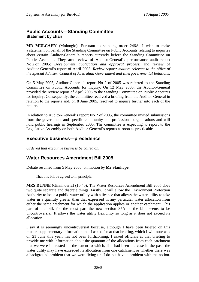## <span id="page-6-0"></span>**Public Accounts—Standing Committee Statement by chair**

**MR MULCAHY** (Molonglo): Pursuant to standing order 246A, I wish to make a statement on behalf of the Standing Committee on Public Accounts relating to inquiries about certain Auditor-General's reports currently before the Standing Committee on Public Accounts. They are: review of Auditor-General's performance audit report No 2 of 2005: *Development application and approval process*; and review of Auditor-General's report of April 2005: *Review report: matters relevant to the office of the Special Adviser, Council of Australian Government and Intergovernmental Relations*.

On 5 May 2005, Auditor-General's report No 2 of 2005 was referred to the Standing Committee on Public Accounts for inquiry. On 12 May 2005, the Auditor-General provided the review report of April 2005 to the Standing Committee on Public Accounts for inquiry. Consequently, the committee received a briefing from the Auditor-General in relation to the reports and, on 8 June 2005, resolved to inquire further into each of the reports.

In relation to Auditor-General's report No 2 of 2005, the committee invited submissions from the government and specific community and professional organisations and will hold public hearings in September 2005. The committee is expecting to report to the Legislative Assembly on both Auditor-General's reports as soon as practicable.

## **Executive business—precedence**

*Ordered that executive business be called on.* 

## **Water Resources Amendment Bill 2005**

Debate resumed from 5 May 2005, on motion by **Mr Stanhope**:

That this bill be agreed to in principle.

**MRS DUNNE** (Ginninderra) (10.40): The Water Resources Amendment Bill 2005 does two quite separate and discrete things. Firstly, it will allow the Environment Protection Authority to issue a public water utility with a licence that allows the water utility to take water in a quantity greater than that expressed in any particular water allocation from either the same catchment for which the application applies or another catchment. This part of the bill, for the most part the new section 35A of the bill, seems to be uncontroversial. It allows the water utility flexibility so long as it does not exceed its allocation.

I say it is seemingly uncontroversial because, although I have been briefed on this matter, supplementary information that I asked for at that briefing, which I will note was on 21 June this year, has not been forthcoming. I asked officials at that briefing to provide me with information about the quantum of the allocations from each catchment that we were interested in; the extent to which, if it had been the case in the past, the water utility may have exceeded its allocation from one catchment or whether there was a background problem that we were fixing up. I do not have a problem with the notion.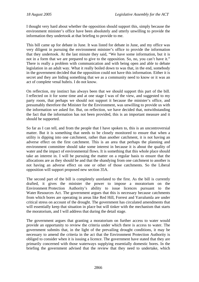I thought very hard about whether the opposition should support this, simply because the environment minister's office have been absolutely and utterly unwilling to provide the information they undertook at that briefing to provide to me.

This bill came up for debate in June. It was listed for debate in June, and my office was very diligent in pursuing the environment minister's office to provide the information that they undertook. At the last minute they said, "We have some information, but it is not in a form that we are prepared to give to the opposition. So, no, you can't have it." There is really a problem with communication and with being open and able to debate legislation in an adult way. What it really boiled down to was that, in the end, somebody in the government decided that the opposition could not have this information. Either it is secret and they are hiding something that we as a community need to know or it was an act of complete venal hubris. I do not know.

On reflection, my instinct has always been that we should support this part of the bill. I reflected on it for some time and at one stage I was of the view, and suggested to my party room, that perhaps we should not support it because the minister's office, and presumably therefore the Minister for the Environment, was unwilling to provide us with the information we asked for. But, on reflection, we have decided that, notwithstanding the fact that the information has not been provided, this is an important measure and it should be supported.

So far as I can tell, and from the people that I have spoken to, this is an uncontroversial matter. But it is something that needs to be closely monitored to ensure that when a utility is dipping into one catchment, rather than another catchment, it is not having an adverse effect on the first catchment. This is an area that perhaps the planning and environment committee should take some interest in because it is about the quality of water and the impact of environmental flows. It is something that this whole place should take an interest in. I will be pursuing the matter on a regular basis to ensure that the allocations are as they should be and that the shandying from one catchment to another is not having an adverse effect on one or other of those catchments. So the Liberal opposition will support proposed new section 35A.

The second part of the bill is completely unrelated to the first. As the bill is currently drafted, it gives the minister the power to impose a moratorium on the Environment Protection Authority's ability to issue licences pursuant to the Water Resources Act. The government argues that this is necessary because catchments from which bores are operating in areas like Red Hill, Forrest and Yarralumla are under critical stress on account of the drought. The government has circulated amendments that will essentially keep that situation in place but will tinker with the mechanism that starts the moratorium, and I will address that during the detail stage.

The government argues that granting a moratorium on further access to water would provide an opportunity to review the criteria under which there is access to water. The government submits that, in the light of the prevailing drought conditions, it may be necessary to amend the criteria in the act that the Environment Protection Authority is obliged to consider when it is issuing a licence. The government have stated that they are primarily concerned with those waterways supplying essentially domestic bores. In the briefing the government advised that the review that they need to undertake, which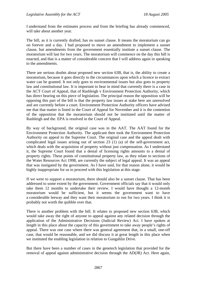I understand from the estimates process and from the briefing has already commenced, will take about another year.

The bill, as it is currently drafted, has no sunset clause. It means the moratorium can go on forever and a day. I had proposed to move an amendment to implement a sunset clause, but amendments from the government essentially institute a sunset clause. The moratorium will last for two years. The moratorium will commence on the day this bill is enacted, and that is a matter of considerable concern that I will address again in speaking to the amendments.

There are serious doubts about proposed new section 63B, that is, the ability to create a moratorium, because it goes directly to the circumstances upon which a licence to extract water can be granted. It not only goes to environmental issues but also goes to property law and constitutional law. It is important to bear in mind that currently there is a case in the ACT Court of Appeal, that of Rashleigh v Environment Protection Authority, which has direct bearing on this piece of legislation. The principal reason the opposition will be opposing this part of the bill is that the property law issues at stake here are unresolved and are currently before a court. Environment Protection Authority officers have advised me that that matter is listed in the Court of Appeal for November and it is the contention of the opposition that the moratorium should not be instituted until the matter of Rashleigh and the. EPA is resolved in the Court of Appeal.

By way of background, the original case was in the AAT. The AAT found for the Environment Protection Authority. The applicant then took the Environment Protection Authority on appeal to the Supreme Court. The original case and the appeal dealt with complicated legal issues arising out of section 23 (1) (a) of the self-government act, which deals with the acquisition of property without just compensation. As I understand it, the Supreme Court found that a denial of licensing rights amounts to a denial of property rights. These points of constitutional property law, as they relate to sections of the Water Resources Act 1998, are currently the subject of legal appeal. It was an appeal that was instigated by the government. As I have said, for that reason alone, it would be highly inappropriate for us to proceed with this legislation at this stage.

If we were to support a moratorium, there should also be a sunset clause. That has been addressed to some extent by the government. Government officials say that it would only take them 12 months to undertake their review. I would have thought a 12-month moratorium would be sufficient, but it seems the government want to have a considerable leeway and they want their moratorium to run for two years. I think it is probably not worth the quibble over that.

There is another problem with the bill. It relates to proposed new section 63B, which would take away the right of anyone to appeal against any related decision through the application of the Administrative Decisions (Judicial Review) Act. I have spoken at length in this place about the capacity of this government to take away people's rights of appeal. There was one case where there was general agreement that, in a small, one-off case, that would be reasonable, and we did discuss it at great length in this place when we instituted the enabling legislation in relation to Gungahlin Drive.

But there have been a number of cases in the genetech legislation that provided for the removal of appeal against administrative decision through the AD(JR) Act. Here again,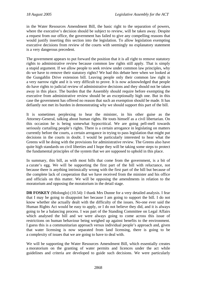in the Water Resources Amendment Bill, the basic right to the separation of powers, where the executive's decision should be subject to review, will be taken away. Despite a request from our office, the government has failed to give any compelling reasons that would justify inserting this section into the legislation. To allow legislation exempting executive decisions from review of the courts with seemingly no explanatory statement is a very dangerous precedent.

The government appears to put forward the position that it is all right to remove statutory rights to administrative review because common law rights still apply. That is simply a stupid argument. If we allow people to seek review under common law principles, why do we have to remove their statutory rights? We had this debate here when we looked at the Gungahlin Drive extension bill. Leaving people only their common law right is a very narrow right and it is very difficult to prove. It is now acknowledged that people do have rights to judicial review of administrative decisions and they should not be taken away in this place. The burden that the Assembly should require before exempting the executive from administrative review should be an exceptionally high one. But in this case the government has offered no reason that such an exemption should be made. It has defiantly not met its burden in demonstrating why we should support this part of the bill.

It is sometimes perplexing to hear the minister, in his other guise as the Attorney-General, talking about human rights. He touts himself as a civil libertarian. On this occasion he is being somewhat hypocritical. We are going pell-mell towards seriously curtailing people's rights. There is a certain arrogance in legislating on matters currently before the courts, a certain arrogance in trying to pass legislation that might put decisions in the courts in doubt. I would be particularly interested to hear what the Greens will be doing with the provisions for administrative review. The Greens also have quite high standards on civil liberties and I hope they will be taking some steps to protect the fundamental principles of the system that we are supposed to uphold in this place.

In summary, this bill, as with most bills that come from the government, is a bit of a curate's egg. We will be supporting the first part of the bill with reluctance, not because there is anything intrinsically wrong with the first part of the bill but because of the complete lack of cooperation that we have received from the minister and his office and officials on this matter. We will be opposing the amendments in relation to the moratorium and opposing the moratorium in the detail stage.

**DR FOSKEY** (Molonglo) (10.54): I thank Mrs Dunne for a very detailed analysis. I fear that I may be going to disappoint her because I am going to support the bill. I do not know whether she actually dealt with the difficulty of the issues. No-one ever said the Human Rights Act would be easy to apply, or I do not believe they did, and it is always going to be a balancing process. I was part of the Standing Committee on Legal Affairs which analysed the bill and we were always going to come across this issue of restrictions on human behaviour being weighed up against benefits to the environment. I guess this is a communitarian approach versus individual people's approach and, given that water licensing is now separated from land licensing, there is going to be a complexity of issues that we are going to have to deal with.

We will be supporting the Water Resources Amendment Bill, which essentially creates a moratorium on the granting of water permits and licences under the act while guidelines and criteria are developed to guide such decisions. We were particularly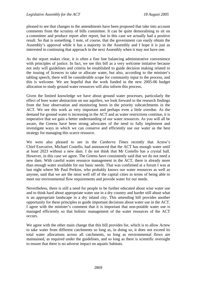pleased to see that changes to the amendments have been proposed that take into account comments from the scrutiny of bills committee. It can be quite demoralising to sit on a committee and produce report after report, but in this case we actually had a positive result. So that is something. I note, of course, that the government can easily obtain the Assembly's approval while it has a majority in the Assembly and I hope it is just as interested in continuing that approach in the next Assembly when it may not have one.

As the report makes clear, it is often a fine line balancing administrative convenience with principles of justice. In fact, we see this bill as a very welcome initiative because not only will guidelines and criteria be established to guide decision making related to the issuing of licences to take or allocate water, but also, according to the minister's tabling speech, there will be considerable scope for community input to the process, and this is welcome. We are hopeful that the work funded in the new 2005-06 budget allocation to study ground water resources will also inform this process.

Given the limited knowledge we have about ground water processes, particularly the effect of bore water abstraction on our aquifers, we look forward to the research findings from the four observation and monitoring bores in the priority subcatchments in the ACT. We see this work as very important and perhaps even a little overdue. As the demand for ground water is increasing in the ACT and as water restrictions continue, it is imperative that we gain a better understanding of our water resources. As you will all be aware, the Greens have been strong advocates of the need to fully implement and investigate ways in which we can conserve and efficiently use our water as the best strategy for managing this scarce resource.

We were also pleased to see in the *Canberra Times* recently that Actew's Chief Executive, Michael Costello, had announced that the ACT has enough water until at least 2023 without a new dam. I do not think that Mr Costello has a crystal ball. However, in this case we agree. The Greens have consistently said that we do not need a new dam. With careful water resource management in the ACT, there is already more than enough water available for our basic needs. That was confirmed at a forum I was at last night where Mr Paul Perkins, who probably knows our water resources as well as anyone, said that we are the most well off of the capital cities in terms of being able to meet our environmental flow requirements and provide water for our needs.

Nevertheless, there is still a need for people to be further educated about wise water use and to think hard about appropriate water use in a dry country and harder still about what is an appropriate landscape in a dry inland city. This amending bill provides another opportunity for these principles to guide important decisions about water use in the ACT. I agree with the minister's comment that it is important that non-potable water use is managed efficiently so that holistic management of the water resources of the ACT occurs.

We agree with the other main change that this bill provides for, which is to allow Actew to take water from different catchments so long as, in doing so, it does not exceed its total water allocations across all catchments, so long as environmental flows are maintained, as required under the guidelines, and so long as there is scientific oversight to ensure that there is no adverse impact on aquatic habitats.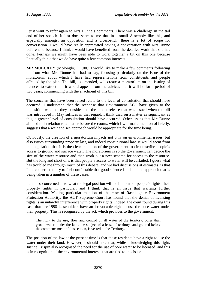I just want to refer again to Mrs Dunne's comments. There was a challenge in the tail end of her speech. It just does seem to me that in a small Assembly like this, and especially amongst an opposition and a crossbench, there is a lot of scope for conversation. I would have really appreciated having a conversation with Mrs Dunne beforehand because I think I would have benefited from the detailed work that she has done. Perhaps we might have been able to work together a bit on this one because I actually think that we do have quite a few common interests.

**MR MULCAHY** (Molonglo) (11.00): I would like to make a few comments following on from what Mrs Dunne has had to say, focusing particularly on the issue of the moratorium about which I have had representations from constituents and people affected by the plan. The bill, as amended, will create a moratorium on the issuing of licences to extract and it would appear from the advices that it will be for a period of two years, commencing with the enactment of this bill.

The concerns that have been raised relate to the level of consultation that should have occurred. I understand that the response that Environment ACT have given to the opposition was that they consider that the media release that was issued when the bill was introduced in May suffices in that regard. I think that, on a matter as significant as this, a greater level of consultation should have occurred. Other issues that Mrs Dunne alluded to in relation to a matter before the courts, which I will make mention of briefly, suggests that a wait and see approach would be appropriate for the time being.

Obviously, the creation of a moratorium impacts not only on environmental issues, but also issues surrounding property law, and indeed constitutional law. It would seem from this legislation that it is the clear intention of the government to circumscribe people's access to ground and surface water. The moratorium is so the government can decide the size of the water resource and then work out a new scheme for access to the resource. But the long and short of it is that people's access to water will be curtailed. I guess what has troubled me through much of this debate, and we had discussions at estimates, is that I am concerned to try to feel comfortable that good science is behind the approach that is being taken in a number of these cases.

I am also concerned as to what the legal position will be in terms of people's rights, their property rights in particular, and I think that is an issue that warrants further consideration. Making particular mention of the case of Rashleigh v Environment Protection Authority, the ACT Supreme Court has found that the denial of licensing rights is an unlawful interference with property rights. Indeed, the court found during this case that pre-1998 leaseholders have an irrevocable right to use the bore water under their property. This is recognised by the act, which provides to the government:

The right to the use, flow and control of all water of the territory, other than groundwater, under the land, the subject of a lease of territory land granted before the commencement of this section, is vested in the Territory.

The position of the law at the present time is that these residents have a right to use the water under their land. However, I should note that, while acknowledging this right, Justice Crispin also recognised the need for the use of bore water to be licensed, and this is in recognition of the environmental interests that are tied to this issue.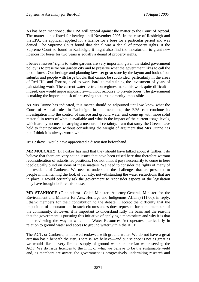As has been mentioned, the EPA will appeal against the matter to the Court of Appeal. The matter is not listed for hearing until November 2005. In the case of Rashleigh and the EPA, the applicant applied for a licence for a bore for a particular period and was denied. The Supreme Court found that denial was a denial of property rights. If the Supreme Court so found in Rashleigh, it might also find the moratorium to grant new licences for bores for two years is equally a denial of property rights.

I believe lessees' rights to water gardens are very important, given the stated government policy is to preserve our garden city and to preserve what the government likes to call the urban forest. Our heritage and planning laws set great store by the layout and look of our suburbs and people with large blocks that cannot be subdivided, particularly in the areas of Red Hill and Forrest, need to work hard at maintaining the investment of years of painstaking work. The current water restriction regimes make this work quite difficult indeed, one would argue impossible—without recourse to private bores. The government is making the important task of preserving that urban amenity impossible.

As Mrs Dunne has indicated, this matter should be adjourned until we know what the Court of Appeal rules in Rashleigh. In the meantime, the EPA can continue its investigation into the control of surface and ground water and come up with more solid material in terms of what is available and what is the impact of the current usage levels, which are by no means carrying a measure of certainty. I am that sorry the Greens have held to their position without considering the weight of argument that Mrs Dunne has put. I think it is always worth while—

**Dr Foskey**: I would have appreciated a discussion beforehand.

**MR MULCAHY**: Dr Foskey has said that they should have talked about it further. I do believe that there are very sound issues that have been raised here that therefore warrant reconsideration of established positions. I do not think it pays necessarily to come in here ideologically blind on some of these matters. We need to consider the rights of many of the residents of Canberra. We need to understand the challenges that are presented to people in maintaining the look of our city, notwithstanding the water restrictions that are in place. I would certainly ask the government to reconsider aspects of the legislation they have brought before this house.

**MR STANHOPE** (Ginninderra—Chief Minister, Attorney-General, Minister for the Environment and Minister for Arts, Heritage and Indigenous Affairs) (11.06), in reply: I thank members for their contribution to the debate. I accept the difficulty that the imposition of a moratorium in such circumstances does represent for some members of the community. However, it is important to understand fully the basis and the reasons that the government is pursuing this initiative of applying a moratorium and why it is that it is reviewing the way in which the Water Resources Act operates, particularly in relation to ground water and access to ground water within the ACT.

The ACT, or Canberra, is not well-endowed with ground water. We do not have a great artesian basin beneath the city. There is, we believe—and our science is not as great as we would like—a very limited supply of ground water or artesian water serving the ACT. We do issue licences to the limit of what we believe to be the sustainable yield and, as members are aware, the government is progressively undertaking research and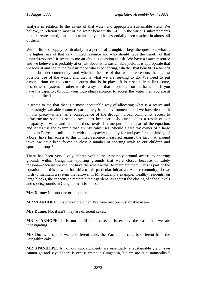analysis in relation to the extent of that water and appropriate sustainable yield. We believe, in relation to most of the water beneath the ACT in the various subcatchments that are represented, that that sustainable yield has essentially been reached in almost all of them.

With a limited supply, particularly in a period of drought, it begs the question: what is the highest use of that very limited resource and who should have the benefit of that limited resource? It seems to me an obvious question to ask. We have a water resource and we believe it is probably at or just about at its sustainable yield. It is appropriate that we look at and see in the first instance who is benefiting, whether that benefit is a benefit to the broader community, and whether the use of that water represents the highest possible use of the water, and that is what we are seeking to do. We need to put a moratorium on the current system that is in place. It is essentially a first come, best-dressed system, in other words, a system that is operated on the basis that if you have the capacity, through your individual resource, to access the water then you are at the top of the list.

It seems to me that that is a most inequitable way of allocating what is a scarce and increasingly valuable resource, particularly in an environment—and we have debated it in this place—where, as a consequence of the drought, broad community access to infrastructure such as school ovals has been seriously curtailed as a result of our incapacity to water and maintain those ovals. Let me put another part of the equation, and let us use the example that Mr Mulcahy uses. Should a wealthy owner of a large block in Forrest, a millionaire with the capacity to apply for and pay for the sinking of a bore, have his access to this limited resource measured against the fact that, around town, we have been forced to close a number of sporting ovals to our children and sporting groups?

There has been very lively debate within the Assembly around access to sporting grounds within Gungahlin—sporting grounds that were closed because of safety reasons—because we did not have the wherewithal to maintain them. This is part of the equation and this is what has driven this particular initiative. As a community, do we wish to maintain a system that allows, in Mr Mulcahy's example, wealthy residents, on large blocks, the capacity to maintain their gardens, as against the closing of school ovals and sportsgrounds in Gungahlin? It is an issue—

**Mrs Dunne**: It is not one or the other.

**MR STANHOPE**: It is one or the other. We have met our sustainable use—

**Mrs Dunne**: No, it isn't; they are different cakes.

**MR STANHOPE**: It is not a different case: it is exactly the case that we are investigating.

**Mrs Dunne**: I said it was a different cake; the Yarralumla cake is different from the Gungahlin cake.

**MR STANHOPE**: All of our subcatchments are essentially at sustainable yield. You cannot go and say; "There is excess water in Gungahlin, but we are at sustainability."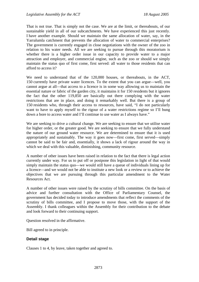That is not true. That is simply not the case. We are at the limit, or thereabouts, of our sustainable yield in all of our subcatchments. We have experienced this just recently. I have another example. Should we maintain the same allocation of water, say, in the Yarralumla catchment that prevents the allocation of water to commercial enterprises? The government is currently engaged in close negotiations with the owner of the zoo in relation to his water needs. All we are seeking to pursue through this moratorium is whether there is a higher order issue in our capacity to provide water to a major attraction and employer, and commercial engine, such as the zoo or should we simply maintain the status quo of first come, first served: all water to those residents that can afford to access it?

We need to understand that of the 120,000 houses, or thereabouts, in the ACT, 150 currently have private water licences. To the extent that you can argue—well, you cannot argue at all—that access to a licence is in some way allowing us to maintain the essential nature or fabric of the garden city, it maintains it for 150 residents but it ignores the fact that the other 119,850 are basically out there complying with the water restrictions that are in place, and doing it remarkably well. But there is a group of 150 residents who, through their access to resources, have said, "I do not particularly want to have to apply myself to the rigour of a water restrictions regime so I'll bung down a bore to access water and I'll continue to use water as I always have."

We are seeking to drive a cultural change. We are seeking to ensure that we utilise water for higher order, or the greater good. We are seeking to ensure that we fully understand the nature of our ground water resource. We are determined to ensure that it is used appropriately and sustainably. The way it goes now—first come, first served—simply cannot be said to be fair and, essentially, it shows a lack of rigour around the way in which we deal with this valuable, diminishing, community resource.

A number of other issues have been raised in relation to the fact that there is legal action currently under way. For us to put off or postpone this legislation in light of that would simply maintain the status quo—we would still have a queue of individuals lining up for a licence—and we would not be able to institute a new look or a review or to achieve the objectives that we are pursuing through this particular amendment to the Water Resources Act.

A number of other issues were raised by the scrutiny of bills committee. On the basis of advice and further consultation with the Office of Parliamentary Counsel, the government has decided today to introduce amendments that reflect the comments of the scrutiny of bills committee, and I propose to move those, with the support of the Assembly. I thank colleagues within the Assembly for their contribution to the debate and look forward to their continuing support.

Question resolved in the affirmative.

Bill agreed to in principle.

### **Detail stage**

Clauses 1 to 4, by leave, taken together and agreed to.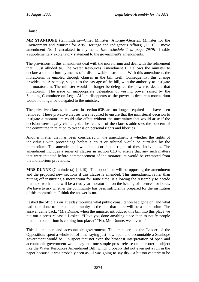Clause 5.

**MR STANHOPE** (Ginninderra—Chief Minister, Attorney-General, Minister for the Environment and Minister for Arts, Heritage and Indigenous Affairs) (11.16): I move amendment No 1 circulated in my name *[see schedule 1 at page 2939]*. I table a supplementary explanatory statement to the government's amendments.

The provisions of this amendment deal with the moratorium and deal with the refinement that I just alluded to. The Water Resources Amendment Bill allows the minister to declare a moratorium by means of a disallowable instrument. With this amendment, the moratorium is enabled through clauses in the bill itself. Consequently, this change provides the Assembly, subject to the passage of the bill, with the authority to instigate the moratorium. The minister would no longer be delegated the power to declare that moratorium. The issue of inappropriate delegation of vesting power raised by the Standing Committee on Legal Affairs disappears as the power to declare a moratorium would no longer be delegated to the minister.

The privative clauses that were in section 63B are no longer required and have been removed. These privative clauses were required to ensure that the ministerial decision to instigate a moratorium could take effect without the uncertainty that would arise if the decision were legally challenged. The removal of the clauses addresses the concern of the committee in relation to trespass on personal rights and liberties.

Another matter that has been considered in the amendment is whether the rights of individuals with proceedings before a court or tribunal would be curtailed by the moratorium. The amended bill would not curtail the rights of these individuals. The amendment includes a series of clauses in section 63B to ensure that any such matters that were initiated before commencement of the moratorium would be exempted from the moratorium provisions.

**MRS DUNNE** (Ginninderra) (11.19): The opposition will be opposing the amendment and the proposed new sections if this clause is amended. This amendment, rather than putting off instituting a moratorium for some time, is allowing the Assembly to decide that next week there will be a two-year moratorium on the issuing of licences for bores. We have to ask whether the community has been sufficiently prepared for the institution of this moratorium. I think the answer is no.

I asked the officials on Tuesday morning what public consultation had gone on, and what had been done to alert the community to the fact that there will be a moratorium The answer came back, "Mrs Dunne, when the minister introduced this bill into this place we put out a press release." I asked, "Have you done anything since then to notify people that this moratorium is coming into place?" "No, Mrs Dunne, we haven't."

This is an open and accountable government. This minister, as the Leader of the Opposition, spent a whole lot of time saying just how open and accountable a Stanhope government would be. I suspect that not even the broadest interpretation of open and accountable government would say that one simple press release on an esoteric subject like the Water Resources Amendment Bill, which probably did not even get a run in the paper because it was probably seen as—I was going to say dry—a bit too esoteric to be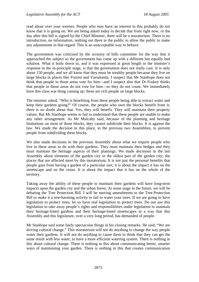read about over your weeties. People who may have an interest in this probably do not know that it is going on. We are being asked today to decide that from right now, or the day after this bill is signed by the Chief Minister, there will be a moratorium. There is no introduction, no information, nothing out there in the public to allow the public to make any adjustments in that regard. This is an unacceptable way to behave.

The government was criticised by the scrutiny of bills committee for the way that it approached the subject so the government has come up with a different but equally bad solution. What it boils down to, and it was expressed at great length in the minister's response in the in-principle stage, is that the government does not really care. It is only about 150 people, and we all know that they must be wealthy people because they live on large blocks in places like Forrest and Yarralumla. I suspect that Mr Stanhope does not think that people in those areas vote for him—and I suspect also that Dr Foskey thinks that people in those areas do not vote for him—so they do not count. We immediately have this class war thing coming up: these are rich people on large blocks.

The minister asked, "Who is benefiting from these people being able to extract water and keep their gardens going?" Of course, the people who own the blocks benefit from it; there is no doubt about that. Yes, they will benefit. They will maintain their property values. But Mr Stanhope seems to fail to understand that these people are unable to make any other arrangement. As Mr Mulcahy said, because of the planning and heritage limitations on most of those blocks, they cannot subdivide their blocks. It is against the law. We made the decision in this place, in the previous two Assemblies, to prevent people from subdividing these blocks.

We also made decisions in the previous Assembly about what we require people who live in these areas to do with their gardens. They must maintain their hedges and they must maintain the heritage aspects of their plantings. We made decisions in the last Assembly about elements of the garden city in the oldest part of the garden city; the places that are affected most by this moratorium. It is not just the personal benefits that people gain from having a garden of a particular sort; it is about the impact it has on the streetscape and on the vistas. It is about the impact that it has on the whole of the territory.

Taking away the ability of these people to maintain their gardens will have long-term impacts upon the garden city and the urban forest. At some stage in the future, we will be debating the Tree Protection Bill. I will be moving amendments to the Tree Protection Bill to make it a tree-harming activity to fail to water your trees. If we are going to have legislation to protect trees, let us have real legislation to protect trees. Do not use this legislation to take away people's rights and responsibilities under legislation to maintain their heritage-listed gardens and their heritage-listed streetscapes in a way that this Assembly and this legislature, over a very long period, has demanded of people.

Mr Stanhope said some fairly spectacular things in his closing remarks. He said, "We are driving cultural change." This moratorium will not do anything to change the way people water their gardens. It will not do anything to cause them to think that they can get the same result with less water, to have a more efficient watering system. There is nothing in this about cultural change. There is nothing in this about communicating better, smarter ways of maintaining your garden. There is nothing in this that creates communication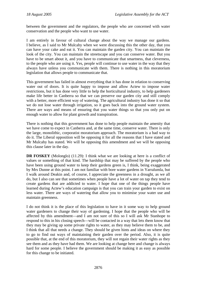between the government and the regulators, the people who are concerned with water conservation and the people who want to use water.

I am entirely in favour of cultural change about the way we manage our gardens. I believe, as I said to Mr Mulcahy when we were discussing this the other day, that you can have your cake and eat it. You can maintain the garden city. You can maintain the look of the city. You can maintain the streetscape and you can conserve water. But you have to be smart about it, and you have to communicate that smartness, that cleverness, to the people who are using it. Yes, people will continue to use water in the way that they always have unless you communicate with them. There is nothing in this moratorium legislation that allows people to communicate that.

This government has failed in almost everything that it has done in relation to conserving water out of doors. It is quite happy to impose and allow Actew to impose water restrictions, but it has done very little to help the horticultural industry, to help gardeners make life better in Canberra so that we can preserve our garden city and still comply with a better, more efficient way of watering. The agricultural industry has done it so that we do not lose water through irrigation, so it goes back into the ground water system. There are ways and means of ensuring that you water things so that you only put on enough water to allow for plant growth and transpiration.

There is nothing that this government has done to help people maintain the amenity that we have come to expect in Canberra and, at the same time, conserve water. There is only the large, monolithic, corporatist moratorium approach. The moratorium is a bad way to do it. The Liberal opposition will be opposing it for all the reasons that I have stated and Mr Mulcahy has stated. We will be opposing this amendment and we will be opposing this clause later in the day.

**DR FOSKEY** (Molonglo) (11.29): I think what we are looking at here is a conflict of values or something of that kind. The hardship that may be suffered by the people who have been using ground water to keep their gardens green is, I think, being exaggerated by Mrs Dunne at this point. I am not familiar with bore water gardens in Yarralumla, but I walk around Deakin and, of course, I appreciate the greenness in a drought, as we all do, but I also can see that sometimes when people have a lot of water on tap they tend to create gardens that are addicted to water. I hope that one of the things people have learned during Actew's education campaign is that you can train your garden to exist on less water. There are ways of watering that allow you to minimise your water use and maintain greenness.

I do not think it is the place of this legislation to have in it some way to help ground water gardeners to change their way of gardening. I hope that the people who will be affected by this amendment—and I am not sure of this so I will ask Mr Stanhope to respond to this in his closing speech—will be contacted in a way that lets them know that they may be giving up some private rights to water, as they may believe them to be, and I think that all that needs a change. They should be given hints and ideas on where they to go to find out ways of maintaining their garden over the period. Also, it is quite possible that, at the end of this moratorium, they will not regain their water rights as they see them and as they have had them. We are looking at change here and change is always hard for some people. I believe the government should be making it as easy as possible for this change to be initiated.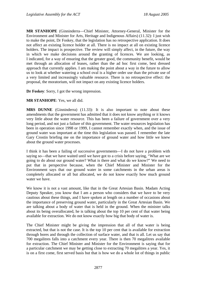**MR STANHOPE** (Ginninderra—Chief Minister, Attorney-General, Minister for the Environment and Minister for Arts, Heritage and Indigenous Affairs) (11.32): I just wish to make the point, Dr Foskey, that the legislation has no retrospective application. It does not affect an existing licence holder at all. There is no impact at all on existing licence holders. The impact is prospective. The review will simply affect, in the future, the way in which we make decisions around the granting of licences. We are looking, as I indicated, for a way of ensuring that the greater good, the community benefit, would be met through an allocation of leases, rather than the ad hoc first come, best dressed approach that currently applies. I am making the point about a way in the future to allow us to look at whether watering a school oval is a higher order use than the private use of a very limited and increasingly valuable resource. There is no retrospective effect: the proposal, the moratorium, will not impact on any existing licence holders.

**Dr Foskey**: Sorry, I got the wrong impression.

#### **MR STANHOPE**: Yes, we all did.

**MRS DUNNE** (Ginninderra) (11.33): It is also important to note about these amendments that the government has admitted that it does not know anything or it knows very little about the water resource. This has been a failure of government over a very long period, and not just a failure of this government. The water resources legislation has been in operation since 1998 or 1999, I cannot remember exactly when, and the issue of ground water was important at the time this legislation was passed. I remember the late Gary Crostin briefing me on the importance of ground water and how little we knew about the ground water processes.

I think it has been a failing of successive governments—I do not have a problem with saying so—that we have waited until we have got to a crisis before saying, "What are we going to do about our ground water? What is there and what do we know?" We need to put that in perspective because, when the Chief Minister and Minister for the Environment says that our ground water in some catchments in the urban areas is completely allocated or all but allocated, we do not know exactly how much ground water we have.

We know it is not a vast amount, like that in the Great Artesian Basin. Madam Acting Deputy Speaker, you know that I am a person who considers that we have to be very cautious about these things, and I have spoken at length on a number of occasions about the importance of preserving ground water, particularly in the Great Artesian Basin. We are talking about a body of water that is held in the ground. When the minister talks about its being overallocated, he is talking about the top 10 per cent of that water being available for extraction. We do not know exactly how big that body of water is.

The Chief Minister might be giving the impression that all of that water is being extracted, but that is not the case. It is the top 10 per cent that is available for extraction through bores and through the collection of surface water, and that is all. Let us say that 700 megalitres falls into a catchment every year. There is then 70 megalitres available for extraction. The Chief Minister and Minister for the Environment is saying that for a particular catchment we may be getting close to extracting 70 megalitres a year. Yes, it is on a first come, first served basis but that is how we do a whole lot of things in public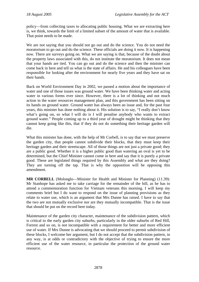policy—from collecting taxes to allocating public housing. What we are extracting here is, we think, towards the limit of a limited subset of the amount of water that is available. That point needs to be made.

We are not saying that you should not go out and do the science. You do not need the moratorium to go out and do the science. These officials are doing it now. It is happening now. There are surveys going on. What we are saying is that, because of the doubt about the property laws associated with this, do not institute the moratorium. It does not mean that your hands are tied. You can go out and do the science and then the minister can come back in here and tell us what is the state of affairs. He and his colleagues have been responsible for looking after the environment for nearly five years and they have sat on their hands.

Back on World Environment Day in 2002, we passed a motion about the importance of water and one of those issues was ground water. We have been thinking water and acting water in various forms ever since. However, there is a lot of thinking and not much action in the water resources management plan, and this government has been sitting on its hands on ground water. Ground water has always been an issue and, for the past four years, this minister has done nothing about it. His solution is to say, "I really don't know what's going on, so what I will do is I will penalise anybody who wants to extract ground water." People coming up to a third year of drought might be thinking that they cannot keep going like this, that if they do not do something their heritage garden will die.

What this minister has done, with the help of Mr Corbell, is to say that we must preserve the garden city, that people cannot subdivide their blocks, that they must keep their heritage garden and their streetscape. All of those things are not just a private good; they are a public good. Whether it is a higher public good than watering an oval is yet to be determined, but the Chief Minister cannot come in here and say that it is purely a private good. These are legislated things required by this Assembly and what are they doing? They are turning off the tap. That is why the opposition will be opposing this amendment.

**MR CORBELL** (Molonglo—Minister for Health and Minister for Planning) (11.39): Mr Stanhope has asked me to take carriage for the remainder of the bill, as he has to attend a commemoration function for Vietnam veterans this morning. I will keep my comments brief but I do want to respond on the issue of planning provisions as they relate to water use, which is an argument that Mrs Dunne has raised. I have to say that the two are not mutually exclusive nor are they mutually incompatible. That is the issue that should be put on the record here today.

Maintenance of the garden city character, maintenance of the subdivision pattern, which is critical to the early garden city suburbs, particularly in the older suburbs of Red Hill, Forrest and so on, is not incompatible with a requirement for better and more efficient use of water. If Mrs Dunne is advocating that we should proceed to permit subdivision of these blocks, I welcome her argument, but I do not accept that the subdivision pattern, in any way, is at odds or contradictory with the objective of trying to ensure the more efficient use of the water resource, in particular the protection of the ground water resource.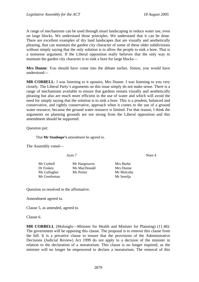A range of mechanisms can be used through smart landscaping to reduce water use, even on large blocks. We understand those principles. We understand that it can be done. There are excellent examples of dry land landscapes that are visually and aesthetically pleasing, that can maintain the garden city character of some of these older subdivisions without simply saying that the only solution is to allow the people to sink a bore. That is a nonsense argument. If the Liberal opposition really believes that the only way to maintain the garden city character is to sink a bore for large blocks—

**Mrs Dunne**: You should have come into the debate earlier, Simon, you would have understood—

**MR CORBELL**: I was listening to it upstairs, Mrs Dunne. I was listening to you very closely. The Liberal Party's arguments on this issue simply do not make sense. There is a range of mechanisms available to ensure that gardens remain visually and aesthetically pleasing but also are much more efficient in the use of water and which will avoid the need for simply saying that the solution is to sink a bore. This is a prudent, balanced and conservative, and rightly conservative, approach when it comes to the use of a ground water resource, because the ground water resource is limited. For that reason, I think the arguments on planning grounds are not strong from the Liberal opposition and this amendment should be supported.

Question put:

That **Mr Stanhope's** amendment be agreed to.

The Assembly voted—

Ayes 7 Noes 4

| Mr Corbell   |  |
|--------------|--|
| Dr Foskey    |  |
| Ms Gallagher |  |
| Mr Gentleman |  |

Mr Hargreaves Mrs Burke Ms MacDonald Mrs Dunne Ms Porter Mr Mulcahy

Mr Seselja

Question so resolved in the affirmative.

Amendment agreed to.

Clause 5, as amended, agreed to.

Clause 6.

**MR CORBELL** (Molonglo—Minister for Health and Minister for Planning) (11.46): The government will be opposing this clause. The proposal is to remove this clause from the bill. It is a privative clause to ensure that the provisions of the Administrative Decisions (Judicial Review) Act 1999 do not apply to a decision of the minister in relation to the declaration of a moratorium. This clause is no longer required, as the minister will no longer be empowered to declare a moratorium. The removal of this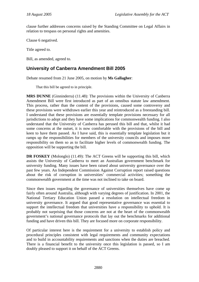<span id="page-21-0"></span>clause further addresses concerns raised by the Standing Committee on Legal Affairs in relation to trespass on personal rights and amenities.

Clause 6 negatived.

Title agreed to.

Bill, as amended, agreed to.

## **University of Canberra Amendment Bill 2005**

Debate resumed from 21 June 2005, on motion by **Ms Gallagher**:

That this bill be agreed to in principle.

**MRS DUNNE** (Ginninderra) (11.48): The provisions within the University of Canberra Amendment Bill were first introduced as part of an omnibus statute law amendment. This process, rather than the content of the provisions, caused some controversy and these provisions were withdrawn earlier this year and reintroduced as a freestanding bill. I understand that these provisions are essentially template provisions necessary for all jurisdictions to adopt and they have some implications for commonwealth funding. I also understand that the University of Canberra has perused this bill and that, whilst it had some concerns at the outset, it is now comfortable with the provisions of the bill and keen to have them passed. As I have said, this is essentially template legislation but it ramps up the responsibilities for members of the university councils and imposes more responsibility on them so as to facilitate higher levels of commonwealth funding. The opposition will be supporting the bill.

**DR FOSKEY** (Molonglo) (11.49): The ACT Greens will be supporting this bill, which assists the University of Canberra to meet an Australian government benchmark for university funding. Many issues have been raised about university governance over the past few years. An Independent Commission Against Corruption report raised questions about the risk of corruption in universities' commercial activities; something the commonwealth government at the time was not inclined to take on board.

Since then issues regarding the governance of universities themselves have come up fairly often around Australia, although with varying degrees of justification. In 2001, the National Tertiary Education Union passed a resolution on intellectual freedom in university governance. It argued that good representative governance was essential to support the intellectual freedom that universities have a responsibility to uphold. It is probably not surprising that those concerns are not at the heart of the commonwealth government's national governance protocols that lay out the benchmarks for additional funding and have driven this bill. They are focused more on corporate responsibility.

Of particular interest here is the requirement for a university to establish policy and procedural principles consistent with legal requirements and community expectations and to build in accountability requirements and sanctions when the duties are breached. There is a financial benefit to the university once this legislation is passed, so I am doubly pleased to support it on behalf of the ACT Greens.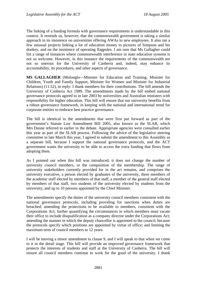The linking of a funding formula with governance requirements is understandable in this context. It reminds us, however, that the commonwealth government is taking a similar approach in its insistence on universities offering AWAs to new employees. It also ran a few unusual projects linking a lot of education money to pictures of Simpson and his donkey, and on the insistence of operating flagpoles. I am sure that Ms Gallagher could list a range of instances where commonwealth interference in state education systems is not so welcome. However, in this instance the requirements of the commonwealth are not so onerous for the University of Canberra and, indeed, may enhance its accountability, its procedures, and other aspects of governance.

**MS GALLAGHER** (Molonglo—Minister for Education and Training, Minister for Children, Youth and Family Support, Minister for Women and Minister for Industrial Relations) (11.52), in reply: I thank members for their contributions. The bill amends the University of Canberra Act 1989. The amendments made by the bill embed national governance protocols agreed to in late 2003 by universities and Australian ministers with responsibility for higher education. This bill will ensure that our university benefits from a robust governance framework, in keeping with the national and international trend for corporate entities to embrace best practice governance.

The bill is identical to the amendments that were first put forward as part of the government's Statute Law Amendment Bill 2005, also known as the SLAB, which Mrs Dunne referred to earlier in the debate. Appropriate agencies were consulted earlier this year as part of the SLAB process. Following the advice of the legislative steering committee in late March this year, I agreed to submit the amendment to this Assembly as a separate bill, because I support the national governance protocols, and the ACT government wants the university to be able to access the extra funding that flows from adopting them.

As I pointed out when this bill was introduced, it does not change the number of university council members, or the composition of the membership. The range of university stakeholders currently provided for in the act remains, and comprises the university executive, a person elected by graduates of the university, three members of the academic staff elected by members of that staff, a member of the general staff elected by members of that staff, two students of the university elected by students from the university, and up to 10 persons appointed by the Chief Minister.

The amendments specify the duties of the university council members consistent with the national governance protocols, including providing for sanctions when duties are breached; amending the protections to be available to members, consistent with the Corporations Act; further quantifying the circumstances in which members must vacate their office to include disqualification as a company director under the Corporations Act; amending the manner in which the deputy chancellor is appointed to the council, because the protocols specify which positions are appointed by virtue of office; and limiting the maximum term of council members to 12 years.

I will be moving a minor amendment to clause 9, and I will speak to that when we come to it in the detail stage. This bill will provide an improved governance framework that protects the interests of students and staff at the University of Canberra. The bill will ensure all council members continue to work for the good of the university. I thank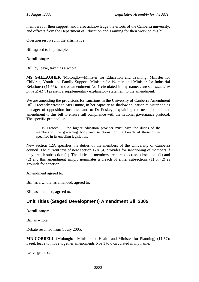<span id="page-23-0"></span>members for their support, and I also acknowledge the efforts of the Canberra university, and officers from the Department of Education and Training for their work on this bill.

Question resolved in the affirmative.

Bill agreed to in principle.

### **Detail stage**

Bill, by leave, taken as a whole.

**MS GALLAGHER** (Molonglo—Minister for Education and Training, Minister for Children, Youth and Family Support, Minister for Women and Minister for Industrial Relations) (11.55): I move amendment No 1 circulated in my name. *[see schedule 2 at page 2941]*. I present a supplementary explanatory statement to the amendment.

We are amending the provisions for sanctions in the University of Canberra Amendment Bill. I recently wrote to Mrs Dunne, in her capacity as shadow education minister and as manager of opposition business, and to Dr Foskey, explaining the need for a minor amendment to this bill to ensure full compliance with the national governance protocol. The specific protocol is:

7.5.15 Protocol 3: the higher education provider must have the duties of the members of the governing body and sanctions for the breach of these duties specified in its enabling legislation.

New section 12A specifies the duties of the members of the University of Canberra council. The current text of new section 12A (4) provides for sanctioning of members if they breach subsection (1). The duties of members are spread across subsections (1) and (2) and this amendment simply nominates a breach of either subsections (1) or (2) as grounds for sanction.

Amendment agreed to.

Bill, as a whole, as amended, agreed to.

Bill, as amended, agreed to.

# **Unit Titles (Staged Development) Amendment Bill 2005**

### **Detail stage**

Bill as whole.

Debate resumed from 1 July 2005.

**MR CORBELL** (Molonglo—Minister for Health and Minister for Planning) (11.57): I seek leave to move together amendments Nos 1 to 6 circulated in my name.

Leave granted.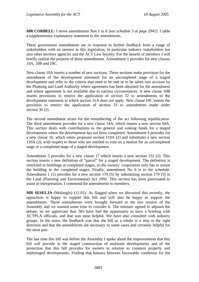**MR CORBELL**: I move amendments Nos 1 to 6 *[see schedule 3 at page 2941].* I table a supplementary explanatory statement to the amendments.

These government amendments are in response to further feedback from a range of stakeholders with an interest in this legislation, in particular industry stakeholders but also other territory agencies and the ACT Law Society. For the benefit of members I will briefly outline the purpose of these amendments. Amendment 1 provides for new clauses 10A, 10B and 10C.

New clause 10A inserts a number of new sections. These sections make provision for the amendment of the development statement for an uncompleted stage of a staged development and refer to the criteria that need to be met or to be taken into account by the Planning and Land Authority where agreement has been obtained for the amendment and where agreement is not available due to various circumstances. A new clause 10B inserts provisions to restrict the application of section 32 to amendments to the development statement to which section 31A does not apply. New clause 10C inserts the provision to restrict the application of section 33 to amendments made under section 30 (2).

The second amendment arises for the renumbering of the act following republication. The third amendment provides for a new clause 14A, which inserts a new section 64A. This section deals with contributions to the general and sinking funds for a staged development where the development has not been completed. Amendment 4 provides for a new clause 16, which omits proposed section 110A (2) and substitutes a new section 110A (2), with respect to those who are entitled to vote on a motion for an uncompleted stage or a completed stage of a staged development.

Amendment 5 provides for a new clause 17 which inserts a new section 132 (3). This section inserts a new definition of "parcel" for a staged development. The definition is restricted to buildings at completed stages, so the owners' corporation only has to insure the building in the completed stages. Finally, amendment No 6 is to the schedule. Amendment 1 (1) provides for a new section 179 (5) by substituting section 179 (5) in the Land (Planning and Environment) Act 1991. This section has been punctuated to assist in interpretation. I commend the amendments to members.

**MR SESELJA** (Molonglo) (12.01): As flagged when we discussed this recently, the opposition is happy to support this bill and will also be happy to support the amendments. These amendments were brought forward in the last session of the Assembly and we wanted some time to consider it. The minister agreed to adjourn the debate, so we appreciate that. We have had the opportunity to have a briefing with ACTPLA officials, and that was most helpful. We have also consulted with industry groups. In the main, the feedback was that the bill as a whole is a step in the right direction and that the amendments are necessary in some cases and certainly helpful for the most part.

The last time this bill was before the Assembly I spoke about the improvements that this bill will provide in the staged construction of multiunit developments and of the protection that this bill provides for owners in relation to common property and multistaged developments. Finding that balance between favourable conditions for the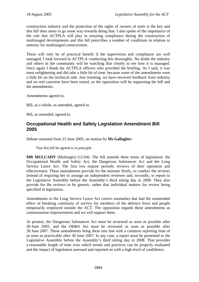<span id="page-25-0"></span>construction industry and the protection of the rights of owners of units is the key and this bill does seem to go some way towards doing that. I also spoke of the importance of the role that ACTPLA will play in ensuring compliance during the construction of multistaged developments and this bill prescribes a number of conditions in relation to amenity for multistaged constructions.

These will only be of practical benefit if the supervision and compliance are well managed. I look forward to ACTPLA conducting this thoroughly. No doubt the industry and others in the community will be watching that closely to see how it is managed. Once again I thank the ACTPLA officers who provided the briefing. As I said, it was most enlightening and did take a little bit of time, because some of the amendments were a little bit on the technical side. Just restating, we have received feedback from industry and no real concerns have been raised, so the opposition will be supporting the bill and the amendments.

Amendments agreed to.

Bill, as a whole, as amended, agreed to.

Bill, as amended, agreed to.

## **Occupational Health and Safety Legislation Amendment Bill 2005**

Debate resumed from 21 June 2005, on motion by **Ms Gallagher**:

That this bill be agreed to in principle.

**MR MULCAHY** (Molonglo) (12.04): The bill amends three items of legislation: the Occupational Health and Safety Act, the Dangerous Substances Act and the Long Service Leave Act. The first two require periodic reviews of their operation and effectiveness. These amendments provide for the minister firstly, to conduct the reviews instead of requiring her to arrange an independent reviewer and, secondly, to report to the Legislative Assembly before the Assembly's third sitting day in 2008. They also provide for the reviews to be generic, rather that individual matters for review being specified in legislation.

Amendments to the Long Service Leave Act correct anomalies that had the unintended effect of breaking continuity of service for members of the defence force and people temporarily employed outside the ACT. The opposition regards these amendments as commonsense improvements and we will support them.

At present, the Dangerous Substances Act must be reviewed as soon as possible after 30 June 2005, and the OH&S Act must be reviewed as soon as possible after 30 June 2007. These amendments bring them into line with a common reporting time of as soon as practicable after 30 June 2007. In any case, a report must be presented to the Legislative Assembly before the Assembly's third sitting day in 2008. That provides a reasonable length of time over which trends and practices can be properly evaluated and the impact of legislation assessed and reported on with a high level of confidence.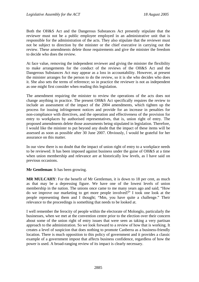Both the OH&S Act and the Dangerous Substances Act presently stipulate that the reviewer must not be a public employee employed in an administrative unit that is responsible for the administration of the acts. They also stipulate that the reviewer must not be subject to direction by the minister or the chief executive in carrying out the review. These amendments delete those requirements and give the minister the freedom to decide who does the review.

At face value, removing the independent reviewer and giving the minister the flexibility to make arrangements for the conduct of the reviews of the OH&S Act and the Dangerous Substances Act may appear as a loss in accountability. However, at present the minister arranges for the person to do the review, so it is she who decides who does it. She also sets the terms of reference; so in practice the reviewer is not as independent as one might first consider when reading this legislation.

The amendment requiring the minister to review the operations of the acts does not change anything in practice. The present OH&S Act specifically requires the review to include an assessment of the impact of the 2004 amendments, which tighten up the process for issuing infringement notices and provide for an increase in penalties for non-compliance with directives, and the operation and effectiveness of the provision for entry to workplaces by authorised representatives, that is, union right of entry. The proposed amendments delete those assessments being stipulated in legislation. Therefore, I would like the minister to put beyond any doubt that the impact of these items will be assessed as soon as possible after 30 June 2007. Obviously, l would be grateful for her assurance on this matter.

In our view there is no doubt that the impact of union right of entry to a workplace needs to be reviewed. It has been imposed against business under the guise of OH&S at a time when union membership and relevance are at historically low levels, as I have said on previous occasions.

### **Mr Gentleman**: It has been growing.

**MR MULCAHY**: For the benefit of Mr Gentleman, it is down to 18 per cent, as much as that may be a depressing figure. We have one of the lowest levels of union membership in the nation. The unions once came to me many years ago and said; "How do we improve our marketing to get more people involved?" I took one look at the people representing them and I thought; "Mm, you have quite a challenge." Their relevance to the proceedings is something that needs to be looked at.

I well remember the ferocity of people within the electorate of Molonglo, particularly the businesses, when we met at the convention centre prior to the election over their concern about some of the union right of entry issues that were seen as taking a very partisan approach to the administration. So we look forward to a review of how that is working. It creates a level of suspicion that does nothing to promote Canberra as a business-friendly location. There is much opposition to this policy of government and it provides a classic example of a government impost that affects business confidence, regardless of how the power is used. A broad-ranging review of its impact is clearly necessary.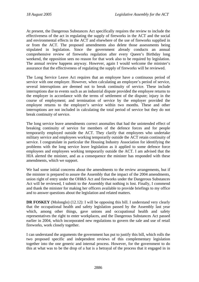At present, the Dangerous Substances Act specifically requires the review to include the effectiveness of the act in regulating the supply of fireworks in the ACT and the social and environmental effects in the ACT and elsewhere of the use of fireworks supplied in or from the ACT. The proposed amendments also delete those assessments being stipulated in legislation. Since the government already conducts an annual comprehensive review of fireworks regulation after every Queen's Birthday long weekend, the opposition sees no reason for that work also to be required by legislation. The annual review happens anyway. However, again I would welcome the minister's assurance that the effectiveness of regulating the supply of fireworks will be reviewed.

The Long Service Leave Act requires that an employee have a continuous period of service with one employer. However, when calculating an employee's period of service, several interruptions are deemed not to break continuity of service. These include interruptions due to events such as an industrial dispute provided the employee returns to the employer in accordance with the terms of settlement of the dispute; injury in the course of employment; and termination of service by the employer provided the employee returns to the employer's service within two months. These and other interruptions are not included in calculating the total period of service but they do not break continuity of service.

The long service leave amendments correct anomalies that had the unintended effect of breaking continuity of service for members of the defence forces and for people temporarily employed outside the ACT. They clarify that employees who undertake military service and employees working temporarily outside the ACT retain continuity of service. I congratulate in particular the Housing Industry Association for identifying the problems with the long service leave legislation as it applied to some defence force employees and employees working temporarily outside the ACT. I am advised that the HIA alerted the minister, and as a consequence the minister has responded with these amendments, which we support.

We had some initial concerns about the amendments to the review arrangements, but if the minister is prepared to assure the Assembly that the impact of the 2004 amendments, union right of entry under the OH&S Act and fireworks under the Dangerous Substances Act will be reviewed, I submit to the Assembly that nothing is lost. Finally, I commend and thank the minister for making her officers available to provide briefings to my office and to answer questions about the legislation and related matters.

**DR FOSKEY** (Molonglo) (12.12): I will be opposing this bill. I understand very clearly that the occupational health and safety legislation passed by the Assembly last year which, among other things, gave unions and occupational health and safety representatives the right to enter workplaces, and the Dangerous Substances Act passed earlier in 2004, which incorporated new regulations to govern the sale and use of retail fireworks, work closely together.

I can understand the arguments the government has put to justify this bill, which rolls the two proposed specific and independent reviews of this complementary legislation together into the one generic and internal process. However, for the government to do this at what was to be the drop of a hat is a betrayal of the process that it engaged in in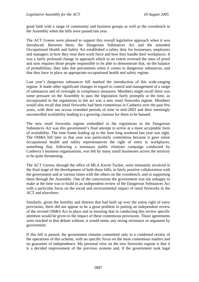good faith with a range of community and business groups as well as the crossbench in the Assembly when the bills were passed last year.

The ACT Greens were pleased to support this overall legislative approach when it was introduced. Between them, the Dangerous Substances Act and the amended Occupational Health and Safety Act established a safety duty for businesses, employers and managers in how they treat their work force and how they handle their workplaces. It was a fairly profound change in approach which to an extent reversed the onus of proof and now requires those people responsible to be able to demonstrate that, on the balance of probabilities, they take due precautions when it comes to dangerous substances, and that they have in place an appropriate occupational health and safety regime.

Last year's dangerous substances bill marked the introduction of this wide-ranging regime. It made other significant changes in regard to control and management of a range of substances and of oversight in compliance measures. Members might recall there was some pressure on the Assembly to pass the legislation fairly promptly at the time, as incorporated in the regulations to the act was a new retail fireworks regime. Members would also recall that retail fireworks had been contentious in Canberra over the past few years, with their use across extended periods of time in mid-2003 and their seemingly uncontrolled availability leading to a growing clamour for them to be banned.

The new retail fireworks regime embedded in the regulations to the Dangerous Substances Act was this government's final attempt to arrive at a more acceptable form of availability. The time frame leading up to the June long weekend last year was tight. The OH&S bill later in that year was particularly contentious because it gave union occupational health and safety representatives the right of entry to workplaces, something that, following a strenuous public relations campaign conducted by Canberra's business organisations, was felt by many small businesses across the territory to be quite threatening.

The ACT Greens, through the office of MLA Kerrie Tucker, were intimately involved in the final stage of the development of both those bills, in fairly positive collaboration with the government and at various times with the others on the crossbench, and in supporting them through the Assembly. One of the concessions the government was not unhappy to make at the time was to build in an independent review of the Dangerous Substances Act with a particular focus on the social and environmental impact of retail fireworks in the ACT and elsewhere.

Similarly, given the hostility and distress that had built up over the union right of entry provisions, there did not appear to be a great problem in putting an independent review of the revised OH&S Act in place and in ensuring that in conducting this review specific attention would be given to the impact of these contentious provisions. Those agreements were reached in that debate without, it would seem, any strong resistance or argument by government.

If this bill is passed, the government remains committed only to a combined review of the operations of this scheme, with no specific focus on the most contentious matters and no guarantee of independence. My personal view on the new fireworks regime is that it is a decided improvement of the previous systems and, if the government took legal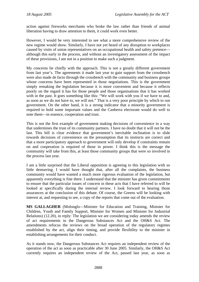action against fireworks merchants who broke the law rather than friends of animal liberation having to draw attention to them, it could work even better.

However, I would be very interested to see what a more comprehensive review of the new regime would show. Similarly, I have not yet heard of any disruption to workplaces caused by visits of union representatives on an occupational health and safety pretence although this early in the process, and without an investigatory assessment of the impact of these provisions, I am not in a position to make such a judgment.

My concerns lie chiefly with the approach. This is not a greatly different government from last year's. The agreements it made last year to gain support from the crossbench were also made de facto through the crossbench with the community and business groups whose concerns have been represented in those negotiations. This is the government simply remaking the legislation because it is more convenient and because it reflects poorly on the regard it has for those people and those organisations that it has worked with in the past. It goes something like this: "We will work with you if we have to and, as soon as we do not have to, we will not." That is a very poor principle by which to run government. On the other hand, it is a strong indicator that a minority government is required to hold some important values and the Canberra electorate would do well to note them—in essence, cooperation and trust.

This is not the first example of government making decisions of convenience in a way that undermines the trust of its community partners. I have no doubt that it will not be the last. This bill is clear evidence that government's inevitable inclination is to slide towards decisions of convenience on the presumption that its instincts are correct and that a more participatory approach to government will only develop if constraints remain on and cooperation is required of those in power. I think this is the message the community will take from this, at least those community groups that were so involved in the process last year.

I am a little surprised that the Liberal opposition is agreeing to this legislation with so little demurring. I would have thought that, after all the complaints, the business community would have wanted a much more rigorous evaluation of the legislation, but apparently everything is fine there. I understand that the minister has given commitments to ensure that the particular issues of concern in these acts that I have referred to will be looked at specifically during the internal review. I look forward to hearing those assurances at the conclusion of this debate. Of course, the Greens will be looking with interest at, and requesting to see, a copy of the reports that come out of the evaluation.

**MS GALLAGHER** (Molonglo—Minister for Education and Training, Minister for Children, Youth and Family Support, Minister for Women and Minister for Industrial Relations) (12.20), in reply: The legislation we are considering today amends the review of act requirements in the Dangerous Substances Act and the OH&S Act. The amendments refocus the reviews on the broad operation of the regulatory regimes established by the act, align their timing, and provide flexibility to the minister in establishing arrangements for their conduct.

As it stands now, the Dangerous Substances Act requires an independent review of the operation of the act as soon as practicable after 30 June 2005. Similarly, the OH&S Act currently requires an independent review of the Act, passed last year, as soon as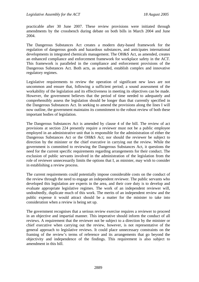practicable after 30 June 2007. These review provisions were initiated through amendments by the crossbench during debate on both bills in March 2004 and June 2004.

The Dangerous Substances Act creates a modern duty-based framework for the regulation of dangerous goods and hazardous substances, and anticipates international developments in integrated chemicals management. The OH&S Act, as amended, creates an enhanced compliance and enforcement framework for workplace safety in the ACT. This framework is paralleled in the compliance and enforcement provisions of the Dangerous Substances Act. Both acts, as amended, establish complex and innovative regulatory regimes.

Legislative requirements to review the operation of significant new laws are not uncommon and ensure that, following a sufficient period; a sound assessment of the workability of the legislation and its effectiveness in meeting its objectives can be made. However, the government believes that the period of time needed to adequately and comprehensibly assess the legislation should be longer than that currently specified in the Dangerous Substances Act. In seeking to amend the provisions along the lines I will now outline, the government maintains its commitment to the robust review of both these important bodies of legislation.

The Dangerous Substances Act is amended by clause 4 of the bill. The review of act provisions at section 224 presently require a reviewer must not be a public employee employed in an administrative unit that is responsible for the administration of either the Dangerous Substances Act or the OH&S Act; nor should the reviewer be subject to direction by the minister or the chief executive in carrying out the review. While the government is committed to reviewing the Dangerous Substances Act, it questions the need for the current specific requirements regarding arrangements for their conduct. The exclusion of public servants involved in the administration of the legislation from the role of reviewer unnecessarily limits the options that I, as minister, may wish to consider in establishing a review process.

The current requirements could potentially impose considerable costs on the conduct of the review through the need to engage an independent reviewer. The public servants who developed this legislation are experts in the area, and their core duty is to develop and evaluate appropriate legislative regimes. The work of an independent reviewer will, undoubtedly, duplicate much of this work. The merits of an independent review and the public expense it would attract should be a matter for the minister to take into consideration when a review is being set up.

The government recognises that a serious review exercise requires a reviewer to proceed in an objective and impartial manner. This imperative should inform the conduct of all reviews. A requirement that the reviewer not be subject to a direction by the minister or chief executive when carrying out the review, however, is not representative of the general approach to legislative reviews. It could place unnecessary constraints on the framing of the review's terms of reference and its arrangements that go beyond the objectivity and independence of the findings. This requirement is also subject to amendment in this bill.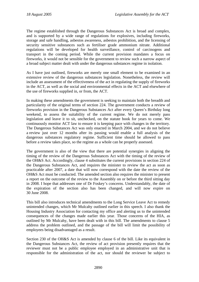The regime established through the Dangerous Substances Act is broad and complex, and is supported by a wide range of regulations for explosives, including fireworks, storage and safe handling, asbestos awareness, asbestos prohibition, and the licensing of security sensitive substances such as fertiliser grade ammonium nitrate. Additional regulations will be developed for health surveillance, control of carcinogens and transport in the coming period. While the current provision mandates a focus on fireworks, it would not be sensible for the government to review such a narrow aspect of a broad subject matter dealt with under the dangerous substances regime in isolation.

As I have just outlined, fireworks are merely one small element to be examined in an extensive review of the dangerous substances legislation. Nonetheless, the review will include an assessment of the effectiveness of the act in regulating the supply of fireworks in the ACT, as well as the social and environmental effects in the ACT and elsewhere of the use of fireworks supplied in, or from, the ACT.

In making these amendments the government is seeking to maintain both the breadth and particularity of the original terms of section 224. The government conducts a review of fireworks provision in the Dangerous Substances Act after every Queen's Birthday long weekend, to assess the suitability of the current regime. We do not merely pass legislation and leave it to sit, unchecked, on the statute book for years to come. We continuously monitor ACT law to ensure it is keeping pace with changes in the territory. The Dangerous Substances Act was only enacted in March 2004, and we do not believe a review just over 12 months after its passing would enable a full analysis of the dangerous substances regulatory regime. Sufficient time should be allowed to pass before a review takes place, so the regime as a whole can be properly assessed.

The government is also of the view that there are potential synergies in aligning the timing of the review of the Dangerous Substances Act with the timing of the review of the OH&S Act. Accordingly, clause 4 substitutes the current provisions in section 224 of the Dangerous Substances Act, and requires the minister to review the act as soon as practicable after 2007, a date that will now correspond with the date the review of the OH&S Act must be conducted. The amended section also requires the minister to present a report on the outcome of the review to the Assembly on or before the third sitting day in 2008. I hope that addresses one of Dr Foskey's concerns. Understandably, the date of the expiration of the section also has been changed, and will now expire on 30 June 2008.

This bill also introduces technical amendments to the Long Service Leave Act to remedy unintended changes, which Mr Mulcahy outlined earlier in this speech. I also thank the Housing Industry Association for contacting my office and alerting us to the unintended consequences of the changes made earlier this year. Those concerns of the HIA, as outlined by Mr Mulcahy, have been dealt with in this bill. The amendments to clause 5 address the problem outlined, and the passage of the bill will limit the possibility of employees being disadvantaged as a result.

Section 230 of the OH&S Act is amended by clause 6 of the bill. Like its equivalent in the Dangerous Substances Act, the review of act provision presently requires that the reviewer must not be a public employee employed in an administrative unit that is responsible for the administration of the act, nor should the reviewer be subject to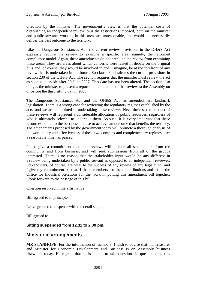<span id="page-32-0"></span>direction by the minister. The government's view is that the potential costs of establishing an independent review, plus the restrictions imposed, both on the minister and public servants working in this area, are unreasonable, and would not necessarily deliver the best outcome to the territory.

Like the Dangerous Substances Act, the current review provisions in the OH&S Act expressly require the review to examine a specific area, namely, the reformed compliance model. Again, these amendments do not preclude the review from examining these areas. They are areas about which concerns were raised in debate on the original bills and, of course, they would be involved in and, I imagine, be at the forefront of any review that is undertaken in the future. So clause 6 substitutes the current provisions in section 230 of the OH&S Act. The section requires that the minister most review the act as soon as possible after 30 June 2007. This date has not been altered. The section also obliges the minister to present a report on the outcome of that review to the Assembly on or before the third sitting day in 2008.

The Dangerous Substances Act and the OH&S Act, as amended, are landmark legislation. There is a strong case for reviewing the regulatory regimes established by the acts, and we are committed to undertaking these reviews. Nevertheless, the conduct of these reviews will represent a considerable allocation of public resources, regardless of who is ultimately selected to undertake them. As such, it is every important that these resources be put to the best possible use to achieve an outcome that benefits the territory. The amendments proposed by the government today will promote a thorough analysis of the workability and effectiveness of these two complex and complementary regimes after a reasonable time has passed.

I also give a commitment that both reviews will include all stakeholders from the community and from business, and will seek submissions from all of the groups interested. There is no reason that the stakeholder input would be any different in a review being undertaken by a public servant as opposed to an independent reviewer. Stakeholders, of course, are vital to the success of any review of any legislation, and I give my commitment on that. I thank members for their contributions and thank the Office for Industrial Relations for the work in putting this amendment bill together. I look forward to the passage of this bill.

Question resolved in the affirmative.

Bill agreed to in principle.

Leave granted to dispense with the detail stage.

Bill agreed to.

### **Sitting suspended from 12.32 to 2.30 pm.**

### **Ministerial arrangements**

**MR STANHOPE**: For the information of members, I wish to advise that the Treasurer and Minister for Economic Development and Business is on Assembly business elsewhere today. He regrets that he is unable to take questions in question time this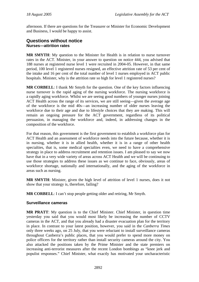<span id="page-33-0"></span>afternoon. If there are questions for the Treasurer or Minister for Economic Development and Business, I would be happy to assist.

### **Questions without notice Nurses—attrition rates**

**MR SMYTH**: My question to the Minister for Health is in relation to nurse turnover rates in the ACT. Minister, in your answer to question on notice 444, you advised that 188 nurses at registered nurse level 1 were recruited in 2004-05. However, in that same period, 100 level 1 registered nurses resigned, an effective attrition rate of 53 per cent of the intake and 16 per cent of the total number of level 1 nurses employed in ACT public hospitals. Minister, why is the attrition rate so high for level 1 registered nurses?

**MR CORBELL**: I thank Mr Smyth for the question. One of the key factors influencing nurse turnover is the rapid aging of the nursing workforce. The nursing workforce is a rapidly aging workforce. Whilst we are seeing good numbers of younger nurses joining ACT Health across the range of its services, we are still seeing—given the average age of the workforce is the mid 40s—an increasing number of older nurses leaving the workforce due to their age and due to lifestyle choices that they are making. This will remain an ongoing pressure for the ACT government, regardless of its political persuasion, in managing the workforce and, indeed, in addressing changes in the composition of the workforce.

For that reason, this government is the first government to establish a workforce plan for ACT Health and an assessment of workforce needs into the future because, whether it is in nursing, whether it is in allied health, whether it is in a range of other health specialties, that is, some medical specialties even, we need to have a comprehensive strategy in place to address recruitment and retention issues. I am pleased to say we now have that in a very wide variety of areas across ACT Health and we will be continuing to use those strategies to address these issues as we continue to face, obviously, areas of workforce shortage, nationally and internationally, and the aging of the workforce in areas such as nursing.

**MR SMYTH**: Minister, given the high level of attrition of level 1 nurses, does it not show that your strategy is, therefore, failing?

**MR CORBELL**: I can't stop people getting older and retiring, Mr Smyth.

### **Surveillance cameras**

**MR PRATT**: My question is to the Chief Minister. Chief Minister, in question time yesterday you said that you would most likely be increasing the number of CCTV cameras in the ACT, and that you already had a disaster evacuation plan for the territory in place. In contrast to your latest position, however, you said in the *Canberra Times* only three weeks ago, on 25 July, that you were reluctant to install surveillance cameras throughout Canberra's public places, that you would prefer to spend more money on police officers for the territory rather than install security cameras around the city. You also attacked the positions taken by the Prime Minister and the state premiers on increasing anti-terrorist measures after the recent London bombings as "knee jerk and populist responses." Chief Minister, what exactly has motivated your uncharacteristic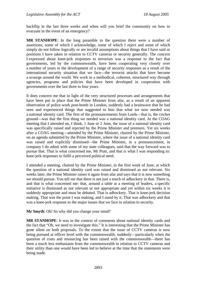backflip in the last three weeks and when will you brief the community on how to evacuate in the event of an emergency?

**MR STANHOPE**: In the long preamble to the question there were a number of assertions, some of which I acknowledge, some of which I reject and some of which simply do not follow logically or are invalid assumptions about things that I have said or positions I have taken in relation to CCTV cameras or security generally. The concern I expressed about knee-jerk responses to terrorism was a response to the fact that governments, led by the commonwealth, have been cooperating very closely over a number of years in the development of a range of security responses as a result of the international security situation that we face—the terrorist attacks that have become a scourge around the world. We work in a methodical, coherent, structured way through agencies, programs and policies that have been developed in cooperation with governments over the last three to four years.

It does concern me that in light of the very structured processes and arrangements that have been put in place that the Prime Minister from afar, as a result of an apparent observation of police work post-bomb in London, suddenly had a brainwave that he had seen and experienced things that suggested to him that what we now needed was a national identity card. The first of the pronouncements from Lords—that is, the cricket ground—was that the first thing we needed was a national identity card. At the COAG meeting that I attended on, I think, 1 June or 2 June, the issue of a national identity card was specifically raised and rejected by the Prime Minister and premiers. Yet six weeks after a COAG meeting—attended by the Prime Minister, chaired by the Prime Minister, on an agenda submitted by the Prime Minister, where the issue of a national identity card was raised and explicitly dismissed—the Prime Minister, in a pronouncement, in company I do admit with some of my state colleagues, said that the way forward was to pursue that. That is what concerned me, Mr Pratt, and that is what I was responding to: knee-jerk responses to fulfil a perceived political need.

I attended a meeting, chaired by the Prime Minister, in the first week of June, at which the question of a national identity card was raised and dismissed as not relevant. Six weeks later, the Prime Minister raises it again from afar and says that it is now something we should pursue. You tell me that there is not just a touch of adhockery in that. There is, and that is what concerned me: that, around a table at a meeting of leaders, a specific initiative is dismissed as not relevant or not appropriate and yet within six weeks it is suddenly appropriate and must be debated. That is adhockery. That is knee-jerk decision making. That was the point I was making, and I stand by it. That was adhockery and that was a knee-jerk response to the major issues that we face in relation to security.

**Mr Smyth**: Oh! So why did you change your mind?

**MR STANHOPE**: It was in the context of comments about national identity cards and the fact that "Oh, we need to investigate this." It is interesting that the Prime Minister has gone silent on both proposals. To the extent that the issue of CCTV cameras is now being pursued at officer level with the commonwealth, suddenly—particularly when the question of costs and resourcing has been raised with the commonwealth—there has been a touch less enthusiasm from the commonwealth in relation to CCTV cameras and their utility than one would have been led to believe at the time that the statements were being made.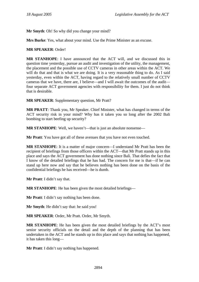**Mr Smyth**: Oh! So why did you change your mind?

**Mrs Burke**: Yes, what about your mind. Use the Prime Minister as an excuse.

#### **MR SPEAKER**: Order!

**MR STANHOPE**: I have announced that the ACT will, and we discussed this in question time yesterday, pursue an audit and investigation of the utility, the management, the placement and the possible use of CCTV cameras in other areas within the ACT. We will do that and that is what we are doing. It is a very reasonable thing to do. As I said yesterday, even within the ACT, having regard to the relatively small number of CCTV cameras that we have, there are, I believe—and I will await the outcomes of the audit four separate ACT government agencies with responsibility for them. I just do not think that is desirable.

**MR SPEAKER**: Supplementary question, Mr Pratt?

**MR PRATT**: Thank you, Mr Speaker. Chief Minister, what has changed in terms of the ACT security risk in your mind? Why has it taken you so long after the 2002 Bali bombing to start beefing up security?

**MR STANHOPE**: Well, we haven't—that is just an absolute nonsense—

**Mr Pratt**: You have got all of these avenues that you have not even touched.

**MR STANHOPE**: It is a matter of major concern—I understand Mr Pratt has been the recipient of briefings from those officers within the ACT—that Mr Pratt stands up in this place and says the ACT government has done nothing since Bali. That defies the fact that I know of the detailed briefings that he has had. The concern for me is that—if he can stand up here now and say that he believes nothing has been done on the basis of the confidential briefings he has received—he is dumb.

**Mr Pratt**: I didn't say that.

**MR STANHOPE**: He has been given the most detailed briefings—

**Mr Pratt**: I didn't say nothing has been done.

**Mr Smyth**: He didn't say that: he said you!

**MR SPEAKER**: Order, Mr Pratt. Order, Mr Smyth.

**MR STANHOPE**: He has been given the most detailed briefings by the ACT's most senior security officials on the detail and the depth of the planning that has been undertaken in the ACT and he stands up in this place and says that nothing has happened, it has taken this long—

**Mr Pratt**: I didn't say nothing has happened.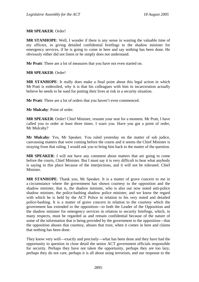#### **MR SPEAKER**: Order!

**MR STANHOPE**: Well, I wonder if there is any sense in wasting the valuable time of my officers, in giving detailed confidential briefings to the shadow minister for emergency services, if he is going to come in here and say nothing has been done. He obviously either did not listen or he simply does not understand.

**Mr Pratt**: There are a lot of measures that you have not even started on.

#### **MR SPEAKER**: Order!

**MR STANHOPE**: It really does make a final point about this legal action in which Mr Pratt is embroiled, why it is that his colleagues with him in incarceration actually believe he needs to be sued for putting their lives at risk in a security situation.

**Mr Pratt**: There are a lot of orders that you haven't even commenced.

**Mr Mulcahy**: Point of order.

**MR SPEAKER**: Order! Chief Minister, resume your seat for a moment. Mr Pratt, I have called you to order at least three times. I warn you. Have you got a point of order, Mr Mulcahy?

**Mr Mulcahy**: Yes, Mr Speaker. You ruled yesterday on the matter of sub judice, canvassing matters that were coming before the courts and it seems the Chief Minister is straying from that ruling. I would ask you to bring him back to the matter of the question.

**MR SPEAKER**: I will not have any comment about matters that are going to come before the courts, Chief Minister. But I must say it is very difficult to hear what anybody is saying in this place because of the interjections, and it will not be tolerated. Chief Minister.

**MR STANHOPE**: Thank you, Mr Speaker. It is a matter of grave concern to me in a circumstance where the government has shown courtesy to the opposition and the shadow minister, that is, the shadow minister, who is also our now noted anti-police shadow minister, the police-bashing shadow police minister, and we know the regard with which he is held by the ACT Police in relation to his very noted and detailed police-bashing. It is a matter of grave concern in relation to the courtesy which the government has extended to the opposition—to both the Leader of the Opposition and the shadow minister for emergency services in relation to security briefings, which, in many respects, must be regarded as and remain confidential because of the nature of some of the information that is being provided by the government to the opposition—that the opposition abuses that courtesy, abuses that trust, when it comes in here and claims that nothing has been done.

They know very well—exactly and precisely—what has been done and they have had the opportunity to question in close detail the senior ACT government officials responsible for security. Perhaps they have not taken the opportunity, perhaps they are too lazy, perhaps they do not care, perhaps it is all about using terrorism, and our response to the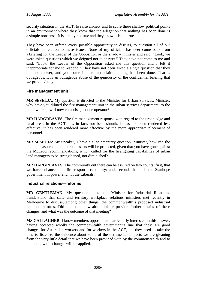security situation in the ACT, to raise anxiety and to score these shallow political points in an environment where they know that the allegation that nothing has been done is a simple nonsense. It is simply not true and they know it is not true.

They have been offered every possible opportunity to discuss, to question all of our officials in relation to these issues. None of my officials has ever come back from a briefing for the Leader of the Opposition or the shadow minister and said, "Look, we were asked questions which we deigned not to answer." They have not come to me and said, "Look, the Leader of the Opposition asked me this question and I felt it inappropriate for me to respond." They have not been asked a single question that they did not answer, and you come in here and claim nothing has been done. That is outrageous. It is an outrageous abuse of the generosity of the confidential briefing that we provided to you.

### **Fire management unit**

**MR SESELJA**: My question is directed to the Minister for Urban Services. Minister, why have you diluted the fire management unit in the urban services department, to the point where it will now comprise just one operator?

**MR HARGREAVES**: The fire management response with regard to the urban edge and rural areas in the ACT has, in fact, not been shrunk. It has not been rendered less effective; it has been rendered more effective by the more appropriate placement of personnel.

**MR SESELJA**: Mr Speaker, I have a supplementary question. Minister, how can the public be assured that its urban assets will be protected, given that you have gone against the McLeod recommendations, which called for the firefighting capabilities of urban land managers to be strengthened, not diminished?

**MR HARGREAVES**: The community out there can be assured on two counts: first, that we have enhanced our fire response capability; and, second, that it is the Stanhope government in power and not the Liberals.

### **Industrial relations—reforms**

**MR GENTLEMAN**: My question is to the Minister for Industrial Relations. I understand that state and territory workplace relations ministers met recently in Melbourne to discuss, among other things, the commonwealth's proposed industrial relations reforms. Did the commonwealth minister provide further details of these changes, and what was the outcome of that meeting?

**MS GALLAGHER**: I know members opposite are particularly interested in this answer, having accepted wholly the commonwealth government's line that these are good changes for Australian workers and for workers in the ACT, but they need to take the time to listen to the evidence about some of the detrimental impacts we are gleaning from the very little detail that we have been provided with by the commonwealth and to look at how the changes will be applied.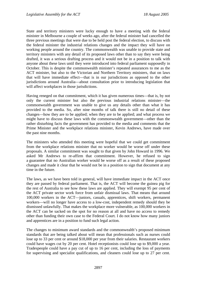State and territory ministers were lucky enough to have a meeting with the federal minister in Melbourne a couple of weeks ago, after the federal minister had cancelled the three previous meetings that were due to be held post the federal election, to discuss with the federal minister the industrial relations changes and the impact they will have on working people around the country. The commonwealth was unable to provide state and territory ministers with any detail of its proposed laws other than to say they were being drafted, it was a serious drafting process and it would not be in a position to talk with anyone about these laws until they were introduced into federal parliament supposedly in October. This is despite the commonwealth minister's repeated assurances to me as the ACT minister, but also to the Victorian and Northern Territory ministers, that on laws that will have immediate effect—that is in our jurisdictions as opposed to the other jurisdictions around Australia—about consultation prior to introducing legislation that will affect workplaces in those jurisdictions.

Having reneged on that commitment, which it has given numerous times—that is, by not only the current minister but also the previous industrial relations minister—the commonwealth government was unable to give us any details other than what it has provided to the media. So, after nine months of talk there is still no detail of these changes—how they are to be applied; when they are to be applied; and what process we might have to discuss these laws with the commonwealth government—other than the rather disturbing facts the government has provided to the media and comments that the Prime Minister and the workplace relations minister, Kevin Andrews, have made over the past nine months.

The ministers who attended this meeting were hopeful that we could get commitment from the workplace relations minister that no worker would be worse off under these proposals. A similar commitment was sought to that given by John Howard in 1996. We asked Mr Andrews to re-affirm that commitment. However, he refused to sign a guarantee that no Australian worker would be worse off as a result of these proposed changes and made it clear that he would not be in a position to sign that document at any time in the future.

The laws, as we have been told in general, will have immediate impact in the ACT once they are passed by federal parliament. That is, the ACT will become the guinea pig for the rest of Australia to see how these laws are applied. They will exempt 95 per cent of the ACT private sector work force from unfair dismissal laws. That means that around 100,000 workers in the ACT—juniors, casuals, apprentices, shift workers, permanent workers—will no longer have access to a low-cost, independent remedy should they be dismissed unlawfully. That makes the workplace more vulnerable, as 100,000 workers in the ACT can be sacked on the spot for no reason at all and have no access to remedy other than funding their own case to the Federal Court. I do not know how many juniors and apprentices are in a position to fund such legal action.

The changes to minimum award standards and the commonwealth's proposed minimum standards that are being talked about will mean that professionals such as nurses could lose up to 33 per cent or around \$18,000 per year from their salaries. Restaurant workers could have wages cut by 20 per cent. Hotel receptionists could lose up to \$9,000 a year. Tradespeople could have a pay cut of up to 16 per cent, including the loss of payments for supervising and specialist qualifications, and cleaners could lose up to 27 per cent.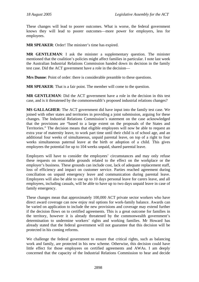These changes will lead to poorer outcomes. What is worse, the federal government knows they will lead to poorer outcomes—more power for employers, less for employees.

**MR SPEAKER**: Order! The minister's time has expired.

**MR GENTLEMAN**: I ask the minister a supplementary question. The minister mentioned that the coalition's policies might affect families in particular. I note last week the Australian Industrial Relations Commission handed down its decision in the family test case. Did the ACT government have a role in the decision—

**Mrs Dunne**: Point of order: there is considerable preamble to these questions.

**MR SPEAKER**: That is a fair point. The member will come to the question.

**MR GENTLEMAN**: Did the ACT government have a role in the decision in this test case, and is it threatened by the commonwealth's proposed industrial relations changes?

**MS GALLAGHER**: The ACT government did have input into the family test case. We joined with other states and territories in providing a joint submission, arguing for these changes. The Industrial Relations Commission's statement on the case acknowledged that the provisions are "based to a large extent on the proposals of the States and Territories." The decision means that eligible employees will now be able to request an extra year of maternity leave, to work part time until their child is of school age, and an additional four weeks of simultaneous, unpaid parental leave, on top of a right to four weeks simultaneous paternal leave at the birth or adoption of a child. This gives employees the potential for up to 104 weeks unpaid, shared parental leave.

Employers will have to consider the employees' circumstances and may only refuse these requests on reasonable grounds related to the effect on the workplace or the employer's business. These grounds can include cost, lack of adequate replacement staff, loss of efficiency and impact on customer service. Parties reached agreement during conciliation on unpaid emergency leave and communication during parental leave. Employees will also be able to use up to 10 days personal leave for carers leave, and all employees, including casuals, will be able to have up to two days unpaid leave in case of family emergency.

These changes mean that approximately 100,000 ACT private sector workers who have direct award coverage can now enjoy real options for work-family balance. Awards can be varied on application to include the new provisions and coverage may extend further if the decision flows on to certified agreements. This is a great outcome for families in the territory, however it is already threatened by the commonwealth government's determination to undermine workers' rights and working families. Mr Howard has already stated that the federal government will not guarantee that this decision will be protected in his coming reforms.

We challenge the federal government to ensure that critical rights, such as balancing work and family, are protected in his new scheme. Otherwise, this decision could have little effect for those employees on certified agreements and AWAs. I am deeply concerned that the capacity of the Industrial Relations Commission to hear and decide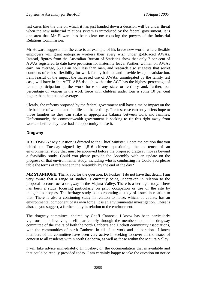test cases like the one on which it has just handed down a decision will be under threat when the new industrial relations system is introduced by the federal government. It is one area that Mr Howard has been clear on: reducing the powers of the Industrial Relations Commission.

Mr Howard suggests that the case is an example of his brave new world, where flexible employers will grant enterprise workers their every wish under gold-laced AWAs. Instead, figures from the Australian Bureau of Statistics show that only 7 per cent of AWAs registered to date have provision for maternity leave. Further, women on AWAs earn, on average, \$5.10 an hour less than men, and research also suggests that secret contracts offer less flexibility for work-family balance and provide less job satisfaction. I am fearful of the impact the increased use of AWAs, unmitigated by the family test case, will have in the ACT. ABS data show that the ACT has the highest percentage of female participation in the work force of any state or territory and, further, our percentage of women in the work force with children under four is some 10 per cent higher than the national average.

Clearly, the reforms proposed by the federal government will have a major impact on the life balance of women and families in the territory. The test case currently offers hope to those families so they can strike an appropriate balance between work and families. Unfortunately, the commonwealth government is seeking to rip this right away from workers before they have had an opportunity to use it.

# **Dragway**

**DR FOSKEY:** My question is directed to the Chief Minister. I note the petition that you tabled on Tuesday signed by 1,516 citizens questioning the existence of an environmental study that must be approved before the proposed dragway moves beyond a feasibility study. Could you please provide the Assembly with an update on the progress of that environmental study, including who is conducting it? Could you please table the terms of reference in the Assembly by the end of the day?

**MR STANHOPE**: Thank you for the question, Dr Foskey. I do not have that detail. I am very aware that a range of studies is currently being undertaken in relation to the proposal to construct a dragway in the Majura Valley. There is a heritage study. There has been a study focusing particularly on prior occupation or use of the site by indigenous peoples. The heritage study is incorporating a study of issues in relation to that. There is also a continuing study in relation to noise, which, of course, has an environmental component of its own force. It is an environmental investigation. There is also, as you suggest, a further study in relation to the environment.

The dragway committee, chaired by Geoff Cannock, I know has been particularly vigorous. It is involving itself, particularly through the membership on the dragway committee of the chairs of both the north Canberra and Hackett community associations, with the communities of north Canberra in all of its work and deliberations. I know members of the committee have been very active in seeking to cover all the issues of concern to all residents within north Canberra, as well as those within the Majura Valley.

I will take advice immediately, Dr Foskey, on the documentation that is available and that could be readily provided today. I am certainly happy to take the question on notice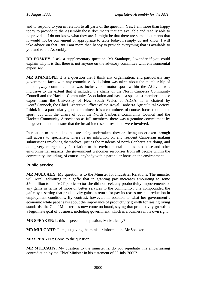and to respond to you in relation to all parts of the question. Yes, I am more than happy today to provide to the Assembly those documents that are available and readily able to be provided. I do not know what they are. It might be that there are some documents that it would not be convenient or appropriate to table today. I simply do not know. I will take advice on that. But I am more than happy to provide everything that is available to you and to the Assembly.

**DR FOSKEY**: I ask a supplementary question. Mr Stanhope, I wonder if you could explain why it is that there is not anyone on the advisory committee with environmental expertise?

**MR STANHOPE**: It is a question that I think any organisation, and particularly any government, faces with any committee. A decision was taken about the membership of the dragway committee that was inclusive of motor sport within the ACT. It was inclusive to the extent that it included the chairs of the North Canberra Community Council and the Hackett Community Association and has as a specialist member a noise expert from the University of New South Wales at ADFA. It is chaired by Geoff Cannock, the Chief Executive Officer of the Royal Canberra Agricultural Society. I think it is a particularly good committee. It is a committee, of course, focused on motor sport, but with the chairs of both the North Canberra Community Council and the Hackett Community Association as full members, there was a genuine commitment by the government to ensure that the broad interests of residents were involved.

In relation to the studies that are being undertaken, they are being undertaken through full access to specialists. There is no inhibition on any resident Canberran making submissions involving themselves, just as the residents of north Canberra are doing, and doing very energetically. In relation to the environmental studies into noise and other environmental impacts, the government welcomes responses from all people within the community, including, of course, anybody with a particular focus on the environment.

# **Public service**

**MR MULCAHY**: My question is to the Minister for Industrial Relations. The minister will recall admitting to a gaffe that in granting pay increases amounting to some \$50 million to the ACT public sector she did not seek any productivity improvements or any gains in terms of more or better services to the community. She compounded the gaffe by asserting that productivity gains in return for pay increases meant a reduction in employment conditions. By contrast, however, in addition to what her government's economic white paper says about the importance of productivity growth for raising living standards, the Chief Minister has now come on board, saying that productivity growth is a legitimate goal of business, including government, which is a business in its own right.

**MR SPEAKER**: Is this a speech or a question, Mr Mulcahy?

**MR MULCAHY**: I am just giving the minister information, Mr Speaker.

**MR SPEAKER**: Come to the question.

**MR MULCAHY**: My question to the minister is: do you repudiate this embarrassing contradiction by the Chief Minister in his statement of 30 July 2005?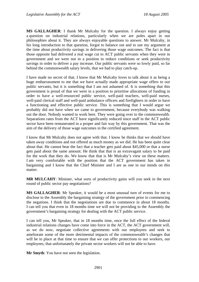**MS GALLAGHER**: I thank Mr Mulcahy for the question. I always enjoy getting a question on industrial relations, particularly when we are poles apart in our philosophies about it. They are always enjoyable questions to answer. Mr Mulcahy, in his long introduction to that question, forgot to balance out and to use my argument at the time about productivity savings in delivering those wage outcomes. The fact is that those opposite had delivered a real wage cut to ACT public servants when they were in government and we were not in a position to reduce conditions or seek productivity savings in order to deliver a pay increase. Our public servants were so lowly paid, so far behind the commonwealth salary levels, that we had to play catch-up.

I have made no secret of that. I know that Mr Mulcahy loves to talk about it as being a huge embarrassment to me that we have actually made appropriate wage offers to our public servants, but it is something that I am not ashamed of. It is something that this government is proud of that we were in a position to prioritise allocations of funding in order to have a well-resourced public service, well-paid teachers, well-paid nurses, well-paid clerical staff and well-paid ambulance officers and firefighters in order to have a functioning and effective public service. This is something that I would argue we probably did not have when we came to government, because everybody was walking out the door. Nobody wanted to work here. They were going over to the commonwealth. Separations rates from the ACT have significantly reduced since staff in the ACT public sector have been remunerated in a proper and fair way by this government. That was the aim of the delivery of those wage outcomes in the certified agreement.

I know that Mr Mulcahy does not agree with that. I know he thinks that we should have taken away conditions and not offered as much money as we did. He has been quite clear about that. He cannot bear the fact that a teacher gets paid about \$45,000 or that a nurse gets paid about the same amount. He think that that is an extravagant salary to be paid for the work that they do. We know that that is Mr Mulcahy's view on these matters. I am very comfortable with the position that the ACT government has taken in bargaining and I know that the Chief Minister and I are as one in our minds on this matter.

**MR MULCAHY**: Minister, what sorts of productivity gains will you seek in the next round of public sector pay negotiations?

**MS GALLAGHER**: Mr Speaker, it would be a most unusual turn of events for me to disclose to the Assembly the bargaining strategy of the government prior to commencing the negations. I think that the negotiations are due to commence in about 18 months. I can tell you that even in 18 months time we will not be providing to the Assembly the government's bargaining strategy for dealing with the ACT public service.

I can tell you, Mr Speaker, that in 18 months time, once the full effect of the federal industrial relations changes have come into force in the ACT, the ACT government will, as we do now, negotiate collective agreements with our employees and seek to ameliorate some of the more detrimental impacts of the commonwealth's changes that will be in place at that time to ensure that we can offer protections to our workers, our employees, that unfortunately the private sector workers will not be able to have.

**Mr Smyth**: You have not seen the legislation.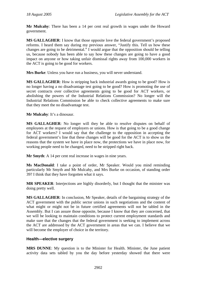**Mr Mulcahy**: There has been a 14 per cent real growth in wages under the Howard government.

**MS GALLAGHER**: I know that those opposite love the federal government's proposed reforms. I heard them say during my previous answer, "Justify this. Tell us how these changes are going to be detrimental." I would argue that the opposition should be telling us, because nobody has been able to say how these changes are going to have a good impact on anyone or how taking unfair dismissal rights away from 100,000 workers in the ACT is going to be good for workers.

**Mrs Burke**: Unless you have run a business, you will never understand.

**MS GALLAGHER**: How is stripping back industrial awards going to be good? How is no longer having a no disadvantage test going to be good? How is promoting the use of secret contracts over collective agreements going to be good for ACT workers, or abolishing the powers of the Industrial Relations Commission? No longer will the Industrial Relations Commission be able to check collective agreements to make sure that they meet the no disadvantage test.

**Mr Mulcahy**: It's a dinosaur.

**MS GALLAGHER**: No longer will they be able to resolve disputes on behalf of employees at the request of employers or unions. How is that going to be a good change for ACT workers? I would say that the challenge to the opposition in accepting the federal government's line that these changes will be good for the ACT is to show us the reasons that the system we have in place now, the protections we have in place now, for working people need to be changed, need to be stripped right back.

**Mr Smyth**: A 14 per cent real increase in wages in nine years.

**Ms MacDonald**: I take a point of order, Mr Speaker. Would you mind reminding particularly Mr Smyth and Mr Mulcahy, and Mrs Burke on occasion, of standing order 39? I think that they have forgotten what it says.

**MR SPEAKER**: Interjections are highly disorderly, but I thought that the minister was doing pretty well.

**MS GALLAGHER**: In conclusion, Mr Speaker, details of the bargaining strategy of the ACT government with the public sector unions in such negotiations and the content of what might or might not be in future certified agreements will not be tabled in the Assembly. But I can assure those opposite, because I know that they are concerned, that we will be looking to maintain conditions to protect current employment standards and make sure that the changes that the federal government is seeking to implement across the ACT are addressed by the ACT government in areas that we can. I believe that we will become the employer of choice in the territory.

# **Health—elective surgery**

**MRS DUNNE**: My question is to the Minister for Health. Minister, the June patient activity data sets tabled by you the day before yesterday showed that there were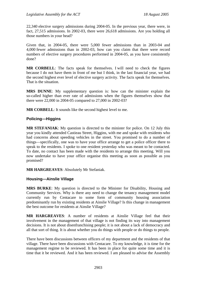22,340 elective surgery admissions during 2004-05. In the previous year, there were, in fact, 27,515 admissions. In 2002-03, there were 26,618 admissions. Are you holding all those numbers in your head?

Given that, in 2004-05, there were 5,000 fewer admissions than in 2003-04 and 4,000 fewer admissions than in 2002-03, how can you claim that there were record numbers of elective surgery procedures performed in 2004-05, as you have consistently done?

**MR CORBELL**: The facts speak for themselves. I will need to check the figures because I do not have them in front of me but I think, in the last financial year, we had the second highest ever level of elective surgery activity. The facts speak for themselves. That is the situation.

**MRS DUNNE**: My supplementary question is: how can the minister explain the so-called higher than ever rate of admissions when the figures themselves show that there were 22,000 in 2004-05 compared to 27,000 in 2002-03?

**MR CORBELL**: It sounds like the second highest level to me.

# **Policing—Higgins**

**MR STEFANIAK**: My question is directed to the minister for police. On 12 July this year you kindly attended Castieau Street, Higgins, with me and spoke with residents who had concerns about speeding vehicles in the street. You promised to do a number of things—specifically, one was to have your office arrange to get a police officer there to speak to the residents. I spoke to one resident yesterday who was meant to be contacted. To date, no contact has been made with the residents to arrange this meeting. Will you now undertake to have your office organise this meeting as soon as possible as you promised?

**MR HARGREAVES**: Absolutely Mr Stefaniak.

### **Housing—Ainslie Village**

**MRS BURKE**: My question is directed to the Minister for Disability, Housing and Community Services. Why is there any need to change the tenancy management model currently run by Centacare to some form of community housing association predominantly run by existing residents at Ainslie Village? Is this change in management the best outcome for residents at Ainslie Village?

**MR HARGREAVES**: A number of residents at Ainslie Village feel that their involvement in the management of that village is not finding its way into management decisions. It is not about disenfranchising people; it is not about a lack of democracy and all that sort of thing. It is about whether you do things with people or do things to people.

There have been discussions between officers of my department and the residents of that village. There have been discussions with Centacare. To my knowledge, it is time for the management regime to be reviewed. It has been in place for quite some time and it is time that it be reviewed. And it has been reviewed. I am pleased to advise the Assembly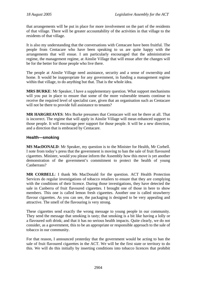that arrangements will be put in place for more involvement on the part of the residents of that village. There will be greater accountability of the activities in that village to the residents of that village.

It is also my understanding that the conversations with Centacare have been fruitful. The people from Centacare who have been speaking to us are quite happy with the arrangements that will ensue. I am particularly encouraged that the administrative regime, the management regime, at Ainslie Village that will ensue after the changes will be for the better for those people who live there.

The people at Ainslie Village need assistance, security and a sense of ownership and home. It would be inappropriate for any government, in funding a management regime within that village, to do anything but that. That is the whole idea.

**MRS BURKE**: Mr Speaker, I have a supplementary question. What support mechanisms will you put in place to ensure that some of the more vulnerable tenants continue to receive the required level of specialist care, given that an organisation such as Centacare will not be there to provide full assistance to tenants?

**MR HARGREAVES**: Mrs Burke presumes that Centacare will not be there at all. That is incorrect. The regime that will apply in Ainslie Village will mean enhanced support to those people. It will encourage peer support for those people. It will be a new direction, and a direction that is embraced by Centacare.

### **Health—smoking**

**MS MacDONALD**: Mr Speaker, my question is to the Minister for Health, Mr Corbell. I note from today's press that the government is moving to ban the sale of fruit flavoured cigarettes. Minister, would you please inform the Assembly how this move is yet another demonstration of the government's commitment to protect the health of young Canberrans?

**MR CORBELL**: I thank Ms MacDonald for the question. ACT Health Protection Services do regular investigations of tobacco retailers to ensure that they are complying with the conditions of their licence. During those investigations, they have detected the sale in Canberra of fruit flavoured cigarettes. I brought one of those in here to show members. This one is called lemon fresh cigarettes. Another one is called strawberry flavour cigarettes. As you can see, the packaging is designed to be very appealing and attractive. The smell of the flavouring is very strong.

These cigarettes send exactly the wrong message to young people in our community. They send the message that smoking is tasty; that smoking is a bit like having a lolly or a flavoured soft drink; and that it has no serious health impacts. Quite clearly, we do not consider, as a government, this to be an appropriate or responsible approach to the sale of tobacco in our community.

For that reason, I announced yesterday that the government would be acting to ban the sale of fruit flavoured cigarettes in the ACT. We will be the first state or territory to do this. We will do this initially by inserting conditions into tobacco licences that prohibit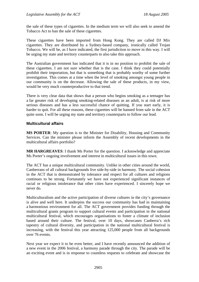the sale of these types of cigarettes. In the medium term we will also seek to amend the Tobacco Act to ban the sale of these cigarettes.

These cigarettes have been imported from Hong Kong. They are called DJ Mix cigarettes. They are distributed by a Sydney-based company, ironically called Trojan Tobacco. We will be, as I have indicated, the first jurisdiction to move in this way. I will be urging my state and territory counterparts to also take this approach.

The Australian government has indicated that it is in no position to prohibit the sale of these cigarettes. I am not sure whether that is the case. I think they could potentially prohibit their importation, but that is something that is probably worthy of some further investigation. This comes at a time when the level of smoking amongst young people in our community is on the decrease. Allowing the sale of these products, in my view, would be very much counterproductive to that trend.

There is very clear data that shows that a person who begins smoking as a teenager has a far greater risk of developing smoking-related diseases as an adult, is at risk of more serious diseases and has a less successful chance of quitting. If you start early, it is harder to quit. For all these reasons, these cigarettes will be banned from sale in the ACT quite soon. I will be urging my state and territory counterparts to follow our lead.

### **Multicultural affairs**

**MS PORTER**: My question is to the Minister for Disability, Housing and Community Services. Can the minister please inform the Assembly of recent developments in the multicultural affairs portfolio?

**MR HARGREAVES**: I thank Ms Porter for the question. I acknowledge and appreciate Ms Porter's ongoing involvement and interest in multicultural issues in this town.

The ACT has a unique multicultural community. Unlike in other cities around the world, Canberrans of all cultural backgrounds live side-by-side in harmony. The social cohesion in the ACT that is demonstrated by tolerance and respect for all cultures and religions continues to be strong. Fortunately we have not experienced significant instances of racial or religious intolerance that other cities have experienced. I sincerely hope we never do.

Multiculturalism and the active participation of diverse cultures in the city's governance is alive and well here. It underpins the success our community has had in maintaining a harmonious environment for all. The ACT government provides funding through the multicultural grants program to support cultural events and participation in the national multicultural festival, which encourages organisations to foster a climate of inclusion based around their culture. The festival, over 10 days, showcases Canberra's rich tapestry of cultural diversity, and participation in the national multicultural festival is increasing, with the festival this year attracting 125,000 people from all backgrounds over 76 events.

Next year we expect it to be even better, and I have recently announced the addition of a new event in the 2006 festival, a harmony parade through the city. The parade will be an exciting event and is in response to countless requests to celebrate and showcase the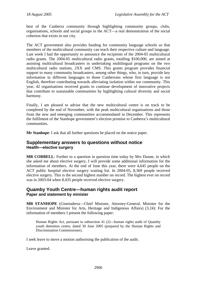best of the Canberra community through highlighting community groups, clubs, organisations, schools and social groups in the ACT—a real demonstration of the social cohesion that exists in our city.

The ACT government also provides funding for community language schools so that members of the multicultural community can teach their respective culture and language. Last week I had the opportunity to announce the recipients of the 2004-05 multicultural radio grants. The 2004-05 multicultural radio grants, totalling \$100,000, are aimed at assisting multicultural broadcasters in undertaking multilingual programs on the two multicultural radio stations, 2XX and CMS. This grants program provides financial support to many community broadcasters, among other things, who, in turn, provide key information in different languages to those Canberrans whose first language is not English, therefore contributing towards alleviating isolation within our community. This year, 42 organisations received grants to continue development of innovative projects that contribute to sustainable communities by highlighting cultural diversity and social harmony.

Finally, I am pleased to advise that the new multicultural centre is on track to be completed by the end of November, with the peak multicultural organisations and those from the new and emerging communities accommodated in December. This represents the fulfilment of the Stanhope government's election promise to Canberra's multicultural communities.

**Mr Stanhope**: I ask that all further questions be placed on the notice paper.

# **Supplementary answers to questions without notice Health—elective surgery**

**MR CORBELL**: Further to a question in question time today by Mrs Dunne, in which she asked me about elective surgery, I will provide some additional information for the information of members. At the end of June this year, there were 4,645 people on the ACT public hospital elective surgery waiting list. In 2004-05, 8,369 people received elective surgery. This is the second highest number on record. The highest ever on record was in 2003-04 when 8,435 people received elective surgery.

# **Quamby Youth Centre—human rights audit report Paper and statement by minister**

**MR STANHOPE** (Ginninderra—Chief Minister, Attorney-General, Minister for the Environment and Minister for Arts, Heritage and Indigenous Affairs) (3.24): For the information of members I present the following paper:

Human Rights Act, pursuant to subsection 41 (2)—human rights audit of Quamby youth detention centre, dated 30 June 2005 (prepared by the Human Rights and Discrimination Commissioner).

I seek leave to move a motion authorising the publication of the audit.

Leave granted.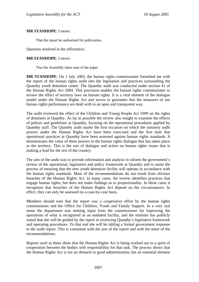#### **MR STANHOPE**: I move:

That the report be authorised for publication.

Question resolved in the affirmative.

#### **MR STANHOPE**: I move:

That the Assembly takes note of the paper.

**MR STANHOPE**: On 1 July 2005, the human rights commissioner furnished me with the report of the human rights audit into the legislation and practices surrounding the Quamby youth detention centre. The Quamby audit was conducted under section 41 of the Human Rights Act 2004. This provision enables the human rights commissioner to review the effect of territory laws on human rights. It is a vital element of the dialogue model under the Human Rights Act and serves to guarantee that the measures of our human rights performance are dealt with in an open and transparent way.

The audit reviewed the effect of the Children and Young People Act 1999 on the rights of detainees at Quamby. As far as possible the review also sought to examine the effects of polices and guidelines at Quamby, focusing on the operational procedures applied by Quamby staff. The Quamby audit marks the first occasion on which the statutory audit powers under the Human Rights Act have been exercised and the first time that operational practices at Quamby have been assessed against human rights standards. It demonstrates the value of these powers in the human rights dialogue that has taken place in the territory. This is the sort of dialogue and action on human rights issues that is making a lead for the rest of the country.

The aim of the audit was to provide information and analysis to inform the government's review of the operational, legislative and policy framework at Quamby and to assist the process of ensuring that the new youth detention facility will operate in accordance with the human rights standards. Most of the recommendations do not result from obvious breaches of the Human Rights Act. In many cases, the review identifies practices that engage human rights, but does not make findings as to proportionality. In these cases it recognises that breaches of the Human Rights Act depend on the circumstances. In effect, they can only be assessed on a case-by-case basis.

Members should note that the report was a cooperative effort by the human rights commissioner and the Office for Children, Youth and Family Support. In a very real sense the department was seeking input from the commissioner for improving the operations of what is recognised as an outdated facility, and the minister has publicly stated that she will be guided by the report in reviewing Quamby's legislative framework and operating procedures. To that end she will be tabling a formal government response to the audit report. This is consistent with the aim of the report and with the tenor of the recommendations.

Reports such as these show that the Human Rights Act is being worked out in a spirit of cooperation between the bodies with responsibility for that task. The process shows that the Human Rights Act is not an obstacle to good administration, but an essential element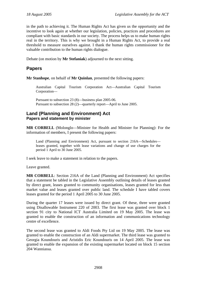in the path to achieving it. The Human Rights Act has given us the opportunity and the incentive to look again at whether our legislation, policies, practices and procedures are compliant with basic standards in our society. The process helps us to make human rights real in the territory. This is why we brought in a Human Rights Act, to provide a real threshold to measure ourselves against. I thank the human rights commissioner for the valuable contribution to the human rights dialogue.

Debate (on motion by **Mr Stefaniak**) adjourned to the next sitting.

# **Papers**

**Mr Stanhope**, on behalf of **Mr Quinlan**, presented the following papers:

Australian Capital Tourism Corporation Act—Australian Capital Tourism Corporation—

Pursuant to subsection 23 (8)—business plan 2005-06. Pursuant to subsection 28 (2)—quarterly report—April to June 2005.

# **Land (Planning and Environment) Act Papers and statement by minister**

**MR CORBELL** (Molonglo—Minister for Health and Minister for Planning): For the information of members, I present the following papers:

Land (Planning and Environment) Act, pursuant to section 216A—Schedules leases granted, together with lease variations and change of use charges for the period 1 April to 30 June 2005.

I seek leave to make a statement in relation to the papers.

Leave granted.

**MR CORBELL**: Section 216A of the Land (Planning and Environment) Act specifies that a statement be tabled in the Legislative Assembly outlining details of leases granted by direct grant, leases granted to community organisations, leases granted for less than market value and leases granted over public land. The schedule I have tabled covers leases granted for the period 1 April 2005 to 30 June 2005.

During the quarter 17 leases were issued by direct grant. Of these, three were granted using Disallowable Instrument 220 of 2003. The first lease was granted over block 1 section 91 city to National ICT Australia Limited on 19 May 2005. The lease was granted to enable the construction of an information and communications technology centre of excellence.

The second lease was granted to Aldi Foods Pty Ltd on 19 May 2005. The lease was granted to enable the construction of an Aldi supermarket. The third lease was granted to Georgia Koundouris and Aristidis Eric Koundouris on 14 April 2005. The lease was granted to enable the expansion of the existing supermarket located on block 15 section 204 Wanniassa.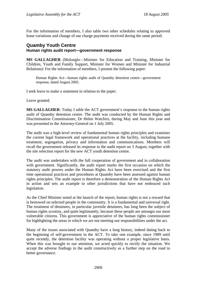For the information of members, I also table two other schedules relating to approved lease variations and change of use charge payments received during the same period.

### **Quamby Youth Centre Human rights audit report—government response**

**MS GALLAGHER** (Molonglo—Minister for Education and Training, Minister for Children, Youth and Family Support, Minister for Women and Minister for Industrial Relations): For the information of members, I present the following paper:

Human Rights Act—human rights audit of Quamby detention centre—government response, dated August 2005.

I seek leave to make a statement in relation to the paper.

Leave granted.

**MS GALLAGHER**: Today I table the ACT government's response to the human rights audit of Quamby detention centre. The audit was conducted by the Human Rights and Discrimination Commissioner, Dr Helen Watchirs, during May and June this year and was presented to the Attorney-General on 1 July 2005.

The audit was a high-level review of fundamental human rights principles and examines the current legal framework and operational practices at the facility, including humane treatment, segregation, privacy and information and communications. Members will recall the government released its response to the audit report on 3 August, together with the site selection report for the new ACT youth detention centre.

The audit was undertaken with the full cooperation of government and in collaboration with government. Significantly, the audit report marks the first occasion on which the statutory audit powers under the Human Rights Act have been exercised and the first time operational practices and procedures at Quamby have been assessed against human rights principles. The audit report is therefore a demonstration of the Human Rights Act in action and sets an example to other jurisdictions that have not embraced such legislation.

As the Chief Minister noted at the launch of the report, human rights is not a reward that is bestowed on selected people in the community. It is a fundamental and universal right. The treatment of detainees, in particular juvenile detainees, has long been the subject of human rights scrutiny, and quite legitimately, because these people are amongst our most vulnerable citizens. This government is appreciative of the human rights commissioner for highlighting the areas in which we are not meeting our responsibilities under the act.

Many of the issues associated with Quamby have a long history, indeed dating back to the beginning of self-government in the ACT. To take one example, since 1989 until quite recently, the detention facility was operating without a proper legislative basis. When this was brought to our attention, we acted quickly to rectify the situation. We accept the adverse findings in the audit constructively as a further step on the road to better governance.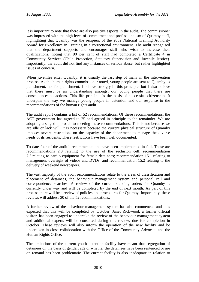It is important to note that there are also positive aspects in the audit. The commissioner was impressed with the high level of commitment and professionalism of Quamby staff, highlighting that Quamby was the recipient of the 2002 National Training Authority Award for Excellence in Training in a correctional environment. The audit recognised that the department supports and encourages staff who wish to increase their qualifications, noting that 90 per cent of staff had completed a Certificate 4 in Community Services (Child Protection, Statutory Supervision and Juvenile Justice). Importantly, the audit did not find any instances of serious abuse, but rather highlighted issues of concern.

When juveniles enter Quamby, it is usually the last step of many in the intervention process. As the human rights commissioner noted, young people are sent to Quamby as punishment, not for punishment. I believe strongly in this principle, but I also believe that there must be an understanding amongst our young people that there are consequences to actions. This life principle is the basis of successful citizenship. It underpins the way we manage young people in detention and our response to the recommendations of the human rights audit.

The audit report contains a list of 52 recommendations. Of these recommendations, the ACT government has agreed to 25 and agreed in principle to the remainder. We are adopting a staged approach to meeting these recommendations. This is not because we are idle or lack will. It is necessary because the current physical structure of Quamby imposes severe restrictions on the capacity of the department to manage the diverse needs of its residents. These restrictions have been well documented.

To date four of the audit's recommendations have been implemented in full. These are recommendations 2.3 relating to the use of the seclusion cell; recommendation 7.5 relating to cardio equipment for female detainees; recommendation 15.1 relating to management oversight of videos and DVDs; and recommendation 15.2 relating to the delivery of weekend newspapers.

The vast majority of the audit recommendations relate to the areas of classification and placement of detainees, the behaviour management system and personal cell and correspondence searches. A review of the current standing orders for Quamby is currently under way and will be completed by the end of next month. As part of this process there will be a review of policies and procedures for Quamby. Importantly, these reviews will address 30 of the 52 recommendations.

A further review of the behaviour management system has also commenced and it is expected that this will be completed by October. Janet Rickwood, a former official visitor, has been engaged to undertake the review of the behaviour management system and additional experts will be consulted during this review, due for completion in October. These reviews will also inform the operation of the new facility and be undertaken in close collaboration with the Office of the Community Advocate and the Human Rights Office.

The limitations of the current youth detention facility have meant that segregation of detainees on the basis of gender, age or whether the detainees have been sentenced or are on remand has been problematic. The current facility is also inadequate in relation to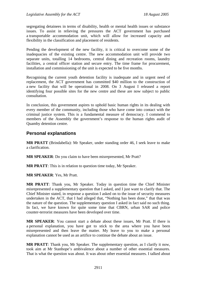segregating detainees in terms of disability, health or mental health issues or substance issues. To assist in relieving the pressures the ACT government has purchased a transportable accommodation unit, which will allow for increased capacity and flexibility in the classification and placement of residents.

Pending the development of the new facility, it is critical to overcome some of the inadequacies of the existing centre. The new accommodation unit will provide two separate units, totalling 14 bedrooms, central dining and recreation rooms, laundry facilities, a central officer station and secure entry. The time frame for procurement, installation and commissioning of the unit is expected to be five months.

Recognising the current youth detention facility is inadequate and in urgent need of replacement, the ACT government has committed \$40 million to the construction of a new facility that will be operational in 2008. On 3 August I released a report identifying four possible sites for the new centre and these are now subject to public consultation.

In conclusion, this government aspires to uphold basic human rights in its dealing with every member of the community, including those who have come into contact with the criminal justice system. This is a fundamental measure of democracy. I commend to members of the Assembly the government's response to the human rights audit of Quamby detention centre.

# **Personal explanations**

**MR PRATT** (Brindabella): Mr Speaker, under standing order 46, I seek leave to make a clarification.

**MR SPEAKER**: Do you claim to have been misrepresented, Mr Pratt?

**MR PRATT**: This is in relation to question time today, Mr Speaker.

**MR SPEAKER**: Yes, Mr Pratt.

**MR PRATT**: Thank you, Mr Speaker. Today in question time the Chief Minister misrepresented a supplementary question that I asked, and I just want to clarify that. The Chief Minister stated, in response a question I asked on to the issue of security measures undertaken in the ACT, that I had alleged that, "Nothing has been done," that that was the nature of the question. The supplementary question I asked in fact said no such thing. In fact, we have known for quite some time that CBRN, urban SAR and police counter-terrorist measures have been developed over time.

**MR SPEAKER**: You cannot start a debate about these issues, Mr Pratt. If there is a personal explanation, you have got to stick to the area where you have been misrepresented and then leave the matter. My leave to you to make a personal explanation cannot be used as an artifice to continue the debate about an issue.

**MR PRATT**: Thank you, Mr Speaker. The supplementary question, as I clarify it now, took aim at Mr Stanhope's ambivalence about a number of other essential measures. That is what the question was about. It was about other essential measures. I talked about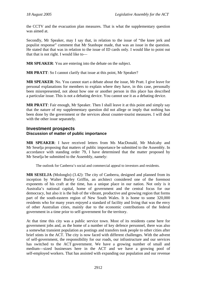the CCTV and the evacuation plan measures. That is what the supplementary question was aimed at.

Secondly, Mr Speaker, may I say that, in relation to the issue of "the knee jerk and populist response" comment that Mr Stanhope made, that was an issue in the question. He stated that that was in relation to the issue of ID cards only. I would like to point out that that is not right. I would like to—

**MR SPEAKER**: You are entering into the debate on the subject.

**MR PRATT**: So I cannot clarify that issue at this point, Mr Speaker?

**MR SPEAKER**: No. You cannot start a debate about the issue, Mr Pratt. I give leave for personal explanations for members to explain where they have, in this case, personally been misrepresented, not about how one or another person in this place has described a particular issue. This is not a debating device. You cannot use it as a debating device.

**MR PRATT**: Fair enough, Mr Speaker. Then I shall leave it at this point and simply say that the nature of my supplementary question did not allege or imply that nothing has been done by the government or the services about counter-tourist measures. I will deal with the other issue separately.

# **Investment prospects Discussion of matter of public importance**

**MR SPEAKER**: I have received letters from Ms MacDonald, Mr Mulcahy and Mr Seselja proposing that matters of public importance be submitted to the Assembly. In accordance with standing order 79, I have determined that the matter proposed by Mr Seselja be submitted to the Assembly, namely:

The outlook for Canberra's social and commercial appeal to investors and residents.

**MR SESELJA** (Molonglo) (3.42): The city of Canberra, designed and planned from its inception by Walter Burley Griffin, an architect considered one of the foremost exponents of his craft at the time, has a unique place in our nation. Not only is it Australia's national capital, home of government and the central focus for our democracy, but also it is the hub of the vibrant, productive and growing region that forms part of the south-eastern region of New South Wales. It is home to some 320,000 residents who for many years enjoyed a standard of facility and living that was the envy of other Australian cities, mainly due to the economic contributions of the federal government in a time prior to self-government for the territory.

At that time this city was a public service town. Most of its residents came here for government jobs and, as the home of a number of key defence personnel, there was also a somewhat transient population as postings and transfers took people to other cities after brief stints in the ACT. The city is now faced with different challenges. With the advent of self-government, the responsibility for our roads, our infrastructure and our services has switched to the ACT government. We have a growing number of small and medium—sized businesses here in the ACT and we have a growing pool of self-employed workers. That has assisted with expanding our population and our revenue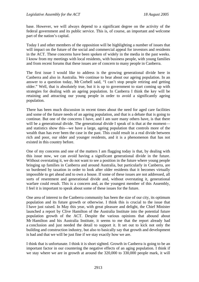base. However, we will always depend to a significant degree on the activity of the federal government and its public service. This is, of course, an important and welcome part of the nation's capital.

Today I and other members of the opposition will be highlighting a number of issues that will impact on the future of the social and commercial appeal for investors and residents in the ACT. These concerns have been spoken of widely in the media in the past weeks. I know from my meetings with local residents, with business people, with young families and from recent forums that these issues are of concern to many people in Canberra.

The first issue I would like to address is the growing generational divide here in Canberra and also in Australia. We continue to hear about our ageing population. In an answer to a question today, Mr Corbell said, "I can't stop people retiring and getting older." Well, that is absolutely true, but it is up to government to start coming up with strategies for dealing with an ageing population. In Canberra I think the key will be retaining and attracting our young people in order to avoid a significantly ageing population.

There has been much discussion in recent times about the need for aged care facilities and some of the future needs of an ageing population, and that is a debate that is going to continue. But one of the concerns I have, and I am sure many others have, is that there will be a generational divide. The generational divide I speak of is that at the moment and statistics show this—we have a large, ageing population that controls more of the wealth than has ever been the case in the past. This could result in a real divide between rich and poor, our older and younger residents, and it is a phenomenon that has not existed in this country before.

One of my concerns and one of the matters I am flagging today is that, by dealing with this issue now, we can avoid having a significant generational divide in the future. Without overstating it, we do not want to see a position in the future where young people bringing up families in Canberra and around Australia, but particularly in Canberra, are so burdened by taxation in order to look after older residents that it becomes virtually impossible to get ahead and to own a house. If some of these issues are not addressed, all sorts of resentment and generational divide and, without overstating it, generational warfare could result. This is a concern and, as the youngest member of this Assembly, I feel it is important to speak about some of these issues for the future.

One area of interest to the Canberra community has been the size of our city, its optimum population and its future growth or otherwise. I think this is crucial to the issue that I have just raised. In May this year, with great pleasure and delight, the Chief Minister launched a report by Clive Hamilton of the Australia Institute into the potential future population growth of the ACT. Despite the various opinions that abound about Mr Hamilton and his Australia Institute, it seems to me that the report already had a conclusion and just needed the detail to support it. It set out to kick not only the building and construction industry, but also to basically say that growth and development is bad and that we will be just fine if we stay exactly how we are.

I think that is unfortunate. I think it is short sighted. Growth in Canberra is going to be an important factor in our countering the negative effects of an aging population. I think if we stay where we are in growth at around the 320,000 to 330,000 people mark, it will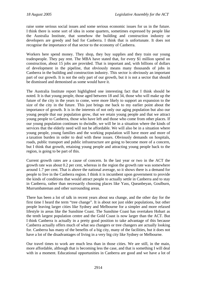raise some serious social issues and some serious economic issues for us in the future. I think there is some sort of idea in some quarters, sometimes expressed by people like the Australia Institute, that somehow the building and construction industry or developers are greedy and bad for Canberra. I think that is unfortunate. It does not recognise the importance of that sector to the economy of Canberra.

Workers here spend money. They shop, they buy supplies and they train our young tradespeople. They pay rent. The MBA have stated that, for every \$1 million spend on construction, about 15 jobs are provided. That is important and, with billions of dollars of development in the pipeline, that obviously means many thousands of jobs in Canberra in the building and construction industry. This sector is obviously an important part of our growth. It is not the only part of our growth, but it is not a sector that should be dismissed and demonised as some would have it.

The Australia Institute report highlighted one interesting fact that I think should be noted. It is that young people, those aged between 18 and 34, those who will make up the future of the city in the years to come, were more likely to support an expansion to the size of the city in the future. This just brings me back to my earlier point about the importance of growth. It is in the interests of not only our aging population but also our young people that our population grow, that we retain young people and that we attract young people to Canberra, those who have left and those who come from other places. If our young population continues to dwindle, we will be in a situation where the kinds of services that the elderly need will not be affordable. We will also be in a situation where young people, young families and the working population will have more and more of a taxation burden in order to deal with these issues. Obviously demands on hospitals, roads, public transport and public infrastructure are going to become more of a concern, but I think that growth, retaining young people and attracting young people back to the region, is going to be part of this.

Current growth rates are a cause of concern. In the last year or two in the ACT the growth rate was about 0.2 per cent, whereas in the region the growth rate was somewhere around 1.7 per cent. That is above the national average, so it shows there is a demand for people to live in the Canberra region. I think it is incumbent upon government to provide the kinds of conditions that would attract people to actually settle in Canberra and to stay in Canberra, rather than necessarily choosing places like Yass, Queanbeyan, Goulburn, Murrumbateman and other surrounding areas.

There has been a lot of talk in recent years about sea change, and the other day for the first time I heard the term "tree change". It is about not just older populations, but other people leaving larger cities like Sydney and Melbourne for a simpler and more relaxed lifestyle in areas like the Sunshine Coast. The Sunshine Coast has overtaken Hobart as the tenth largest population centre and the Gold Coast is now larger than the ACT. But I think Canberra is actually in a pretty good position to take advantage of this because Canberra actually offers much of what sea changers or tree changers are actually looking for. Canberra has many of the benefits of a big city, many of the facilities, but it does not have a lot of the disadvantages of living in a very big city like Sydney or Melbourne.

Our travel times to work are much less than in those cities. We are still, in the main, more affordable, although that is becoming less the case, and that is something I will deal with in a moment. Educational opportunities in Canberra are good and we have a lot of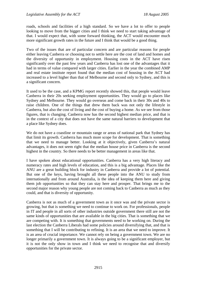roads, schools and facilities of a high standard. So we have a lot to offer to people looking to move from the bigger cities and I think we need to start taking advantage of that. I would expect that, with some forward thinking, the ACT would encounter much more significant growth rates in the future and I think that would be a good thing.

Two of the issues that are of particular concern and are particular reasons for people either leaving Canberra or choosing not to settle here are the cost of land and homes and the diversity of opportunity in employment. Housing costs in the ACT have risen significantly over the past few years and Canberra has lost one of the advantages that it had in terms of value compared with larger cities. Earlier in the year the combined AMP and real estate institute report found that the median cost of housing in the ACT had increased to a level higher than that of Melbourne and second only to Sydney, and this is a significant concern.

It used to be the case, and a KPMG report recently showed this, that people would leave Canberra in their 20s seeking employment opportunities. They would go to places like Sydney and Melbourne. They would go overseas and come back in their 30s and 40s to raise children. One of the things that drew them back was not only the lifestyle in Canberra, but also the cost of living and the cost of buying a home. As we see from those figures, that is changing. Canberra now has the second highest median price, and that is in the context of a city that does not have the same natural barriers to development that a place like Sydney does.

We do not have a coastline or mountain range or areas of national park that Sydney has that limit its growth. Canberra has much more scope for development. That is something that we need to manage better. Looking at it objectively, given Canberra's natural advantages, it does not seem right that the median house price in Canberra is the second highest in the country. So there needs to be better management in areas like that.

I have spoken about educational opportunities. Canberra has a very high literacy and numeracy rates and high levels of education, and this is a big advantage. Places like the ANU are a great building block for industry in Canberra and provide a lot of potential. But one of the keys, having brought all these people into the ANU to study from internationally and from around Australia, is the idea of keeping them here and giving them job opportunities so that they can stay here and prosper. That brings me to the second major reason why young people are not coming back to Canberra as much as they could, and that is diversity of opportunity.

Canberra is not as much of a government town as it once was and the private sector is growing, but that is something we need to continue to work on. For professionals, people in IT and people in all sorts of other industries outside government there still are not the same kinds of opportunities that are available in the big cities. That is something that we are competing with. It is something that governments need to be working on. During the last election the Canberra Liberals had some policies around diversifying that, and that is something that I will be contributing to refining. It is an area that we need to improve. It is an area of crucial importance. We cannot rely on being a government town. We are no longer primarily a government town. It is always going to be a significant employer, but it is not the only show in town and I think we need to recognise that and diversify opportunities for the private sector.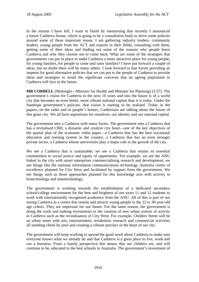In the minute I have left, I want to finish by mentioning that recently I announced a future Canberra forum, which is going to be a consultative body to drive some policies around some of these important issues. I am gathering industry leaders, community leaders, young people from the ACT and experts in their fields, consulting with them, getting some of their ideas and finding out some of the reasons why people leave Canberra and why they choose not to come back. What are some of the strategies that governments can put in place to make Canberra a more attractive place for young people, for young families, for people to come and raise families? I have put forward a couple of ideas, but no doubt there will be many others. I look forward to that forum providing an impetus for good alternative policies that we can put to the people of Canberra to provide ideas and strategies to avoid the significant concerns that an ageing population in Canberra will face in the future.

**MR CORBELL** (Molonglo—Minister for Health and Minister for Planning) (3.57): The government's vision for Canberra in the next 10 years and into the future is of a world city that becomes an even better, more vibrant national capital than it is today. Under the Stanhope government's policies, that vision is starting to be realised. Today in the papers, on the radio and in people's homes, Canberrans are talking about the future of this great city. We all have aspirations for ourselves, our identity and our national capital.

The government sees a Canberra with many facets. The government sees a Canberra that has a revitalised CBD, a dynamic and creative city heart—one of the key objectives of the spatial plan of the economic white paper—a Canberra that has the best vocational education and training system in the country, a Canberra that has an even stronger private sector, a Canberra whose universities play a major role in the growth of the city.

We see a Canberra that is sustainable; we see a Canberra that retains its essential commitment to social justice and equity of opportunity. For example, we see the ANU linked to the city with smart enterprises commercialising research and development; we see things like the national information communications technology Australia centre of excellence planned for City West and facilitated by support from the government. We see things such as those approaches planned for this knowledge axis with activity in biotechnology and nanotechnology.

The government is working towards the establishment of a dedicated secondary school/college environment for the best and brightest of our years 11 and 12 students to work with internationally recognised academics from the ANU. All of this is part of our seeing Canberra as a centre that retains and attracts young people in the 22 to 30-year-old age cohort. They are important for our future. For the same reason, the government is doing the work and making investments in the creation of new urban centres of activity in Canberra such as the revitalisation of City West. For example, Childers Street will be an urban street with arts, entertainment, residential, research and commercial activities all standing cheek by jowl and creating a vibrant precinct in the heart of our city.

The government will keep working to spread the good word about Canberra to make sure everyone knows what we already do and that Canberra is a great place to live, work and run a business. From a family perspective this means that our children are, and will continue to be, educated in the best schools in Australia. The government's investment of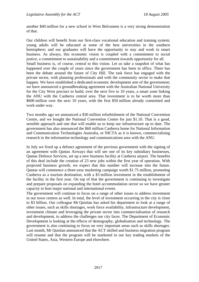another \$40 million for a new school in West Belconnen is a very strong demonstration of that.

Our children will benefit from our first-class vocational education and training system; young adults will be educated at some of the best universities in the southern hemisphere; and our graduates will have the opportunity to stay and work in smart business. As always, this economic vision is coupled with a commitment to social justice, a commitment to sustainability and a commitment towards opportunity for all. Small business is, of course, central to this vision. Let us take a snapshot of what has happened over the couple of years since the government has been in office. There has been the debate around the future of City Hill. The task force has engaged with the private sector, with planning professionals and with the community sector to make that happen. We have established a dedicated economic development arm of the government; we have announced a groundbreaking agreement with the Australian National University for the City West precinct to build, over the next five to 10 years, a smart zone linking the ANU with the Canberra central area. That investment is to be worth more than \$600 million over the next 10 years, with the first \$50 million already committed and work under way.

Two months ago we announced a \$30 million refurbishment of the National Convention Centre, and we bought the National Convention Centre for just \$1.10. That is a good, sensible approach and one that will enable us to keep our infrastructure up to date. The government has also announced the \$60 million Canberra home for National Information and Communication Technologies Australia, or NICTA as it is known, commercialising research in the information technology and communications area with the ANU.

In July we fixed up a defunct agreement of the previous government with the signing of an agreement with Qantas Airways that will see one of its key subsidiary businesses, Qantas Defence Services, set up a new business facility at Canberra airport. The benefits of this deal include the creation of 23 new jobs within the first year of operation. With projected business growth, we expect that this number will increase into the future. Qantas will commence a three-year marketing campaign worth \$1.75 million, promoting Canberra as a tourism destination, with a \$3 million investment in the establishment of the facility in the first year. On top of that the government is continuing to investigate and prepare proposals on expanding the hotel accommodation sector so we have greater capacity to host major national and international events.

The government will continue to focus on a range of other issues to address investment in our town centres as well. In total, the level of investment occurring in the city is close to \$3 billion. Our colleague Mr Quinlan has asked his department to look at a range of other issues, such as skills shortages, work force availability, infrastructure development, investment climate and leveraging the private sector into commercialisation of research and development, to address the challenges our city faces. The Department of Economic Development is looking at the effects of demography, globalisation and technology. The government is also continuing to focus on very important areas such as skills shortages. Last month, Mr Quinlan announced that the ACT skilled and business migration program will resume and that the program will be marketed in our key trading markets of the United States, Asia, Western Europe and elsewhere.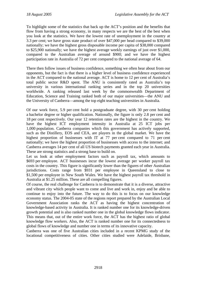To highlight some of the statistics that back up the ACT's position and the benefits that flow from having a strong economy, in many respects we are the best of the best when you look at the statistics. We have the lowest rate of unemployment in the country at 3.3 per cent; we have gross state product of over \$47,000 per head compared to \$39,000 nationally; we have the highest gross disposable income per capita of \$38,000 compared to \$25,900 nationally; we have the highest average weekly earnings of just over \$1,000, compared to the Australian average of around \$900; and we have the highest participation rate in Australia of 72 per cent compared to the national average of 64.

There then follow issues of business confidence, something we often hear about from our opponents, but the fact is that there is a higher level of business confidence experienced in the ACT compared to the national average. ACT is home to 12 per cent of Australia's total public sector R&D spent. The ANU is consistently rated as Australia's top university in various international ranking series and in the top 20 universities worldwide. A ranking released last week by the commonwealth Department of Education, Science and Training ranked both of our major universities—the ANU and the University of Canberra—among the top eight teaching universities in Australia.

Of our work force, 5.9 per cent hold a postgraduate degree, with 30 per cent holding a bachelor degree or higher qualification. Nationally, the figure is only 2.8 per cent and 18 per cent respectively. Our year 12 retention rates are the highest in the country. We have the highest ICT employment intensity in Australia at 25 ICT jobs per 1,000 population. Canberra companies which this government has actively supported, such as the Distillery, EOS and CEA, are players in the global market. We have the highest proportion of businesses with IT at 77 per cent compared to 71 per cent nationally; we have the highest proportion of businesses with access to the internet; and Canberra averages 14 per cent of all US biotech payments granted each year in Australia. These are strong statistics and a strong base to build on.

Let us look at other employment factors such as payroll tax, which amounts to \$693 per employee. ACT businesses incur the lowest average per worker payroll tax costs in the country. This figure is significantly lower than the figures of other Australian jurisdictions. Costs range from \$931 per employee in Queensland to close to \$1,500 per employee in New South Wales. We have the highest payroll tax threshold in Australia at \$1.25 million. These are all compelling figures.

Of course, the real challenge for Canberra is to demonstrate that it is a diverse, attractive and vibrant city which people want to come and live and work in, enjoy and be able to continue to enjoy into the future. The way to do this is to focus on our knowledge economy status. The 2004-05 state of the regions report prepared by the Australian Local Government Association ranks the ACT as having the highest concentration of knowledge-based activity in Australia. It is ranked number one for its knowledge-driven growth potential and is also ranked number one in the global knowledge flows indicator. This means that, out of the entire work force, the ACT has the highest ratio of global knowledge flow workers. Also, the ACT is ranked number one for its connectedness to global flows of knowledge and number one in terms of its innovative capacity.

Canberra was one of five Australian cities included in a recent KPMG study of the locational competitiveness of cities. Other cities studied were Adelaide, Brisbane,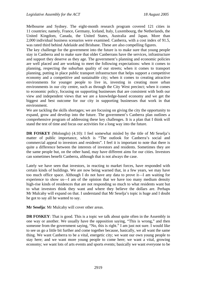Melbourne and Sydney. The eight-month research program covered 121 cities in 11 countries; namely, France, Germany, Iceland, Italy, Luxembourg, the Netherlands, the United Kingdom, Canada, the United States, Australia and Japan. More than 2,000 individual business scenarios were examined. Canberra, with a cost index of 91.5, was rated third behind Adelaide and Brisbane. These are also compelling figures.

The key challenge for the government into the future is to make sure that young people stay in Canberra and to make sure that older Canberrans have the services, infrastructure and support they deserve as they age. The government's planning and economic policies are well placed and are working to meet the following expectations: when it comes to planning, respecting the suburban quality of our streets; when it comes to transport planning, putting in place public transport infrastructure that helps support a competitive economy and a competitive and sustainable city; when it comes to creating attractive environments for younger people to live in, investing in creating more urban environments in our city centre, such as through the City West precinct; when it comes to economic policy, focusing on supporting businesses that are consistent with both our view and independent views that we are a knowledge-based economy and we get the biggest and best outcome for our city in supporting businesses that work in that environment.

We are tackling the skills shortages; we are focusing on giving the city the opportunity to expand, grow and develop into the future. The government's Canberra plan outlines a comprehensive program of addressing these key challenges. It is a plan that I think will stand the test of time and focus our activities for a long way into the future.

**DR FOSKEY** (Molonglo) (4.10): I feel somewhat misled by the title of Mr Seselja's matter of public importance, which is "The outlook for Canberra's social and commercial appeal to investors and residents". I feel it is important to note that there is quite a difference between the interests of investors and residents. Sometimes they are the same people but, on the other hand, may have different aims for our cities. Investors can sometimes benefit Canberra, although that is not always the case.

Lately we have seen that investors, in reacting to market forces, have responded with certain kinds of buildings. We are now being warned that, in a few years, we may have too much office space. Although I do not have any data to prove it—I am waiting for experience to show us—I am of the opinion that we have too many medium density high-rise kinds of residences that are not responding so much to what residents want but to what investors think they want and where they believe the dollars are. Perhaps Mr Mulcahy will expand on that. I understand that Mr Seselja's topic is huge and I doubt he got to say all he wanted to say.

**Mr Seselja**: Mr Mulcahy will cover other areas.

**DR FOSKEY:** That is good. This is a topic we talk about quite often in the Assembly in one way or another. We usually have the opposition saying, "This is wrong," and then someone from the government saying, "No, this is right." I am just not sure. I would like to see us go a little bit further and come together because, basically, we all want the same thing. We want Canberra to be a vital, energetic city; we want our own young people to stay here; and we want more young people to come here; we want a vital, growing economy; we want lots of arts events and sports events; basically we want everyone to be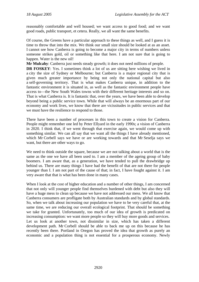reasonably comfortable and well housed; we want access to good food; and we want good roads, public transport, et cetera. Really, we all want the same benefits.

Of course, the Greens have a particular approach to these things as well, and I guess it is time to throw that into the mix. We think our small size should be looked at as an asset. I cannot see how Canberra is going to become a major city in terms of numbers unless someone strikes gold, oil or something like that here. I am not sure that is going to happen. Water is the new oil!

**Mr Mulcahy**: Canberra just needs steady growth; it does not need millions of people.

**DR FOSKEY:** Yes. I sometimes think a lot of us are sitting here wishing we lived in a city the size of Sydney or Melbourne; but Canberra is a major regional city that is given much greater importance by being not only the national capital but also a self-governing territory. That is what makes Canberra unique, in addition to the fantastic environment it is situated in, as well as the fantastic environment people have access to—the New South Wales towns with their different heritage interests and so on. That is what Canberra is. It is fantastic that, over the years, we have been able to develop beyond being a public service town. While that will always be an enormous part of our economy and work lives, we know that there are vicissitudes in public services and that we must have the resilience to respond to those.

There have been a number of processes in this town to create a vision for Canberra. People might remember one led by Peter Ellyard in the early 1990s; a vision of Canberra in 2020. I think that, if we went through that exercise again, we would come up with something similar. We can all say that we want all the things I have already mentioned, which Mr Corbell says we have or are working towards and that Mr Seselja says we want, but there are other ways to go.

We need to think outside the square, because we are not talking about a world that is the same as the one we have all been used to. I am a member of the ageing group of baby boomers. I am aware that, as a generation, we have tended to pull the drawbridge up behind us. There are many things I have had the benefit of that are not there for people younger than I. I am not part of the cause of that; in fact, I have fought against it. I am very aware that that is what has been done in many cases.

When I look at the cost of higher education and a number of other things, I am concerned that not only will younger people find themselves burdened with debt but also they will have a huge mess to clean up because we have not addressed our mess. We all know that Canberra consumers are profligate both by Australian standards and by global standards. So, when we talk about increasing our population we have to be very careful that, at the same time, we are reducing our overall ecological footprint. That should be something we take for granted. Unfortunately, too much of our idea of growth is predicated on increasing consumption: we want more people so they will buy more goods and services. Let us look at another town, not dissimilar in size, which has taken a different development path. Mr Corbell should be able to back me up on this because he has recently been there. Portland in Oregon has proved the idea that growth as purely an economic and a population thing is not essential for a prosperous economy. Newly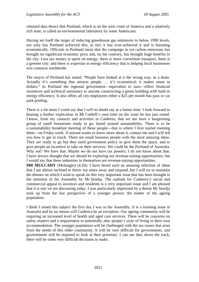released data shows that Portland, which is on the west coast of America and a relatively rich state, is called an environmental laboratory by some Americans.

Having set itself the target of reducing greenhouse gas emissions to below 1990 levels, not only has Portland achieved this, in fact it has over-achieved it and is booming economically. Officials in Portland insist that the campaign to cut carbon emissions has brought no significant economic price and, on the contrary, has brought huge benefits to the city. Less tax money is spent on energy; there is more convenient transport; there is a greener city; and there is expertise in energy efficiency that is helping local businesses win contracts worldwide.

The mayor of Portland has stated, "People have looked at it the wrong way, as a drain. Actually it's something that attracts people … it's economical; it makes sense in dollars." In Portland the regional government—equivalent to ours—offers financial incentives and technical assistance to anyone constructing a green building with built-in energy efficiency. It also offers all city employees either a \$25 per month bus pass or car park pooling.

There is a lot more I could say that I will no doubt say at a future time. I look forward to hearing a further explication in Mr Corbell's own time on the issue he has just raised. I know, from my contacts and activities in Canberra, that we too have a burgeoning group of small businesses ready to go, based around sustainability. There is to be a sustainability breakfast meeting of these people—that is where I first started meeting them—on Friday week. If anyone wants to know more about it, contact me and I will tell you how to get in touch. There are small business people with the most amazing ideas. They are ready to go but they need government policy to give them the space, and to give people an incentive to take on their services. We could be the Portland of Australia. Why not? We have that. Maybe we do not have tax powers; I do not know about that. I have always thought that we should be exploring our revenue-raising opportunities, but I would say that these industries in themselves are revenue-raising opportunities.

**MR MULCAHY** (Molonglo) (4.20): I have heard such an amazing selection of ideas that I am almost inclined to throw my notes away and respond, but I will try to maintain the themes on which I wish to speak on this very important issue that has been brought to the attention of the Assembly by Mr Seselja. The outlook for Canberra's social and commercial appeal to investors and residents is a very important issue and I am pleased that it is one we are discussing today. I was particularly impressed by a theme Mr Seselja took up from the fair perspective of a younger person: the matter of the ageing population.

I think I raised this subject the first day I was in the Assembly. It is a looming issue in Australia and by no means will Canberra be an exception. Our ageing community will be requiring an increased level of health and aged care services. There will be concerns on safety matters and a requirement to potentially alter people's style of living in their own accommodation. The younger population will be challenged with the tax issues that arise from the needs of this older community. It will be very difficult for governments, and governments will be required to look at their priorities. I can see that, down the track, there will be some very difficult decisions to make.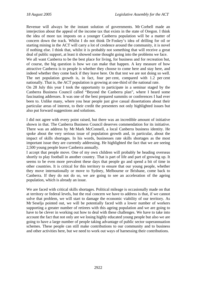Revenue will always be the instant solution of governments. Mr Corbell made an interjection about the appeal of the income tax that exists in the state of Oregon. I think the idea of more tax imposts on a younger Canberra population will be a matter of concern down the track. Whilst I do not think Dr Foskey's idea of drilling for oil or starting mining in the ACT will carry a lot of credence around the community, it is novel if nothing else. I think that, whilst it is probably not something that will receive a great deal of public support, at least it showed some thought going into the problems we face. We all want Canberra to be the best place for living, for business and for recreation but, of course, the big question is how we can make that happen. A key measure of how attractive Canberra is to people is whether they choose to come here and stay here, and indeed whether they come back if they leave here. On that test we are not doing so well. The net population growth is, in fact, four per cent, compared with 1.2 per cent nationally. That is, the ACT population is growing at one-third of the national rate. On 28 July this year I took the opportunity to participate in a seminar staged by the Canberra Business Council called "Beyond the Canberra plan", where I heard some fascinating addresses. It was one of the best prepared summits or conferences I had ever been to. Unlike many, where you hear people just give casual dissertations about their particular areas of interest, to their credit the presenters not only highlighted issues but

also put forward suggestions and solutions. I did not agree with every point raised, but there was an incredible amount of initiative shown in that. The Canberra Business Council deserves commendation for its initiative. There was an address by Mr Mark McConnell, a local Canberra business identity. He

spoke about the very serious issue of population growth and, in particular, about the impact of skills shortages. In his words, businesses rate skills shortages as the most important issue they are currently addressing. He highlighted the fact that we are seeing 2,500 young people leave Canberra annually.

I accept that people move. One of my own children will probably be heading overseas shortly to play football in another country. That is part of life and part of growing up. It seems to be even more prevalent these days that people go and spend a bit of time in other countries. It is critical for this territory to ensure that our young people, whether they move internationally or move to Sydney, Melbourne or Brisbane, come back to Canberra. If they do not do so, we are going to see an acceleration of the ageing population, which is already an issue.

We are faced with critical skills shortages. Political mileage is occasionally made on that at territory or federal levels, but the real concern we have to address is that, if we cannot solve that problem, we will start to damage the economic viability of our territory. As Mr Seselja pointed out, we will be potentially faced with a lower number of workers supporting a greater number of retirees with this ageing population and we are going to have to be clever in working out how to deal with these challenges. We have to take into account the fact that not only are we losing highly educated young people but also we are going to have a large number of people taking advantage of public sector superannuation schemes. These people can still make contributions to our community and to business and other activities here, but we need to work out ways of harnessing their contributions.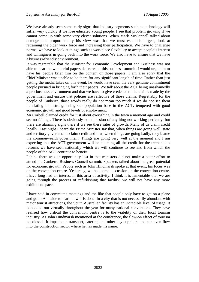We have already seen some early signs that industry segments such as technology will suffer very quickly if we lose educated young people. I see that problem growing if we cannot come up with some very clever solutions. When Mark McConnell talked about demographic proportionality his view was that we must establish targets, look at retraining the older work force and increasing their participation. We have to challenge norms; we have to look at things such as workplace flexibility to accept people's interest and willingness in going back into the work force. We also have to ensure that we have a business-friendly environment.

It was regrettable that the Minister for Economic Development and Business was not able to hear the wonderful papers delivered at this business summit. I would urge him to have his people brief him on the content of those papers. I am also sorry that the Chief Minister was unable to be there for any significant length of time. Rather than just getting the media takes on this event, he would have seen the very genuine commitment people pursued in bringing forth their papers. We talk about the ACT being unashamedly a pro-business environment and that we have to give credence to the claims made by the government and ensure that policies are reflective of those claims. Regrettably for the people of Canberra, those words really do not mean too much if we do not see them translating into strengthening our population base in the ACT, tempered with good economic growth and good levels of employment.

Mr Corbell claimed credit for just about everything in the town a moment ago and could see no failings. There is obviously no admission of anything not working perfectly, but there are alarming signs there if we see these rates of growth. Many of us claim credit locally. Last night I heard the Prime Minister say that, when things are going well, state and territory governments claim credit and that, when things are going badly, they blame the commonwealth government. Things are going very well at the moment and I am expecting that the ACT government will be claiming all the credit for the tremendous reforms we have seen nationally which we will continue to see and from which the people of the ACT continue to benefit.

I think there was an opportunity lost in that ministers did not make a better effort to attend the Canberra Business Council summit. Speakers talked about the great potential for economic growth. People such as John Hindmarsh spoke at that event; his focus was on the convention centre. Yesterday, we had some discussion on the convention centre. I have long had an interest in this area of activity. I think it is lamentable that we are going through the process of refurbishing that facility; we will not have any more exhibition space.

I have said in committee meetings and the like that people only have to get on a plane and go to Adelaide to learn how it is done. In a city that is not necessarily abundant with major tourist attractions, the South Australian facility has an incredible level of usage. It is booked out virtually throughout the year for many national conventions. They have realised how critical the convention centre is to the viability of their local tourism industry. As John Hindmarsh mentioned at the conference, the flow-on effect of tourism is colossal. It impacts on transport, catering and other key suppliers and can even flow into the construction sector where he has made his name.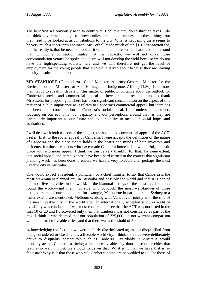The beneficiaries obviously need to contribute. I believe they do so through taxes. I do not think governments ought to throw endless amounts of money into these things, but they need to be looked at as contributions to the city. What is happening there seems to be very much a short-term approach. Mr Corbell made much of the \$1.10 transaction fee, but the reality is that he needs to look at it on a much more serious basis and understand that, without a convention centre that has capacity, we will not drive those accommodation venues he spoke about; we will not develop the yield because we do not have the high-spending tourists here and we will therefore not get the level of employment for the young people that Mr Seselja talked about because they are leaving the city in substantial numbers.

**MR STANHOPE** (Ginninderra—Chief Minister, Attorney-General, Minister for the Environment and Minister for Arts, Heritage and Indigenous Affairs) (4.30): I am more than happy to speak in debate on this matter of public importance about the outlook for Canberra's social and commercial appeal to investors and residents and to thank Mr Seselja for proposing it. There has been significant concentration on the aspect of this matter of public importance as it relates to Canberra's commercial appeal, but there has not been much concentration on Canberra's social appeal. I can understand members focusing on our economy, our capacity and our perceptions around that, as they are particularly important to our future and to our ability to meet our social hopes and aspirations.

I will deal with both aspects of the subject, the social and commercial appeal of the ACT. I refer, first, to the social appeal of Canberra. If one accepts the definition of the nature of Canberra and the place that it holds in the hearts and minds of both investors and residents, for those residents who have made Canberra home it is a wonderful, fantastic place with enormous appeal. I think we can be very thankful for that. To some extent, that social appeal and attractiveness have been hard earned in the context that significant planning work has been done to ensure we have a very liveable city, perhaps the most liveable city in Australia.

One would expect a resident, a politician, or a chief minister to say that Canberra is the most pre-eminent planned city in Australia and possibly the world and that it is one of the most liveable cities in the world. In the biannual listings of the most liveable cities round the world—and I am not sure who conducts the most well-known of those listings—some of our neighbours, for example, Melbourne in particular and Sydney to a lesser extent, are mentioned. Melbourne, along with Vancouver, jointly won the title of the most liveable city in the world after an internationally accepted study or audit of liveability was conducted. I was most concerned to see that the ACT was not listed in the first 10 or 20 and I discovered only then that Canberra was not considered as part of the mix. I think it was deemed that our population of 325,000 did not warrant comparison with other major liveable cities, and that there was a threshold of 500,000.

Acknowledging the fact that we were unfairly discriminated against or disqualified from being considered or classified as a liveable world city, I think the rules were deliberately drawn to disqualify competitors such as Canberra. Everybody in Australia would probably accept Canberra as being a far more liveable city than those other cities that feature so well. I think we should focus on that. What is it that we have that is so fantastic? Why is it that those who call Canberra home are so wedded to it? For those of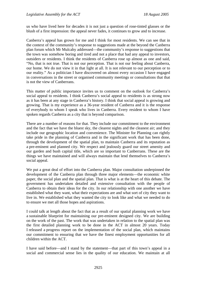us who have lived here for decades it is not just a question of rose-tinted glasses or the blush of a first impression: the appeal never fades, it continues to grow and to increase.

Canberra's appeal has grown for me and I think for most residents. We can see that in the context of the community's response to suggestions made at the beyond the Canberra plan forum which Mr Mulcahy addressed—the community's response to suggestions that the town was somehow boring and tired and not a place that had any appeal to investors, outsiders or residents. I think the residents of Canberra rose up almost as one and said, "No, that is not true. That is not our perception. That is not our feeling about Canberra, our home. We do not view it in that light at all. It is not relevant to our perception or to our reality." As a politician I have discovered on almost every occasion I have engaged in conversations in the street or organised community meetings or consultations that that is not the view of Canberrans.

This matter of public importance invites us to comment on the outlook for Canberra's social appeal to residents. I think Canberra's social appeal to residents is as strong now as it has been at any stage in Canberra's history. I think that social appeal is growing and growing. That is my experience as a 36-year resident of Canberra and it is the response of everybody to whom I speak who lives in Canberra. Every resident to whom I have spoken regards Canberra as a city that is beyond comparison.

There are a number of reasons for that. They include our commitment to the environment and the fact that we have the bluest sky, the clearest nights and the cleanest air; and they include our geographic location and convenience. The Minister for Planning can rightly take pride in the planning of Canberra and in the significant work that has been done, through the development of the spatial plan, to maintain Canberra and its reputation as a pre-eminent and planned city. We respect and jealously guard our street amenity and our garden and bush capital title, which are so important to Canberrans. These are the things we have maintained and will always maintain that lend themselves to Canberra's social appeal.

We put a great deal of effort into the Canberra plan. Major consultation underpinned the development of the Canberra plan through three major elements—the economic white paper, the social plan and the spatial plan. That is what is at the heart of this debate. The government has undertaken detailed and extensive consultation with the people of Canberra to obtain their ideas for the city. In our relationship with one another we have established what they want, what their expectations are and what sort of city they want to live in. We established what they wanted the city to look like and what we needed to do to ensure we met all those hopes and aspirations.

I could talk at length about the fact that as a result of our spatial planning work we have a sustainable blueprint for maintaining our pre-eminent designed city. We are building on the work of the past. The work that was undertaken in relation to the spatial plan was the first detailed planning work to be done in the ACT in almost 20 years. Today I released a progress report on the implementation of the social plan, which maintains our commitment to ensuring that we have the finest employment opportunities for all children within the ACT.

I have said before—and I stand by the statement—that part of this town's appeal in a social and commercial sense lies in the quality of our education. We maintain at all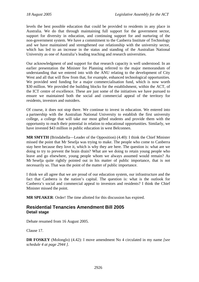levels the best possible education that could be provided to residents in any place in Australia. We do that through maintaining full support for the government sector, support for diversity in education, and continuing support for and nurturing of the non-government system. We have a commitment to the Canberra Institute of Technology and we have maintained and strengthened our relationship with the university sector, which has led to an increase in the status and standing of the Australian National University as one of Australia's leading teaching and research universities.

Our acknowledgment of and support for that research capacity is well understood. In an earlier presentation the Minister for Planning referred to the major memorandum of understanding that we entered into with the ANU relating to the development of City West and all that will flow from that, for example, enhanced technological opportunities. We provided seed funding for a major commercialisation fund, which is now worth \$30 million. We provided the building blocks for the establishment, within the ACT, of the ICT centre of excellence. These are just some of the initiatives we have pursued to ensure we maintained both the social and commercial appeal of the territory for residents, investors and outsiders.

Of course, it does not stop there. We continue to invest in education. We entered into a partnership with the Australian National University to establish the first university college, a college that will take our most gifted students and provide them with the opportunity to reach their potential in relation to educational opportunities. Similarly, we have invested \$43 million in public education in west Belconnen.

**MR SMYTH** (Brindabella—Leader of the Opposition) (4.40): I think the Chief Minister missed the point that Mr Seselja was trying to make. The people who come to Canberra stay here because they love it, which is why they are here. The question is: what are we doing to try to prevent the brain drain? What are we doing to retain young people who leave and go elsewhere, young people whom we always assumed would remain? As Mr Seselja quite rightly pointed out in his matter of public importance, that is not necessarily so. That was the point of the matter of public importance.

I think we all agree that we are proud of our education system, our infrastructure and the fact that Canberra is the nation's capital. The question is: what is the outlook for Canberra's social and commercial appeal to investors and residents? I think the Chief Minister missed the point.

**MR SPEAKER**: Order! The time allotted for this discussion has expired.

# **Residential Tenancies Amendment Bill 2005 Detail stage**

Debate resumed from 16 August 2005.

Clause 17.

**DR FOSKEY** (Molonglo) (4.42): I move amendment No 4 circulated in my name *[see schedule 4 at page 2944 ]*.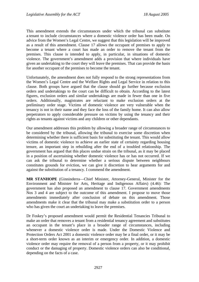This amendment extends the circumstances under which the tribunal can substitute a tenant to include circumstances where a domestic violence order has been made. On advice from the Women's Legal Centre, we suggest that this legislation will be improved as a result of this amendment. Clause 17 allows the occupant of premises to apply to become a tenant where a court has made an order to remove the tenant from the premises. This clause is intended to apply, in particular, in situations of domestic violence. The government's amendment adds a provision that where individuals have given an undertaking to the court they will leave the premises. That can provide the basis for another occupant of the premises to become the tenant.

Unfortunately, the amendment does not fully respond to the strong representations from the Women's Legal Centre and the Welfare Rights and Legal Service in relation to this clause. Both groups have argued that the clause should go further because exclusion orders and undertakings to the court can be difficult to obtain. According to the latest figures, exclusion orders and similar undertakings are made in fewer than one in five orders. Additionally, magistrates are reluctant to make exclusion orders at the preliminary order stage. Victims of domestic violence are very vulnerable when the tenancy is not in their name and they face the loss of the family home. It can also allow perpetrators to apply considerable pressure on victims by using the tenancy and their rights as tenants against victims and any children or other dependants.

Our amendment addresses this problem by allowing a broader range of circumstances to be considered by the tribunal, allowing the tribunal to exercise some discretion when determining whether there is sufficient basis for substituting the tenant. This would allow victims of domestic violence to achieve an earlier state of certainty regarding housing tenure, an important step in rebuilding after the end of a troubled relationship. The government has argued that this places undue strain on the tribunal, as it may be placed in a position of ascertaining whether domestic violence has or has not occurred. If we can ask the tribunal to determine whether a serious dispute between neighbours constitutes grounds for eviction, we can give it discretion to hear arguments for and against the substitution of a tenancy. I commend the amendment.

**MR STANHOPE** (Ginninderra—Chief Minister, Attorney-General, Minister for the Environment and Minister for Arts, Heritage and Indigenous Affairs) (4.46): The government has also proposed an amendment to clause 17. Government amendments Nos 3 and 4 are subject to the outcome of this amendment. I propose to move those amendments immediately after conclusion of debate on this amendment. Those amendments make it clear that the tribunal may make a substitution order to a person who has given the court an undertaking to leave the premises.

Dr Foskey's proposed amendment would permit the Residential Tenancies Tribunal to make an order that removes a tenant from a residential tenancy agreement and substitutes an occupant in the tenant's place in a broader range of circumstances, including whenever a domestic violence order is made. Under the Domestic Violence and Protection Orders Act 2001 a domestic violence order may be a final order, or it may be a short-term order known as an interim or emergency order. In addition, a domestic violence order may require the removal of a person from a property, or it may prohibit conduct or the damaging of property. Domestic violence orders can also be conditional, depending on the facts of a case.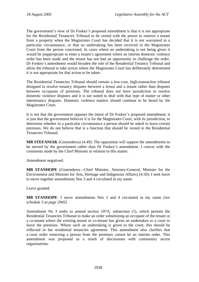The government's view of Dr Foskey's proposed amendment is that it is not appropriate for the Residential Tenancies Tribunal to be vested with the power to remove a tenant from a property when the Magistrates Court has decided that it is not warranted in a particular circumstance, or that an undertaking has been received in the Magistrates Court from the person concerned. In cases where an undertaking is not being given it would be inappropriate to enter a tenant's agreement where an interim domestic violence order has been made and the tenant has not had an opportunity to challenge the order. Dr Foskey's amendment would broaden the role of the Residential Tenancy Tribunal and allow the tribunal to take action where the Magistrates Court has deliberately determined it is not appropriate for that action to be taken.

The Residential Tenancies Tribunal should remain a low-cost, high-transaction tribunal designed to resolve tenancy disputes between a lessor and a tenant rather than disputes between occupants of premises. The tribunal does not have jurisdiction to resolve domestic violence disputes and it is not suited to deal with that type of matter or other intertenancy disputes. Domestic violence matters should continue to be heard by the Magistrates Court.

It is not that the government opposes the intent of Dr Foskey's proposed amendment; it is just that the government believes it is for the Magistrates Court, with its jurisdiction, to determine whether in a particular circumstance a person should be asked to leave certain premises. We do not believe that is a function that should be vested in the Residential Tenancies Tribunal.

**MR STEFANIAK** (Ginninderra) (4.49): The opposition will support the amendments to be moved by the government rather than Dr Foskey's amendment. I concur with the comments made by the Chief Minister in relation to this matter.

Amendment negatived.

**MR STANHOPE** (Ginninderra—Chief Minister, Attorney-General, Minister for the Environment and Minister for Arts, Heritage and Indigenous Affairs) (4.50): I seek leave to move together amendments Nos 3 and 4 circulated in my name.

Leave granted.

**MR STANHOPE**: I move amendments Nos 3 and 4 circulated in my name *[see schedule 5 at page 2945]*.

Amendment No 3 seeks to amend section 107A, subsection (1), which permits the Residential Tenancies Tribunal to make an order substituting an occupant of the tenant or a co-tenant where the existing tenant or co-tenant has given an undertaken to a court to leave the premises. Where such an undertaking is given to the court, this should be reflected in the residential tenancies agreement. This amendment also clarifies that a court order removing a person from the premises cannot be an interim order. This amendment was proposed as a result of discussions with community sector organisations.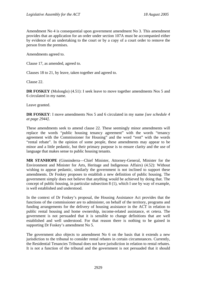Amendment No 4 is consequential upon government amendment No 3. This amendment provides that an application for an order under section 107A must be accompanied either by evidence of an undertaking to the court or by a copy of a court order to remove the person from the premises.

Amendments agreed to.

Clause 17, as amended, agreed to.

Clauses 18 to 21, by leave, taken together and agreed to.

Clause 22.

**DR FOSKEY** (Molonglo) (4.51): I seek leave to move together amendments Nos 5 and 6 circulated in my name.

Leave granted.

**DR FOSKEY**: I move amendments Nos 5 and 6 circulated in my name *[see schedule 4 at page 2944]*.

These amendments seek to amend clause 22*.* These seemingly minor amendments will replace the words "public housing tenancy agreement" with the words "tenancy agreement with the Commissioner for Housing" and the word "rent" with the words "rental rebate". In the opinion of some people, these amendments may appear to be minor and a little pedantic, but their primary purpose is to ensure clarity and the use of language that makes sense to public housing tenants.

**MR STANHOPE** (Ginninderra—Chief Minister, Attorney-General, Minister for the Environment and Minister for Arts, Heritage and Indigenous Affairs) (4.52): Without wishing to appear pedantic, similarly the government is not inclined to support these amendments. Dr Foskey proposes to establish a new definition of public housing. The government simply does not believe that anything would be achieved by doing that. The concept of public housing, in particular subsection 8 (1), which I use by way of example, is well established and understood.

In the context of Dr Foskey's proposal, the Housing Assistance Act provides that the functions of the commissioner are to administer, on behalf of the territory, programs and funding arrangements for the delivery of housing assistance in the ACT in relation to public rental housing and home ownership, income-related assistance, et cetera. The government is not persuaded that it is sensible to change definitions that are well established and well understood. For that reason there is nothing to be gained in supporting Dr Foskey's amendment No 5.

The government also objects to amendment No 6 on the basis that it extends a new jurisdiction to the tribunal to consider rental rebates in certain circumstances. Currently, the Residential Tenancies Tribunal does not have jurisdiction in relation to rental rebates. It is not a function of the tribunal and the government is not persuaded that it should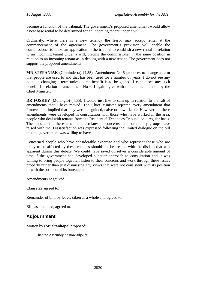become a function of the tribunal. The government's proposed amendment would allow a new base rental to be determined for an incoming tenant under a will.

Ordinarily, where there is a new tenancy the lessor may accept rental at the commencement of the agreement. The government's provision will enable the commissioner to make an application to the tribunal to establish a new rental in relation to an incoming tenant under a will, placing the commissioner in the same position in relation to an incoming tenant as in dealing with a new tenant. The government does not support the proposed amendments.

**MR STEFANIAK** (Ginninderra) (4.55): Amendment No 5 proposes to change a term that people are used to and that has been used for a number of years. I do not see any point in changing a term unless some benefit is to be gained. I cannot see any such benefit. In relation to amendment No 6, I again agree with the comments made by the Chief Minister.

**DR FOSKEY** (Molonglo) (4.55): I would just like to sum up in relation to the raft of amendments that I have moved. The Chief Minister rejected every amendment that I moved and implied that they were misguided, naive or unworkable. However, all these amendments were developed in consultation with those who have worked in the area, people who deal with tenants from the Residential Tenancies Tribunal on a regular basis. The impetus for these amendments relates to concerns that community groups have raised with me. Dissatisfaction was expressed following the limited dialogue on the bill that the government was willing to have.

Concerned people who have considerable expertise and who represent those who are likely to be affected by these changes should not be treated with the disdain that was apparent during this debate. We could have saved ourselves a considerable amount of time if the government had developed a better approach to consultation and it was willing to bring people together, listen to their concerns and work through these issues properly rather than just dismissing any views that were not consistent with its position or with the position of its bureaucrats.

Amendments negatived.

Clause 22 agreed to.

Remainder of bill, by leave, taken as a whole and agreed to.

Bill, as amended, agreed to.

# **Adjournment**

Motion by (**Mr Stanhope**) proposed:

That the Assembly do now adjourn.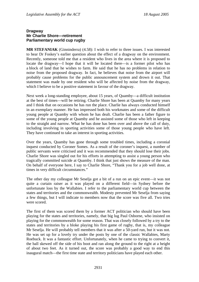## **Dragway Mr Charlie Shore—retirement Parliamentary world cup rugby**

**MR STEFANIAK** (Ginninderra) (4.58): I wish to refer to three issues. I was interested to hear Dr Foskey's earlier question about the effect of a dragway on the environment. Recently, someone told me that a resident who lives in the area where it is proposed to locate the dragway—I hope that it will be located there—is a former pilot who has a block of land that he wishes to farm. He said that he has no problems in relation to noise from the proposed dragway. In fact, he believes that noise from the airport will probably cause problems for the public announcement system and drown it out. That statement was made by one resident who will be affected by noise from the dragway, which I believe to be a positive statement in favour of the dragway.

Next week a long-standing employee, about 15 years, of Quamby—a difficult institution at the best of times—will be retiring. Charlie Shore has been at Quamby for many years and I think that on occasions he has run the place. Charlie has always conducted himself in an exemplary manner. He has impressed both his workmates and some of the difficult young people at Quamby with whom he has dealt. Charlie has been a father figure to some of the young people at Quamby and he assisted some of those who left in keeping to the straight and narrow. What he has done has been over and above the call of duty, including involving in sporting activities some of those young people who have left. They have continued to take an interest in sporting activities.

Over the years, Quamby has gone through some troubled times, including a coronial inquest conducted by Coroner Somes. As a result of the coroner's inquest, a number of public servants were criticised and it was recommended that they should lose their jobs. Charlie Shore was singled out for his efforts in attempting to assist a young person who tragically committed suicide at Quamby. I think that just shows the measure of the man. On behalf of everyone here, I say to Charlie Shore, "Thank you for a job well done, at times in very difficult circumstances."

The other day my colleague Mr Seselja got a bit of a run on an epic event—it was not quite a curtain raiser as it was played on a different field—in Sydney before the unfortunate loss by the Wallabies. I refer to the parliamentary world cup between the states and territories and the commonwealth. Modesty prevented Mr Seselja from saying a few things, but I will indicate to members now that the score was five all. Two tries were scored.

The first of them was scored them by a former ACT politician who should have been playing for the states and territories, namely, that big lug Paul Osborne, who insisted on playing for the commonwealth for some reason. That was closely followed by a try to the states and territories by a bloke playing his first game of rugby, that is, my colleague Mr Seselja. He will probably tell members that it was after a 50-yard run, but it was not. He was set up for a lovely try under the posts by one of the classic Wallabies, Marty Roebuck. It was a fantastic effort. Unfortunately, when he came to trying to convert it, the ball skewed off the side of his boot and ran along the ground to the right at a height of about two feet. As it turned out, the score was probably a good way to end this inaugural match—the first time state and territory politicians have played each other.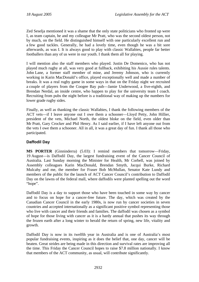Zed Seselja mentioned it was a shame that the only state politicians who fronted up were I, as team captain, he and my colleague Mr Pratt, who was the second oldest person, not by much, on the field. He distinguished himself with one particularly excellent run and a few good tackles. Generally, he had a lovely time, even though he was a bit sore afterwards, as was I. It is always good to play with classic Wallabies, people far better footballers than any of us were in our youth. I thank them all for playing.

I will mention also the staff members who played. Justin De Domenico, who has not played much rugby at all, was very good at fullback, exhibiting his Aussie rules talents. John Lane, a former staff member of mine, and Jeremy Johnson, who is currently working in Karin MacDonald's office, played exceptionally well and made a number of breaks. It was a real rugby game in some ways in that on the Friday night we recruited a couple of players from the Coogee Bay pub—Jamie Underwood, a five-eighth, and Brendan Nerdal, an inside centre, who happen to play for the university team I coach. Recruiting from pubs the night before is a traditional way of making up the numbers for lower grade rugby sides.

Finally, as well as thanking the classic Wallabies, I thank the following members of the ACT vets—if I leave anyone out I owe them a schooner—Lloyd Petty, John Hillier, president of the vets, Michael North, the oldest bloke on the field, even older than Mr Pratt, Gary Crocker and Phil Henry. As I said earlier, if I have left anyone out from the vets I owe them a schooner. All in all, it was a great day of fun. I thank all those who participated.

# **Daffodil Day**

**MS PORTER** (Ginninderra) (5.03): I remind members that tomorrow—Friday, 19 August—is Daffodil Day, the largest fundraising event of the Cancer Council of Australia. Last Sunday morning the Minister for Health, Mr Corbell, was joined by Assembly colleagues Karin MacDonald, Brendan Smyth, Jacqui Burke, Richard Mulcahy and me, the member for Fraser Bob McMullan, Senator Kate Lundy and members of the public for the launch of ACT Cancer Council's contribution to Daffodil Day on the lawns of the federal mall, where daffodils were planted spelling out the word "hope".

Daffodil Day is a day to support those who have been touched in some way by cancer and to focus on hope for a cancer-free future. The day, which was created by the Canadian Cancer Council in the early 1980s, is now run by cancer societies in seven countries and accepted internationally as a significant positive symbol representing those who live with cancer and their friends and families. The daffodil was chosen as a symbol of hope for those living with cancer as it is a hardy annual that pushes its way through the frozen earth after a long winter to herald the return of spring, new life, vitality and growth.

Daffodil Day is now in its twelfth year in Australia and is one of Australia's most popular fundraising events, inspiring as it does the belief that, one day, cancer will be beaten. Great strides are being made in this direction and survival rates are improving all the time. This Friday the Cancer Council hopes to raise \$7.8 million nationally. I know that members of the ACT community, as usual, will contribute significantly.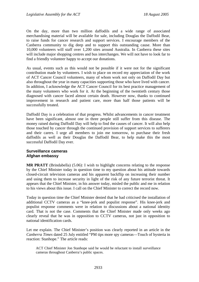On the day, more than two million daffodils and a wide range of associated merchandising material will be available for sale, including Douglas the Daffodil Bear, to raise funds for cancer research and support services. I encourage members of the Canberra community to dig deep and to support this outstanding cause. More than 10,000 volunteers will staff over 1,200 sites around Australia. In Canberra these sites will include major shopping centres and bus interchanges. We will not have to look far to find a friendly volunteer happy to accept our donations.

As usual, events such as this would not be possible if it were not for the significant contribution made by volunteers. I wish to place on record my appreciation of the work of ACT Cancer Council volunteers, many of whom work not only on Daffodil Day but also throughout the year in many capacities supporting those who have lived with cancer. In addition, I acknowledge the ACT Cancer Council for its best practice management of the many volunteers who work for it. At the beginning of the twentieth century those diagnosed with cancer faced almost certain death. However now, thanks to continued improvement in research and patient care, more than half those patients will be successfully treated.

Daffodil Day is a celebration of that progress. Whilst advancements in cancer treatment have been significant, almost one in three people still suffer from this disease. The money raised during Daffodil Day will help to find the causes of cancer. It will also help those touched by cancer through the continued provision of support services to sufferers and their carers. I urge all members to join me tomorrow, to purchase their fresh daffodils as well as their Douglas the Daffodil Bear, to help make this the most successful Daffodil Day ever.

#### **Surveillance cameras Afghan embassy**

**MR PRATT** (Brindabella) (5.06): I wish to highlight concerns relating to the response by the Chief Minister today in question time to my question about his attitude towards closed-circuit television cameras and his apparent backflip on increasing their number and using them to increase security in light of the risk of any future terrorist threat. It appears that the Chief Minister, in his answer today, misled the public and me in relation to his views about this issue. I call on the Chief Minister to correct the record now.

Today in question time the Chief Minister denied that he had criticised the installation of additional CCTV cameras as a "knee-jerk and populist response". His knee-jerk and populist response comments were in relation to discussions about a national identity card. That is not the case. Comments that the Chief Minister made only weeks ago clearly reveal that he was in opposition to CCTV cameras, not just in opposition to national identification cards.

Let me explain. The Chief Minister's position was clearly reported in an article in the *Canberra Times* dated 25 July entitled "PM tips more spy cameras—Touch of hysteria in reaction: Stanhope." The article reads:

ACT Chief Minister Jon Stanhope said he would be reluctant to install surveillance cameras throughout Canberra's public spaces.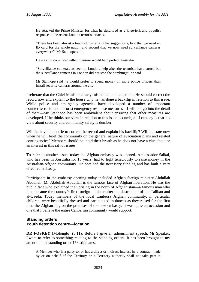He attacked the Prime Minister for what he described as a knee-jerk and populist response to the recent London terrorist attacks.

"There has been almost a touch of hysteria in his suggestions, first that we need an ID card for the whole nation and second that we now need surveillance cameras everywhere", Mr Stanhope said.

He was not convinced either measure would help protect Australia.

"Surveillance cameras, as seen in London, help after the terrorists have struck but the surveillance cameras in London did not stop the bombings", he said.

Mr Stanhope said he would prefer to spend money on more police officers than install security cameras around the city.

I reiterate that the Chief Minister clearly misled the public and me. He should correct the record now and explain to the house why he has done a backflip in relation to this issue. While police and emergency agencies have developed a number of important counter-terrorist and terrorist emergency response measures—I will not go into the detail of them—Mr Stanhope has been ambivalent about ensuring that other measures are developed. If he thinks our view in relation to this issue is dumb, all I can say is that his view about security and community safety is dumber.

Will he have the bottle to correct the record and explain his backflip? Will he state now when he will brief the community on the general nature of evacuation plans and related contingencies? Members should not hold their breath as he does not have a clue about or an interest in this raft of issues.

To refer to another issue, today the Afghan embassy was opened. Ambassador Saikal, who has been in Australia for 15 years, had to fight tenaciously to raise money in the Australian-Afghan community. He obtained the necessary funding and has built a very effective embassy.

Participants in the embassy opening today included Afghan foreign minister Abdullah Abdullah. Mr Abdullah Abdullah is the famous face of Afghan liberation. He was the public face who explained the uprising in the north of Afghanistan—a famous man who then became the country's first foreign minister after the destruction of the Taliban and al-Qaeda. Today members of the local Canberra Afghan community, in particular children, were beautifully dressed and participated in dances as they raised for the first time the Afghan flag on the premises of the new embassy. It was quite an occasion and one that I believe the entire Canberran community would support.

## **Standing orders Youth detention centre—location**

**DR FOSKEY** (Molonglo) (5.11): Before I give an adjournment speech, Mr Speaker, I want to refer to something relating to the standing orders. It has been brought to my attention that standing order 156 stipulates:

A Member who is a party to, or has a direct or indirect interest in, a contract made by or on behalf of the Territory or a Territory authority shall not take part in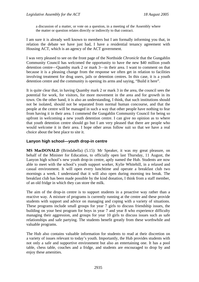a discussion of a matter, or vote on a question, in a meeting of the Assembly where the matter or question relates directly or indirectly to that contract.

I am sure it is already well known to members but I am formally informing you that, in relation the debate we have just had, I have a residential tenancy agreement with Housing ACT, which is an agency of the ACT government.

I was very pleased to see on the front page of the Northside *Chronicle* that the Gungahlin Community Council has welcomed the opportunity to have the new \$40 million youth detention centre—Quamby mark 2 or mark 3—in their area. I want to comment on that because it is a pleasing change from the response we often get in relation to facilities involving treatment for drug users, jails or detention centres. In this case, it is a youth detention centre and the community is opening its arms and saying, "Build it here".

It is quite clear that, in having Quamby mark 2 or mark 3 in the area, the council sees the potential for work, for visitors, for more movement in the area and for growth in its town. On the other hand, it is also an understanding, I think, that such institutions should not be isolated, should not be separated from normal human concourse, and that the people at the centre will be managed in such a way that other people have nothing to fear from having it in their area. I commend the Gungahlin Community Council for being so upfront in welcoming a new youth detention centre. I can give no opinion as to where that youth detention centre should go but I am very pleased that there are people who would welcome it in their area. I hope other areas follow suit so that we have a real choice about the best place to site it.

## **Lanyon high school—youth drop-in centre**

**MS MacDONALD** (Brindabella) (5.15): Mr Speaker, it was my great pleasure, on behalf of the Minister for Education, to officially open last Thursday, 11 August, the Lanyon high school's new youth drop-in centre, aptly named the Hub. Students are now able to meet with the school's youth support worker, Kylie Whitehill, in a relaxed and casual environment. It will open every lunchtime and operate a breakfast club two mornings a week. I understand that it will also open during morning tea break. The breakfast club has been made possible by the kind donation, I think from a staff member, of an old fridge in which they can store the milk.

The aim of the drop-in centre is to support students in a proactive way rather than a reactive way. A mixture of programs is currently running at the centre and these provide students with support and advice on managing and coping with a variety of situations. These programs include small groups for year 7 girls to discuss friendship issues, the building on your best program for boys in year 7 and year 8 who experience difficulty managing their aggression, and groups for year 10 girls to discuss issues such as safe relationships and safe partying. The students benefit greatly from these worthwhile and valuable programs.

The Hub also contains valuable information for students to read at their discretion on a variety of issues relevant to today's youth. Importantly, the Hub provides students with not only a safe and supportive environment but also an entertaining one. It has a pool table, chess table, couches and a fridge, and students are encouraged to drop by and enjoy these amenities.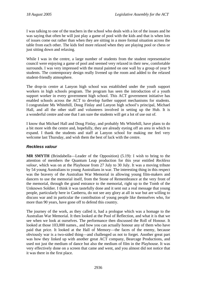I was talking to one of the teachers in the school who deals with a lot of the issues and he was saying that often he will just play a game of pool with the kids and that is when lots of issues come out rather than when they are sitting in a more formal situation across the table from each other. The kids feel more relaxed when they are playing pool or chess or just sitting down and relaxing.

While I was in the centre, a large number of students from the student representative council were enjoying a game of pool and seemed very relaxed in their new, comfortable surrounds. I was very impressed with the mural painted on one wall by a group of year 9 students. The contemporary design really livened up the room and added to the relaxed student-friendly atmosphere.

The drop-in centre at Lanyon high school was established under the youth support workers in high schools program. The program has seen the introduction of a youth support worker in every government high school. This ACT government initiative has enabled schools across the ACT to develop further support mechanisms for students. I congratulate Ms Whitehill, Doug Finlay and Lanyon high school's principal, Michael Hall, and all the other staff and volunteers involved in setting up the Hub. It is a wonderful centre and one that I am sure the students will get a lot of use out of.

I know that Michael Hall and Doug Finlay, and probably Ms Whitehill, have plans to do a bit more with the centre and, hopefully, they are already eyeing off an area in which to expand. I thank the students and staff at Lanyon school for making me feel very welcome last Thursday, and wish them the best of luck with the centre.

# *Reckless valour*

**MR SMYTH** (Brindabella—Leader of the Opposition) (5.19): I wish to bring to the attention of members the Quantum Leap production for this year entitled *Reckless valour*, which was on at the Playhouse from 27 July to 30 July. It was a moving tribute by 54 young Australians to young Australians in war. The interesting thing in this respect was the bravery of the Australian War Memorial in allowing young film-makers and dancers to use the memorial itself, from the Stone of Remembrance at the very front of the memorial, through the grand entrance to the memorial, right up to the Tomb of the Unknown Soldier. I think it was tastefully done and it sent out a real message that young people, particularly here in Canberra, do not see any glory at all in war but are willing to discuss war and in particular the contribution of young people like themselves who, for more than 90 years, have gone off to defend this country.

The journey of the work, as they called it, had a prologue which was a homage to the Australian War Memorial. It then looked at the Pool of Reflection, and what it is that we see when we look at ourselves. The performance then discussed the Roll of Honour. It looked at those 103,000 names., and how you can actually honour any of them who have paid that price. It looked at the Hall of Memory—the faces of the enemy, because obviously war is a two-sided thing—and challenged us not to forget. Another great part was how they linked up with another great ACT company, Bearcage Productions, and used not just the medium of dance but also the medium of film in the Playhouse. It was very effectively done on a screen that came and went, and you almost did not notice that it was there in the first place.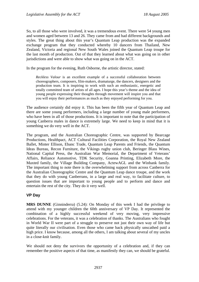So, to all those who were involved, it was a tremendous event. There were 54 young men and women aged between 13 and 26. They came from and had different backgrounds and styles. The great thing about this year's Quantum Leap production was the expanded exchange program that they conducted whereby 10 dancers from Thailand, New Zealand, Victoria and regional New South Wales joined the Quantum Leap troupe for the last month of production. Out of that they learned about what was going on in other jurisdictions and were able to show what was going on in the ACT.

In the program for the evening, Ruth Osborne, the artistic director, stated:

*Reckless Valour* is an excellent example of a successful collaboration between choreographers, composers, film-makers, dramaturge, the dancers, designers and the production team. It is inspiring to work with such an enthusiastic, energetic and totally committed team of artists of all ages. I hope this year's theme and the idea of young people expressing their thoughts through movement will inspire you and that you will enjoy their performances as much as they enjoyed performing for you.

The audience certainly did enjoy it. This has been the fifth year of Quantum Leap and there are some young performers, including a large number of young male performers, who have been in all of those productions. It is important to note that the participation of young Canberra males in dance is extremely large. We need to keep in mind that it is something we do very well in the ACT.

The program, and the Australian Choreographic Centre, was supported by Bearcage Productions, Healthpact, ACT Cultural Facilities Corporation, the Royal New Zealand Ballet, Minter Ellison, Ebanc Trade, Quantum Leap Parents and Friends, the Quantum Ideas Bureau, Recon Furniture, the Vikings rugby union club, Beringer Blass Wines, National Capital Press, the Australian War Memorial, the Department of Veterans' Affairs, Reliance Automotive, TDK Security, Goanna Printing, Elizabeth More, the Maxted family, the Village Building Company, ActewAGL and the Winbank family. The important thing to note there is the overwhelming support from across Canberra for the Australian Choreographic Centre and the Quantum Leap dance troupe, and the work that they do with young Canberrans, in a large and real way, to facilitate culture, to question issues that are important to young people and to perform and dance and entertain the rest of the city. They do it very well.

# **VP Day**

**MRS DUNNE** (Ginninderra) (5.24): On Monday of this week I had the privilege to attend with my younger children the 60th anniversary of VP Day. It represented the combination of a highly successful weekend of very moving, very impressive celebrations. For the veterans, it was a celebration of thanks. The Australians who fought in World War II were part of a struggle to preserve not just their own way of life but quite literally our civilisation. Even those who came back physically unscathed paid a high price. I know because, among all the others, I am talking about several of my uncles in a close-knit family.

We should not deny the survivors the opportunity of a celebration and, if they can remember the positive aspects of that time, as manifestly they can, we should be grateful.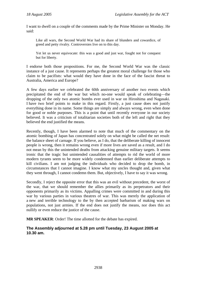I want to dwell on a couple of the comments made by the Prime Minister on Monday. He said:

Like all wars, the Second World War had its share of blunders and cowardice, of greed and petty rivalry. Controversies live on to this day.

Yet let us never equivocate: this was a good and just war, fought not for conquest but for liberty.

I endorse both those propositions. For me, the Second World War was the classic instance of a just cause. It represents perhaps the greatest moral challenge for those who claim to be pacifists: what would they have done in the face of the fascist threat to Australia, America and Europe?

A few days earlier we celebrated the 60th anniversary of another two events which precipitated the end of the war but which no-one would speak of celebrating—the dropping of the only two atomic bombs ever used in war on Hiroshima and Nagasaki. I have two brief points to make in this regard. Firstly, a just cause does not justify everything done in its name. Some things are simply and always wrong, even when done for good or noble purposes. This is a point that until recently everyone in our society believed. It was a criticism of totalitarian societies both of the left and right that they believed the end justified the means.

Recently, though, I have been alarmed to note that much of the commentary on the atomic bombing of Japan has concentrated solely on what might be called the net result: the balance sheet of carnage. If you believe, as I do, that the deliberate killing of innocent people is wrong, then it remains wrong even if more lives are saved as a result, and I do not mean by this the unintended deaths from attacking genuine military targets. It seems ironic that the tragic but unintended causalities of attempts to rid the world of more modern tyrants seem to be more widely condemned than earlier deliberate attempts to kill civilians. I am not judging the individuals who decided to drop the bomb, in circumstances that I cannot imagine. I know what my uncles thought and, given what they went through, I cannot condemn them. But, objectively, I have to say it was wrong.

Secondly, I reject the opposite error that this was an evil without precedent, the worst of the war, that we should remember the allies primarily as its perpetrators and their opponents primarily as its victims. Appalling crimes were committed in and during this war by various parties in various theatres of war. This was merely the application of a new and terrible technology to the by then accepted barbarism of making wars on populations, not just armies. If the end does not justify the means, nor does this act nullify or even reduce the justice of the cause.

**MR SPEAKER**: Order! The time allotted for the debate has expired.

# **The Assembly adjourned at 5.28 pm until Tuesday, 23 August 2005 at 10.30 am.**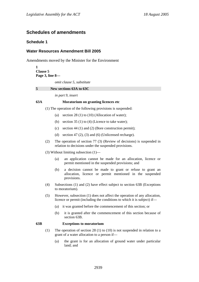# **Schedules of amendments**

## **Schedule 1**

## **Water Resources Amendment Bill 2005**

Amendments moved by the Minister for the Environment

**1 Clause 5 Page 3, line 8**  *omit clause 5, substitute*  **5 New sections 63A to 63C** 

*in part 9, insert* 

#### **63A Moratorium on granting licences etc**

(1) The operation of the following provisions is suspended:

- (a) section  $28(1)$  to  $(10)$  (Allocation of water);
- (b) section  $35(1)$  to  $(4)$  (Licence to take water);
- (c) section 44 (1) and (2) (Bore construction permit);
- (d) section 47 (2), (3) and (6) (Unlicensed recharge).
- (2) The operation of section 77 (3) (Review of decisions) is suspended in relation to decisions under the suspended provisions.
- (3) Without limiting subsection (1)—
	- (a) an application cannot be made for an allocation, licence or permit mentioned in the suspended provisions; and
	- (b) a decision cannot be made to grant or refuse to grant an allocation, licence or permit mentioned in the suspended provisions.
- (4) Subsections (1) and (2) have effect subject to section 63B (Exceptions to moratorium).
- (5) However, subsection (1) does not affect the operation of any allocation, licence or permit (including the conditions to which it is subject) if—
	- (a) it was granted before the commencement of this section; or
	- (b) it is granted after the commencement of this section because of section 63B.

#### **63B Exceptions to moratorium**

- (1) The operation of section 28 (1) to (10) is not suspended in relation to a grant of a water allocation to a person if—
	- (a) the grant is for an allocation of ground water under particular land; and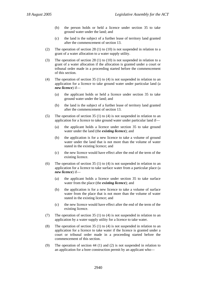- (b) the person holds or held a licence under section 35 to take ground water under the land; and
- (c) the land is the subject of a further lease of territory land granted after the commencement of section 13.
- (2) The operation of section 28 (1) to (10) is not suspended in relation to a grant of a water allocation to a water supply utility.
- (3) The operation of section 28 (1) to (10) is not suspended in relation to a grant of a water allocation if the allocation is granted under a court or tribunal order made in a proceeding started before the commencement of this section.
- (4) The operation of section 35 (1) to (4) is not suspended in relation to an application for a licence to take ground water under particular land (a *new licence*) if—
	- (a) the applicant holds or held a licence under section 35 to take ground water under the land; and
	- (b) the land is the subject of a further lease of territory land granted after the commencement of section 13.
- (5) The operation of section 35 (1) to (4) is not suspended in relation to an application for a licence to take ground water under particular land if—
	- (a) the applicant holds a licence under section 35 to take ground water under the land (the *existing licence*); and
	- (b) the application is for a new licence to take a volume of ground water under the land that is not more than the volume of water stated in the existing licence; and
	- (c) the new licence would have effect after the end of the term of the existing licence.
- (6) The operation of section 35 (1) to (4) is not suspended in relation to an application for a licence to take surface water from a particular place (a *new licence*) if—
	- (a) the applicant holds a licence under section 35 to take surface water from the place (the *existing licence*); and
	- (b) the application is for a new licence to take a volume of surface water from the place that is not more than the volume of water stated in the existing licence; and
	- (c) the new licence would have effect after the end of the term of the existing licence.
- (7) The operation of section 35 (1) to (4) is not suspended in relation to an application by a water supply utility for a licence to take water.
- (8) The operation of section 35 (1) to (4) is not suspended in relation to an application for a licence to take water if the licence is granted under a court or tribunal order made in a proceeding started before the commencement of this section.
- (9) The operation of section 44 (1) and (2) is not suspended in relation to an application for a bore construction permit by an applicant who—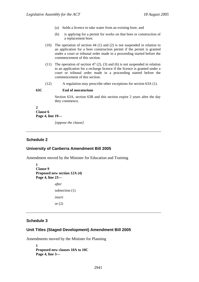- (a) holds a licence to take water from an existing bore; and
- (b) is applying for a permit for works on that bore or construction of a replacement bore.
- (10) The operation of section 44 (1) and (2) is not suspended in relation to an application for a bore construction permit if the permit is granted under a court or tribunal order made in a proceeding started before the commencement of this section.
- (11) The operation of section 47 (2), (3) and (6) is not suspended in relation to an application for a recharge licence if the licence is granted under a court or tribunal order made in a proceeding started before the commencement of this section.
- (12) A regulation may prescribe other exceptions for section 63A (1).

#### **63C End of moratorium**

Section 63A, section 63B and this section expire 2 years after the day they commence.

#### **2 Clause 6 Page 4, line 19—**

*[oppose the clause]* 

## **Schedule 2**

#### **University of Canberra Amendment Bill 2005**

Amendment moved by the Minister for Education and Training

```
1 
Clause 9 
Proposed new section 12A (4) 
Page 4, line 23— 
             after 
             subsection (1) 
             insert 
             or (2)
```
# **Schedule 3**

#### **Unit Titles (Staged Development) Amendment Bill 2005**

Amendments moved by the Minister for Planning

**1 Proposed new clauses 10A to 10C Page 4, line 3—**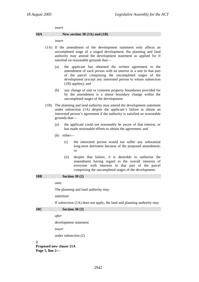*insert* 

#### **10A New section 30 (1A) and (1B)**

*insert* 

- (1A) If the amendment of the development statement only affects an uncompleted stage of a staged development, the planning and land authority may amend the development statement as applied for if satisfied on reasonable grounds that—
	- (a) the applicant has obtained the written agreement to the amendment of each person with an interest in a unit in that part of the parcel comprising the uncompleted stages of the development (except any interested person to whom subsection (1B) applies); and
	- (b) any change of unit or common property boundaries provided for by the amendment is a minor boundary change within the uncompleted stages of the development.
- (1B) The planning and land authority may amend the development statement under subsection (1A) despite the applicant's failure to obtain an interested person's agreement if the authority is satisfied on reasonable grounds that—
	- (a) the applicant could not reasonably be aware of that interest, or has made reasonable efforts to obtain the agreement; and
	- (b) either—
		- (i) the interested person would not suffer any substantial long-term detriment because of the proposed amendment; or
		- (ii) despite that failure, it is desirable to authorise the amendment having regard to the overall interests of everyone with interests in that part of the parcel comprising the uncompleted stages of the development.

**10B Section 30 (2)** 

*omit* 

The planning and land authority may

*substitute* 

**10C**  $S_{\text{eff}} = 30(2)$ 

If subsection (1A) does not apply, the land and planning authority may

| 10C | $\overline{\text{O}}$ ccuoil $\overline{\text{O}}$ |
|-----|----------------------------------------------------|
|     | after                                              |
|     | development statement                              |
|     | insert                                             |
|     | under subsection $(2)$                             |

 $\boldsymbol{2}$ 

**Proposed new clause 11A Page 5, line 2—**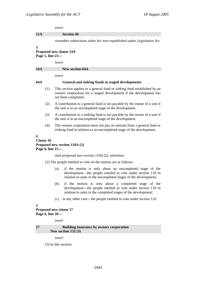*insert* 

#### **11A Section 30**

*renumber subsections when Act next republished under Legislation Act* 

**3** 

## **Proposed new clause 14A Page 5, line 23—**

*insert* 

# **14A New section 64A**  *insert*

#### **64A General and sinking funds in staged developments**

- (1) This section applies to a general fund or sinking fund established by an owners corporation for a staged development if the development has not been completed.
- (2) A contribution to a general fund is not payable by the owner of a unit if the unit is in an uncompleted stage of the development.
- (3) A contribution to a sinking fund is not payable by the owner of a unit if the unit is in an uncompleted stage of the development.
- (4) The owners corporation must not pay an amount from a general fund or sinking fund in relation to an uncompleted stage of the development.

#### **4**

#### **Clause 16 Proposed new section 110A (2) Page 6, line 15—**

*omit proposed new section 110A (2), substitute* 

(2) The people entitled to vote on the motion are as follows:

- (a) if the motion is only about an uncompleted stage of the development—the people entitled to vote under section 110 in relation to units in the uncompleted stages of the development;
- (b) if the motion is only about a completed stage of the development—the people entitled to vote under section 110 in relation to units in the completed stages of the development;
- (c) in any other case—the people entitled to vote under section 110.

#### **5**

**Proposed new clause 17 Page 6, line 20—** 

*insert* 

**17 Building insurance by owners corporation New section 132 (3)** 

*insert* 

(3) In this section: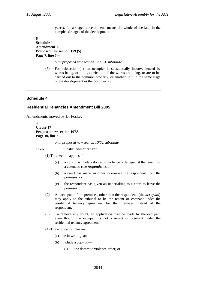*parcel*, for a staged development, means the whole of the land in the completed stages of the development.

#### **6 Schedule 1 Amendment 1.1 Proposed new section 179 (5) Page 7, line 7—**

*omit proposed new section 179 (5), substitute* 

(5) For subsection (4), an occupier is substantially inconvenienced by works being, or to be, carried out if the works are being, or are to be, carried out to the common property, or another unit, in the same stage of the development as the occupier's unit.

# **Schedule 4**

## **Residential Tenancies Amendment Bill 2005**

Amendments moved by Dr Foskey

**4 Clause 17 Proposed new section 107A Page 10, line 3—** 

*omit proposed new section 107A, substitute* 

#### **107A Substitution of tenant**

(1) This section applies if—

- (a) a court has made a domestic violence order against the tenant, or a cotenant, (the *respondent*); or
- (b) a court has made an order to remove the respondent from the premises; or
- (c) the respondent has given an undertaking to a court to leave the premises.
- (2) An occupant of the premises, other than the respondent, (the *occupant*) may apply to the tribunal to be the tenant or cotenant under the residential tenancy agreement for the premises instead of the respondent.
- (3) To remove any doubt, an application may be made by the occupant even though the occupant is not a tenant or cotenant under the residential tenancy agreement.
- (4) The application must—
	- (a) be in writing; and
	- (b) include a copy of—
		- (i) the domestic violence order; or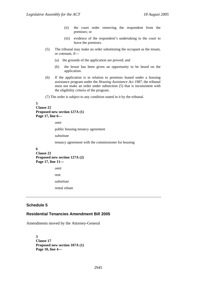- (ii) the court order removing the respondent from the premises; or
- (iii) evidence of the respondent's undertaking to the court to leave the premises.
- (5) The tribunal may make an order substituting the occupant as the tenant, or cotenant, if—
	- (a) the grounds of the application are proved; and
	- (b) the lessor has been given an opportunity to be heard on the application.
- (6) If the application is in relation to premises leased under a housing assistance program under the *Housing Assistance Act 1987*, the tribunal must not make an order under subsection (5) that is inconsistent with the eligibility criteria of the program.
- (7) The order is subject to any condition stated in it by the tribunal.

#### **5 Clause 22 Proposed new section 127A (1) Page 17, line 6—**

*omit* 

public housing tenancy agreement

*substitute* 

tenancy agreement with the commissioner for housing

#### **6**

**Clause 22 Proposed new section 127A (2) Page 17, line 11—** 

*omit* 

rent

*substitute* 

rental rebate

## **Schedule 5**

#### **Residential Tenancies Amendment Bill 2005**

Amendments moved by the Attorney-General

**3 Clause 17 Proposed new section 107A (1) Page 10, line 4—**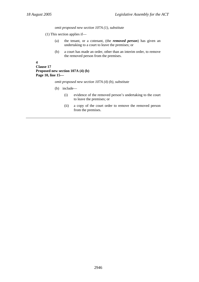*omit proposed new section 107A (1), substitute* 

- (1) This section applies if—
	- (a) the tenant, or a cotenant, (the *removed person*) has given an undertaking to a court to leave the premises; or
	- (b) a court has made an order, other than an interim order, to remove the removed person from the premises.

```
4
```

```
Clause 17 
Proposed new section 107A (4) (b) 
Page 10, line 15—
```
*omit proposed new section 107A (4) (b), substitute* 

- (b) include—
	- (i) evidence of the removed person's undertaking to the court to leave the premises; or
	- (ii) a copy of the court order to remove the removed person from the premises.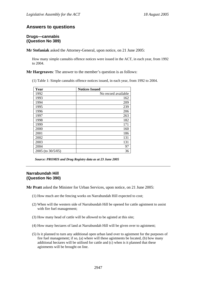# **Answers to questions**

#### **Drugs—cannabis (Question No 389)**

**Mr Stefaniak** asked the Attorney-General, upon notice, on 21 June 2005:

How many simple cannabis offence notices were issued in the ACT, in each year, from 1992 to 2004.

**Mr Hargreaves**: The answer to the member's question is as follows:

(1) Table 1: Simple cannabis offence notices issued, in each year, from 1992 to 2004.

| Year              | <b>Notices Issued</b> |
|-------------------|-----------------------|
| 1992              | No record available   |
| 1993              | 162                   |
| 1994              | 209                   |
| 1995              | 239                   |
| 1996              | 206                   |
| 1997              | 263                   |
| 1998              | 182                   |
| 1999              | 171                   |
| 2000              | 160                   |
| 2001              | 186                   |
| 2002              | 131                   |
| 2003              | 131                   |
| 2004              | 97                    |
| 2005 (to 30/5/05) | 36                    |

*Source: PROMIS and Drug Registry data as at 23 June 2005* 

#### **Narrabundah Hill (Question No 390)**

**Mr Pratt** asked the Minister for Urban Services, upon notice, on 21 June 2005:

- (1) How much are the fencing works on Narrabundah Hill expected to cost;
- (2) When will the western side of Narrabundah Hill be opened for cattle agistment to assist with fire fuel management;
- (3) How many head of cattle will be allowed to be agisted at this site;
- (4) How many hectares of land at Narrabundah Hill will be given over to agistment;
- (5) Is it planned to turn any additional open urban land over to agistment for the purposes of fire fuel management; if so, (a) where will these agistments be located, (b) how many additional hectares will be utilised for cattle and (c) when is it planned that these agistments will be brought on line.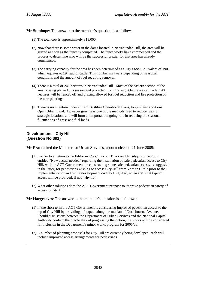**Mr Stanhope**: The answer to the member's question is as follows:

- (1) The total cost is approximately \$13,000.
- (2) Now that there is some water in the dams located in Narrabundah Hill, the area will be grazed as soon as the fence is completed. The fence works have commenced and the process to determine who will be the successful grazier for that area has already commenced.
- (3) The carrying capacity for the area has been determined as a Dry Stock Equivalent of 190, which equates to 19 head of cattle. This number may vary depending on seasonal conditions and the amount of fuel requiring removal.
- (4) There is a total of 241 hectares in Narrabundah Hill. Most of the eastern section of the area is being planted this season and protected from grazing. On the western side, 148 hectares will be fenced off and grazing allowed for fuel reduction and fire protection of the new plantings.
- (5) There is no intention under current Bushfire Operational Plans, to agist any additional Open Urban Land. However grazing is one of the methods used to reduce fuels in strategic locations and will form an important ongoing role in reducing the seasonal fluctuations of grass and fuel loads.

## **Development—City Hill (Question No 391)**

**Mr Pratt** asked the Minister for Urban Services, upon notice, on 21 June 2005:

- (1) Further to a Letter-to-the Editor in *The Canberra Times* on Thursday, 2 June 2005 entitled "New access needed" regarding the installation of safe pedestrian access to City Hill, will the ACT Government be constructing some safe pedestrian access, as suggested in the letter, for pedestrians wishing to access City Hill from Vernon Circle prior to the implementation of and future development on City Hill; if so, when and what type of access will be provided; if not, why not;
- (2) What other solutions does the ACT Government propose to improve pedestrian safety of access to City Hill;

**Mr Hargreaves**: The answer to the member's question is as follows:

- (1) In the short term the ACT Government is considering improved pedestrian access to the top of City Hill by providing a footpath along the median of Northbourne Avenue. Should discussions between the Department of Urban Services and the National Capital Authority confirm the practicality of progressing the option, the works will be considered for inclusion in the Department's minor works program for 2005/06.
- (2) A number of planning proposals for City Hill are currently being developed, each will include improved access arrangements for pedestrians.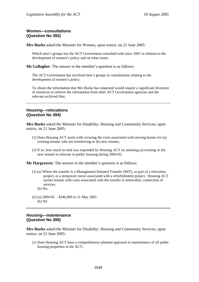## **Women—consultations (Question No 392)**

**Mrs Burke** asked the Minister for Women, upon notice, on 21 June 2005:

Which men's groups has the ACT Government consulted with since 2001 in relation to the development of women's policy and on what issues.

**Ms Gallagher**: The answer to the member's question is as follows:

The ACT Government has involved men's groups in consultations relating to the development of women's policy.

To obtain the information that Mrs Burke has requested would require a significant diversion of resources to retrieve the information from other ACT Government agencies and the relevant archived files.

#### **Housing—relocations (Question No 394)**

**Mrs Burke** asked the Minister for Disability, Housing and Community Services, upon notice, on 21 June 2005:

- (1) Does Housing ACT assist with covering the costs associated with moving homes for (a) existing tenants who are transferring or (b) new tenants;
- (2) If so, how much in total was expended by Housing ACT on assisting (a) existing or (b) new tenants to relocate in public housing during 2004-05.

**Mr Hargreaves**: The answer to the member's question is as follows:

- (1) (a) Where the transfer is a Management Initiated Transfer (MIT), as part of a relocation project, or a temporary move associated with a refurbishment project, Housing ACT assists tenants with costs associated with the transfer ie removalist, connection of services.
	- (b) No.
- (2) (a) 2004-05 \$346,000 to 31 May 2005 (b) Nil

## **Housing—maintenance (Question No 395)**

**Mrs Burke** asked the Minister for Disability, Housing and Community Services, upon notice, on 21 June 2005:

(1) Does Housing ACT have a comprehensive planned approach to maintenance of all public housing properties in the ACT;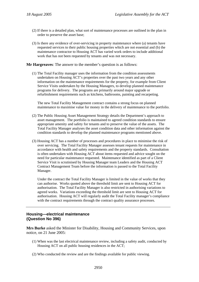- (2) If there is a detailed plan, what sort of maintenance processes are outlined in the plan in order to preserve the asset base;
- (3) Is there any evidence of over-servicing in property maintenance where (a) tenants have requested services to their public housing properties which are not essential and (b) the maintenance contractor to Housing ACT has varied work orders to include additional work that has not been requested by tenants and was not necessary.

(1) The Total Facility manager uses the information from the condition assessments undertaken on Housing ACT's properties over the past two years and any other information on the maintenance requirements for the property, for example from Client Service Visits undertaken by the Housing Managers, to develop planned maintenance programs for delivery. The programs are primarily around major upgrade or refurbishment requirements such as kitchens, bathrooms, painting and recarpeting.

The new Total Facility Management contract contains a strong focus on planned maintenance to maximise value for money in the delivery of maintenance to the portfolio.

- (2) The Public Housing Asset Management Strategy details the Department's approach to asset management. The portfolio is maintained to agreed condition standards to ensure appropriate amenity and safety for tenants and to preserve the value of the assets. The Total Facility Manager analyses the asset condition data and other information against the condition standards to develop the planned maintenance programs mentioned above.
- (3) Housing ACT has a number of processes and procedures in place to minimise the risk of over servicing. The Total Facility Manager assesses tenant requests for maintenance in accordance with health and safety requirements and the property standards. Consultation is often undertaken with Housing ACT about items requested and advice sought on the need for particular maintenance requested. Maintenance identified as part of a Client Service Visit is scrutinised by Housing Manager team Leaders and the Housing ACT Contract Management Team before the information is passed to the Total Facility Manager.

Under the contract the Total Facility Manager is limited in the value of works that they can authorise. Works quoted above the threshold limit are sent to Housing ACT for authorisation. The Total Facility Manager is also restricted in authorising variations to agreed works. Variations exceeding the threshold limit are sent to Housing ACT for authorisation. Housing ACT will regularly audit the Total Facility manager's compliance with the contract requirements through the contract quality assurance processes.

#### **Housing—electrical maintenance (Question No 396)**

**Mrs Burke** asked the Minister for Disability, Housing and Community Services, upon notice, on 21 June 2005:

- (1) When was the last electrical maintenance review, including a safety audit, conducted by Housing ACT on all public housing residences in the ACT;
- (2) Who conducted the review and are the findings available for public viewing.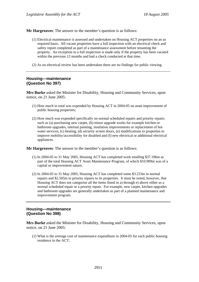- (1) Electrical maintenance is assessed and undertaken on Housing ACT properties on an as required basis. All vacant properties have a full inspection with an electrical check and safety report completed as part of a maintenance assessment before tenanting the property. An exception to a full inspection is made only if the property has been vacated within the previous 12 months and had a check conducted at that time.
- (2) As no electrical review has been undertaken there are no findings for public viewing.

#### **Housing—maintenance (Question No 397)**

**Mrs Burke** asked the Minister for Disability, Housing and Community Services, upon notice, on 21 June 2005:

- (1) How much in total was expended by Housing ACT in 2004-05 on asset improvement of public housing properties;
- (2) How much was expended specifically on normal scheduled repairs and priority repairs such as (a) purchasing new carpet, (b) minor upgrade works for example kitchen or bathroom upgrades, internal painting, insulation improvements or replacement of hot water services, (c) heating, (d) security screen doors, (e) modifications to properties to improve mobility/accessibility for disabled and (f) new electrical or additional electrical appliances.

**Mr Hargreaves**: The answer to the member's question is as follows:

- (1) In 2004-05 to 31 May 2005, Housing ACT has completed work totalling \$37.196m as part of the total Housing ACT Asset Maintenance Program, of which \$10.909m was of a capital or improvement nature.
- (2) In 2004-05 to 31 May 2005, Housing ACT has completed some \$3.233m in normal repairs and \$2.505m in priority repairs to its properties. It must be noted, however, that Housing ACT does not categorise all the items listed in a) through e) above either as a normal scheduled repair or a priority repair. For example, new carpet, kitchen upgrades and bathroom upgrades are generally undertaken as part of a planned maintenance and improvement program.

# **Housing—maintenance (Question No 398)**

**Mrs Burke** asked the Minister for Disability, Housing and Community Services, upon notice, on 21 June 2005:

(1) What is the average cost of maintenance expenditure in 2004-05 for each public housing residence in the ACT;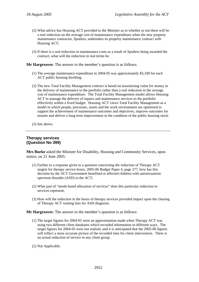- (2) What advice has Housing ACT provided to the Minister as to whether or not there will be a real reduction on the average cost of maintenance expenditure when the new property maintenance contractor, Spotless, undertakes its property maintenance contract with Housing ACT;
- (3) If there is a real reduction in maintenance costs as a result of Spotless being awarded the contract, what will the reduction in real terms be.

- (1) The average maintenance expenditure in 2004-05 was approximately \$3,100 for each ACT public housing dwelling.
- (2) The new Total Facility Management contract is based on maximising value for money in the delivery of maintenance to the portfolio rather than a real reduction in the average cost of maintenance expenditure. The Total Facility Management model allows Housing ACT to manage the delivery of repairs and maintenance services to the portfolio effectively within a fixed budget. Housing ACT views Total Facility Management as a model in which people, processes, assets and the work environment are optimised to support the achievement of maintenance outcomes and objectives, improve outcomes for tenants and deliver a long term improvement in the condition of the public housing stock.
- (3) See above.

## **Therapy services (Question No 399)**

**Mrs Burke** asked the Minister for Disability, Housing and Community Services, upon notice, on 21 June 2005:

- (1) Further to a response given to a question concerning the reduction of Therapy ACT targets for therapy service hours, 2005-06 Budget Paper 4, page 277, how has this decision by the ACT Government benefited or affected children with autism/autistic spectrum disorder (ASD) in the ACT;
- (2) What part of "needs based allocation of services" does this particular reduction to services represent;
- (3) How will the reduction in the hours of therapy services provided impact upon the clearing of Therapy ACT waiting lists for ASD diagnosis.

**Mr Hargreaves**: The answer to the member's question is as follows:

- (1) The target figures for 2004-05 were an approximation made when Therapy ACT was using two different client databases which recorded information in different ways. The target figures for 2004-05 were not realistic and it is anticipated that the 2005-06 figures will reflect a more accurate picture of the recorded time for client intervention. There is no actual reduction of service to any client group.
- (2) Not Applicable.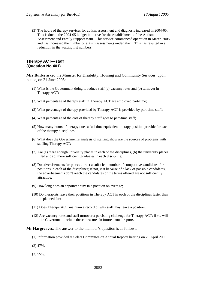(3) The hours of therapy services for autism assessment and diagnosis increased in 2004-05. This is due to the 2004-05 budget initiative for the establishment of the Autism Assessment and Family Support team. This service commenced operation in March 2005 and has increased the number of autism assessments undertaken. This has resulted in a reduction in the waiting list numbers.

## **Therapy ACT—staff (Question No 401)**

**Mrs Burke** asked the Minister for Disability, Housing and Community Services, upon notice, on 21 June 2005:

- (1) What is the Government doing to reduce staff (a) vacancy rates and (b) turnover in Therapy ACT;
- (2) What percentage of therapy staff in Therapy ACT are employed part-time;
- (3) What percentage of therapy provided by Therapy ACT is provided by part-time staff;
- (4) What percentage of the cost of therapy staff goes to part-time staff;
- (5) How many hours of therapy does a full-time equivalent therapy position provide for each of the therapy disciplines;
- (6) What does the Government's analysis of staffing show are the sources of problems with staffing Therapy ACT;
- (7) Are (a) there enough university places in each of the disciplines, (b) the university places filled and (c) there sufficient graduates in each discipline;
- (8) Do advertisements for places attract a sufficient number of competitive candidates for positions in each of the disciplines; if not, is it because of a lack of possible candidates, the advertisements don't reach the candidates or the terms offered are not sufficiently attractive;
- (9) How long does an appointee stay in a position on average;
- (10) Do therapists leave their positions in Therapy ACT in each of the disciplines faster than is planned for;
- (11) Does Therapy ACT maintain a record of why staff may leave a position;
- (12) Are vacancy rates and staff turnover a persisting challenge for Therapy ACT; if so, will the Government include these measures in future annual reports.

**Mr Hargreaves**: The answer to the member's question is as follows:

- (1) Information provided at Select Committee on Annual Reports hearing on 20 April 2005.
- (2) 47%.
- (3) 55%.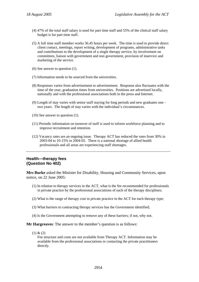- (4) 47% of the total staff salary is used for part time staff and 55% of the clinical staff salary budget is for part time staff.
- (5) A full time staff member works 36.45 hours per week. The time is used to provide direct client contact, meetings, report writing, development of programs, administrative tasks and contributions to the development of a single therapy service, by involvement on committees, liaison with government and non government, provision of inservice and marketing of the service.
- (6) See answer to question (1).
- (7) Information needs to be sourced from the universities.
- (8) Responses varies from advertisement to advertisement. Response also fluctuates with the time of the year, graduation times from universities. Positions are advertised locally, nationally and with the professional associations both in the press and Internet.
- (9) Length of stay varies with senior staff staying for long periods and new graduates one two years. The length of stay varies with the individual's circumstances.
- (10) See answer to question (1).
- (11) Periodic information on turnover of staff is used to inform workforce planning and to improve recruitment and retention.
- (12) Vacancy rates are an ongoing issue. Therapy ACT has reduced the rates from 30% in 2003-04 to 10-15% in 2004-05. There is a national shortage of allied health professionals and all areas are experiencing staff shortages.

#### **Health—therapy fees (Question No 402)**

**Mrs Burke** asked the Minister for Disability, Housing and Community Services, upon notice, on 22 June 2005:

- (1) In relation to therapy services in the ACT, what is the fee recommended for professionals in private practice by the professional associations of each of the therapy disciplines;
- (2) What is the range of therapy cost in private practice in the ACT for each therapy type;
- (3) What barriers to contracting therapy services has the Government identified;
- (4) Is the Government attempting to remove any of these barriers; if not, why not.

**Mr Hargreaves**: The answer to the member's question is as follows:

 $(1) & (2)$ 

Fee structure and costs are not available from Therapy ACT. Information may be available from the professional associations or contacting the private practitioners directly.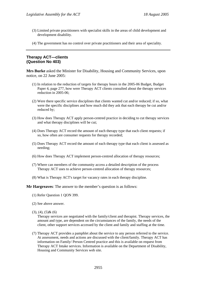- (3) Limited private practitioners with specialist skills in the areas of child development and development disability.
- (4) The government has no control over private practitioners and their area of speciality.

# **Therapy ACT—clients (Question No 403)**

**Mrs Burke** asked the Minister for Disability, Housing and Community Services, upon notice, on 22 June 2005:

- (1) In relation to the reduction of targets for therapy hours in the 2005-06 Budget, Budget Paper 4, page 277, how were Therapy ACT clients consulted about the therapy services reduction in 2005-06;
- (2) Were there specific service disciplines that clients wanted cut and/or reduced; if so, what were the specific disciplines and how much did they ask that each therapy be cut and/or reduced by;
- (3) How does Therapy ACT apply person-centred practice in deciding to cut therapy services and what therapy disciplines will be cut;
- (4) Does Therapy ACT record the amount of each therapy type that each client requests; if so, how often are consumer requests for therapy recorded;
- (5) Does Therapy ACT record the amount of each therapy type that each client is assessed as needing;
- (6) How does Therapy ACT implement person-centred allocation of therapy resources;
- (7) Where can members of the community access a detailed description of the process Therapy ACT uses to achieve person-centred allocation of therapy resources;
- (8) What is Therapy ACT's target for vacancy rates in each therapy discipline.

**Mr Hargreaves**: The answer to the member's question is as follows:

- (1) Refer Question 1 QON 399.
- (2) See above answer.
- $(3), (4), (5)$ &  $(6)$

Therapy services are negotiated with the family/client and therapist. Therapy services, the amount and type, are dependent on the circumstances of the family, the needs of the client, other support services accessed by the client and family and staffing at the time.

(7) Therapy ACT provides a pamphlet about the service to any person referred to the service. At assessment, needs and actions are discussed with the client/family. Therapy ACT has information on Family/ Person Centred practice and this is available on request from Therapy ACT Intake services. Information is available on the Department of Disability, Housing and Community Services web site.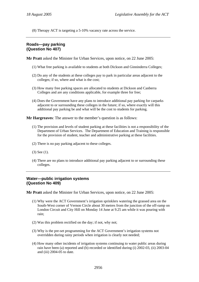(8) Therapy ACT is targeting a 5-10% vacancy rate across the service.

# **Roads—pay parking (Question No 407)**

**Mr Pratt** asked the Minister for Urban Services, upon notice, on 22 June 2005:

- (1) What free parking is available to students at both Dickson and Ginninderra Colleges;
- (2) Do any of the students at these colleges pay to park in particular areas adjacent to the colleges; if so, where and what is the cost;
- (3) How many free parking spaces are allocated to students at Dickson and Canberra Colleges and are any conditions applicable, for example three for free;
- (4) Does the Government have any plans to introduce additional pay parking for carparks adjacent to or surrounding these colleges in the future; if so, where exactly will this additional pay parking be and what will be the cost to students for parking.

**Mr Hargreaves**: The answer to the member's question is as follows:

- (1) The provision and levels of student parking at these facilities is not a responsibility of the Department of Urban Services. The Department of Education and Training is responsible for the provision of student, teacher and administrative parking at these facilities.
- (2) There is no pay parking adjacent to these colleges.
- (3) See (1).
- (4) There are no plans to introduce additional pay parking adjacent to or surrounding these colleges.

#### **Water—public irrigation systems (Question No 409)**

**Mr Pratt** asked the Minister for Urban Services, upon notice, on 22 June 2005:

- (1) Why were the ACT Government's irrigation sprinklers watering the grassed area on the South-West corner of Vernon Circle about 30 metres from the junction of the off-ramp on London Circuit and City Hill on Monday 14 June at 9.25 am while it was pouring with rain;
- (2) Was this problem rectified on the day; if not, why not;
- (3) Why is the pre-set programming for the ACT Government's irrigation systems not overridden during rainy periods when irrigation is clearly not needed;
- (4) How many other incidents of irrigation systems continuing to water public areas during rain have been (a) reported and (b) recorded or identified during (i) 2002-03, (ii) 2003-04 and (iii) 2004-05 to date.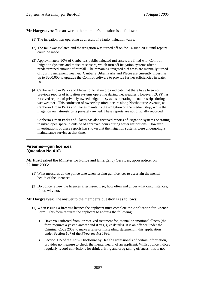- (1) The irrigation was operating as a result of a faulty irrigation valve.
- (2) The fault was isolated and the irrigation was turned off on the 14 June 2005 until repairs could be made.
- (3) Approximately 90% of Canberra's public irrigated turf assets are fitted with Comtrol Irrigation Systems and moisture sensors, which turn off irrigation systems after a predetermined amount of rainfall. The remaining irrigated turf areas are manually turned off during inclement weather. Canberra Urban Parks and Places are currently investing up to \$200,000 to upgrade the Comtrol software to provide further efficiencies in water use.
- (4) Canberra Urban Parks and Places' official records indicate that there have been no previous reports of irrigation systems operating during wet weather. However, CUPP has received reports of privately owned irrigation systems operating on naturestrips during wet weather. This confusion of ownership often occurs along Northbourne Avenue, as Canberra Urban Parks and Places maintains the irrigation on the median strip, while the irrigation on naturestrips is privately owned. These reports are not officially recorded.

Canberra Urban Parks and Places has also received reports of irrigation systems operating in urban open space in outside of approved hours during water restrictions. However investigations of these reports has shown that the irrigation systems were undergoing a maintenance service at that time.

## **Firearms—gun licences (Question No 410)**

**Mr Pratt** asked the Minister for Police and Emergency Services, upon notice, on 22 June 2005:

- (1) What measures do the police take when issuing gun licences to ascertain the mental health of the licencee;
- (2) Do police review the licences after issue; if so, how often and under what circumstances; if not, why not.

**Mr Hargreaves**: The answer to the member's question is as follows:

- (1) When issuing a firearms licence the applicant must complete the Application for Licence Form. This form requires the applicant to address the following:
	- Have you suffered from, or received treatment for, mental or emotional illness (the form requires a yes/no answer and if yes, give details). It is an offence under the Criminal Code 2002 to make a false or misleading statement in this application under Section 107 of the *Firearms Act 1996*.
	- Section 115 of the Act Disclosure by Health Professionals of certain information, provides no measure to check the mental health of an applicant. Whilst police indices regularly record convictions for drink driving and drug taking offences, this is not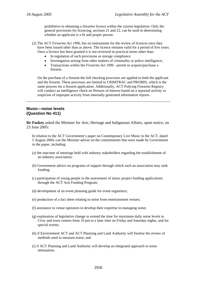prohibitive to obtaining a firearms licence within the current legislation. Only the general provisions for licencing, sections 21 and 22, can be used in determining whether an applicant is a fit and proper person.

- (2) The ACT *Firearms Act 1996*, has no instruments for the review of licences once they have been issued other than as above. The licence remains valid for a period of five years. Once a licence has been granted it is not reviewed in practical terms other than:
	- In regulation of such provisions as storage compliance
	- Investigation arising from other matters of criminality or police intelligence;
	- Transactions within the *Firearms Act 1996* permit to acquire/purchase a firearm.

On the purchase of a firearm the full checking processes are applied to both the applicant and the firearm. These processes are limited to CRIMTRAC and PROMIS, which is the same process for a firearm application. Additionally, ACT Policing Firearms Registry will conduct an intelligence check on Persons of Interest based on a reported activity or suspicion of improper activity from internally generated information reports.

#### **Music—noise levels (Question No 411)**

**Dr Foskey** asked the Minister for Arts, Heritage and Indigenous Affairs, upon notice, on 23 June 2005:

In relation to the ACT Government's paper on Contemporary Live Music in the ACT, dated 5 August 2004, can the Minister advise on the commitments that were made by Government in the paper, including:

- (a) the outcome of meetings held with industry stakeholders regarding the establishment of an industry association;
- (b) Government advice on programs of support through which such an association may seek funding;
- (c) participation of young people in the assessment of music project funding applications through the ACT Arts Funding Program;
- (d) development of an event planning guide for event organisers;
- (e) production of a fact sheet relating to noise from entertainment venues;
- (f) assistance to venue operators to develop their expertise in managing noise;
- (g) exploration of legislative change to extend the time for maximum daily noise levels in Civic and town centres from 10 pm to a later time on Friday and Saturday nights, and for special events;
- (h) if Environment ACT and ACT Planning and Land Authority will finalise the review of methods used to measure noise; and
- (i) if ACT Planning and Land Authority will develop an integrated approach to noise attenuation.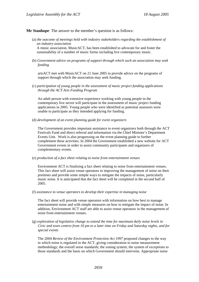**Mr Stanhope**: The answer to the member's question is as follows:

(a) *the outcome of meetings held with industry stakeholders regarding the establishment of an industry association*

A music association, MusicACT, has been established to advocate for and foster the sustainability of a number of music forms including live contemporary music.

(b) *Government advice on programs of support through which such an association may seek funding*

artsACT met with MusicACT on 21 June 2005 to provide advice on the programs of support through which the association may seek funding.

(c) *participation of young people in the assessment of music project funding applications through the ACT Arts Funding Program*

An adult person with extensive experience working with young people in the contemporary live sector will participate in the assessment of music project funding applications in 2005. Young people who were identified as potential assessors were unable to participate as they intended applying for funding.

(d) *development of an event planning guide for event organizers*

The Government provides important assistance to event organizers both through the ACT Festivals Fund and direct referral and information via the Chief Minister's Department Events Unit. Work is also progressing on the event planning guide to further complement these activities. In 2004 the Government established a new website for ACT Government events in order to assist community participants and organizers of complementary events.

(e) *production of a fact sheet relating to noise from entertainment venues*

Environment ACT is finalising a fact sheet relating to noise from entertainment venues. This fact sheet will assist venue operators in improving the management of noise on their premises and provide some simple ways to mitigate the impacts of noise, particularly music noise. It is anticipated that the fact sheet will be completed in the second half of 2005.

(f) *assistance to venue operators to develop their expertise in managing noise*

The fact sheet will provide venue operators with information on how best to manage entertainment noise and with simple measures on how to mitigate the impact of noise. In addition, Environment ACT staff are able to assist venue operators in the management of noise from entertainment venues.

(g) *exploration of legislative change to extend the time for maximum daily noise levels in Civic and town centres from 10 pm to a later time on Friday and Saturday nights, and for special events*

The 2004 *Review of the Environment Protection Act 1997* proposed changes to the way in which noise is regulated in the ACT, giving consideration to noise measurement methodology; the overall noise standards; the zoning system; the system of exceptions to those standards and the basis on which Government should intervene. Appropriate noise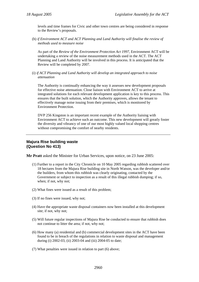levels and time frames for Civic and other town centres are being considered in response to the Review's proposals.

(h) *if Environment ACT and ACT Planning and Land Authority will finalise the review of methods used to measure noise*

As part of the *Review of the Environment Protection Act 1997*, Environment ACT will be undertaking a review of the noise measurement methods used in the ACT. The ACT Planning and Land Authority will be involved in this process. It is anticipated that the Review will be completed by 2007.

(i) *if ACT Planning and Land Authority will develop an integrated approach to noise attenuation*

The Authority is continually enhancing the way it assesses new development proposals for effective noise attenuation. Close liaison with Environment ACT to arrive at integrated solutions for each relevant development application is key to this process. This ensures that the built solution, which the Authority approves, allows the tenant to effectively manage noise issuing from their premises, which is monitored by Environment Protection.

DVP 256 Kingston is an important recent example of the Authority liaising with Environment ACT to achieve such an outcome. This new development will greatly foster the diversity and vibrancy of one of our most highly valued local shopping centres without compromising the comfort of nearby residents.

## **Majura Rise building waste (Question No 413)**

**Mr Pratt** asked the Minister for Urban Services, upon notice, on 23 June 2005:

- (1) Further to a report in the City Chronicle on 10 May 2005 regarding rubbish scattered over 18 hectares from the Majura Rise building site in North Watson, was the developer and/or the builders, from whom this rubbish was clearly originating, contacted by the Government or subject to inspection as a result of this illegal rubbish dumping; if so, when; if not, why not;
- (2) What fines were issued as a result of this problem;
- (3) If no fines were issued, why not;
- (4) Have the appropriate waste disposal containers now been installed at this development site; if not, why not;
- (5) Will future regular inspections of Majura Rise be conducted to ensure that rubbish does not continue to litter the area; if not, why not;
- (6) How many (a) residential and (b) commercial development sites in the ACT have been found to be in breach of the regulations in relation to waste disposal and management during (i) 2002-03, (ii) 2003-04 and (iii) 2004-05 to date;
- (7) What penalties were issued in relation to part (6) above;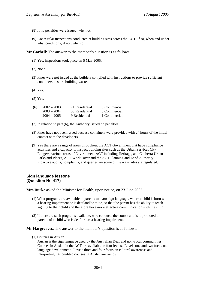- (8) If no penalties were issued, why not;
- (9) Are regular inspections conducted at building sites across the ACT; if so, when and under what conditions; if not, why not.

**Mr Corbell**: The answer to the member's question is as follows:

- (1) Yes, inspections took place on 5 May 2005.
- (2) None.
- (3) Fines were not issued as the builders complied with instructions to provide sufficient containers to store building waste.
- (4) Yes.
- (5) Yes.

| (6) | $2002 - 2003$ | 71 Residential | 8 Commercial |
|-----|---------------|----------------|--------------|
|     | $2003 - 2004$ | 35 Residential | 5 Commercial |
|     | $2004 - 2005$ | 9 Residential  | 1 Commercial |

(7) In relation to part (6), the Authority issued no penalties.

- (8) Fines have not been issued because containers were provided with 24 hours of the initial contact with the developers.
- (9) Yes there are a range of areas throughout the ACT Government that have compliance activities and a capacity to inspect building sites such as the Urban Services City Rangers, various areas of Environment ACT including Heritage, and Canberra Urban Parks and Places, ACT WorkCover and the ACT Planning and Land Authority. Proactive audits, complaints, and queries are some of the ways sites are regulated.

#### **Sign language lessons (Question No 417)**

**Mrs Burke** asked the Minister for Health, upon notice, on 23 June 2005:

- (1) What programs are available to parents to learn sign language, where a child is born with a hearing impairment or is deaf and/or mute, so that the parent has the ability to teach signing to their child and therefore have more effective communication with the child;
- (2) If there are such programs available, who conducts the course and is it promoted to parents of a child who is deaf or has a hearing impairment.

**Mr Hargreaves**: The answer to the member's question is as follows:

(1) Courses in Auslan

Auslan is the sign language used by the Australian Deaf and non-vocal communities. Courses in Auslan in the ACT are available in four levels. Levels one and two focus on language development. Levels three and four focus on cultural awareness and interpreting. Accredited courses in Auslan are run by: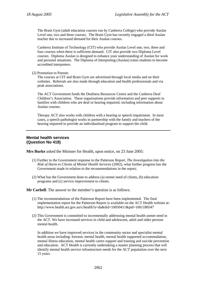The Brain Gym (adult education courses run by Canberra College) who provide Auslan Level one, two and three courses. The Brain Gym has recently engaged a third Auslan teacher due to increased demand for their Auslan courses.

Canberra Institute of Technology (CIT) who provide Auslan Level one, two, three and four courses when there is sufficient demand. CIT also provide two Diploma Level courses. Diploma Auslan is designed to enhance your understanding of Auslan for work and personal situations. The Diploma of Interpreting (Auslan) trains students to become accredited interpreters.

(2) Promotion to Parents

The courses at CIT and Brain Gym are advertised through local media and on their websites. Referrals are also made through education and health professionals and via peak associations.

The ACT Government funds the Deafness Resources Centre and the Canberra Deaf Children's Association. These organisations provide information and peer supports to families with children who are deaf or hearing impaired, including information about Auslan courses.

Therapy ACT also works with children with a hearing or speech impairment. In most cases, a speech pathologist works in partnership with the family and teachers of the hearing impaired to provide an individualised program to support the child.

# **Mental health services (Question No 418)**

**Mrs Burke** asked the Minister for Health, upon notice, on 23 June 2005:

- (1) Further to the Government response to the Patterson Report, *The Investigation into the Risk of Harm to Clients of Mental Health Services* (2002), what further progress has the Government made in relation to the recommendations in the report;
- (2) What has the Government done to address (a) unmet need of clients, (b) education programs and (c) service improvement to clients.

**Mr Corbell**: The answer to the member's question is as follows:

- (1) The recommendations of the Patterson Report have been implemented. The final implementation report for the Patterson Report is available on the ACT Health website at: http://www.health.act.gov.au/c/health?a=da&did=10050411&pid=1061180547
- (2) This Government is committed to incrementally addressing mental health unmet need in the ACT. We have increased services in child and adolescent, adult and older persons mental health.

In addition we have improved services in the community sector and specialist mental health areas including: forensic mental health, mental health supported accommodation, mental illness education, mental health carers support and training and suicide prevention and education. ACT Health is currently undertaking a master planning process that will identify mental health service infrastructure needs for the ACT population over the next 15 years.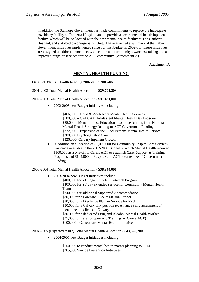In addition the Stanhope Government has made commitments to replace the inadequate psychiatry facility at Canberra Hospital, and to provide a secure mental health inpatient facility, which will be co-located with the new mental health facility at The Canberra Hospital, and a 20-bed psycho-geriatric Unit. I have attached a summary of the Labor Government initiatives implemented since our first budget in 2002-03. These initiatives are designed to address unmet needs, education and community awareness raising and an improved range of services for the ACT community. (Attachment A)

Attachment A

# **MENTAL HEALTH FUNDING**

#### **Detail of Mental Health funding 2002-03 to 2005-06**

#### 2001-2002 Total Mental Health Allocation - **\$29,701,203**

#### 2002-2003 Total Mental Health Allocation - **\$31,481,000**

• 2002-2003 new Budget initiatives including

\$466,000 – Child & Adolescent Mental Health Services \$500,000 – CALCAM Adolescent Mental Health Day Program \$85,000 – Mental Illness Education - to move funding from National Mental Health Strategy funding to ACT Government Funding \$322,000 – Expansion of the Older Persons Mental Health Service. \$300,000 Psychogeriatric Care

- \$326,000- Calvary Inpatient Growth
- In addition an allocation of \$1,000,000 for Community Respite Care Services was made available in the 2002-2003 Budget of which Mental Health received \$100,000 as a one-off to Carers ACT to establish Carer Support & Training Programs and \$104,000 to Respite Care ACT recurrent ACT Government Funding.

#### 2003-2004 Total Mental Health Allocation - **\$38,244,000**

• 2003-2004 new Budget initiatives include: \$400,000 for a Gungahlin Adult Outreach Program \$400,000 for a 7 day extended service for Community Mental Health Teams \$240,000 for additional Supported Accommodation \$80,000 for a Forensic – Court Liaison Officer \$80,000 for a Discharge Planner Service for PSU \$80,000 for a Calvary link position (to enhance early assessment of mental health clients at Calvary \$80,000 for a dedicated Drug and Alcohol/Mental Health Worker \$35,000 for Carer Support and Training – (Carers ACT) \$100,000 - Corrections Mental Health Initiative

#### 2004-2005 (Expected result) Total Mental Health Allocation - **\$43,325,700**

• 2004-2005 new Budget initiatives including

\$150,000 to conduct mental health master planning to 2014. \$365,000 Suicide Prevention Initiatives.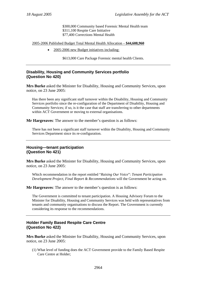\$300,000 Community based Forensic Mental Health team \$311,100 Respite Care Initiative \$77,400 Corrections Mental Health

2005-2006 Published Budget Total Mental Health Allocation – **\$44,608,960**

• 2005-2006 new Budget initiatives including:

\$613,000 Care Package Forensic mental health Clients.

## **Disability, Housing and Community Services portfolio (Question No 420)**

**Mrs Burke** asked the Minister for Disability, Housing and Community Services, upon notice, on 23 June 2005:

Has there been any significant staff turnover within the Disability, Housing and Community Services portfolio since the re-configuration of the Department of Disability, Housing and Community Services; if so, is it the case that staff are transferring to other departments within ACT Government or moving to external organisations.

**Mr Hargreaves**: The answer to the member's question is as follows:

There has not been a significant staff turnover within the Disability, Housing and Community Services Department since its re-configuration.

## **Housing—tenant participation (Question No 421)**

**Mrs Burke** asked the Minister for Disability, Housing and Community Services, upon notice, on 23 June 2005:

Which recommendation in the report entitled "*Raising Our Voice*": *Tenant Participation Development Project, Final Report & Recommendations* will the Government be acting on.

**Mr Hargreaves**: The answer to the member's question is as follows:

The Government is committed to tenant participation. A Housing Advisory Forum to the Minister for Disability, Housing and Community Services was held with representatives from tenants and community organisations to discuss the Report. The Government is currently considering its response to the recommendations.

# **Holder Family Based Respite Care Centre (Question No 422)**

**Mrs Burke** asked the Minister for Disability, Housing and Community Services, upon notice, on 23 June 2005:

(1) What level of funding does the ACT Government provide to the Family Based Respite Care Centre at Holder;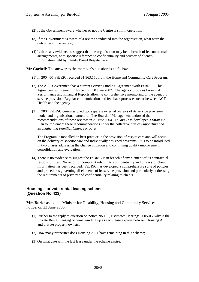- (2) Is the Government aware whether or not the Centre is still in operation;
- (3) If the Government is aware of a review conducted into the organisation, what were the outcomes of the review;
- (4) Is there any evidence to suggest that the organisation may be in breach of its contractual arrangements, with specific reference to confidentiality and privacy of client's information held by Family Based Respite Care.

**Mr Corbell**: The answer to the member's question is as follows:

- (1) In 2004-05 FaBRiC received \$1,963,150 from the Home and Community Care Program.
- (2) The ACT Government has a current Service Funding Agreement with FaBRiC. This Agreement will remain in force until 30 June 2007. The agency provides bi-annual Performance and Financial Reports allowing comprehensive monitoring of the agency's service provision. Regular communication and feedback processes occur between ACT Health and the agency.
- (3) In 2004 FaBRiC commissioned two separate external reviews of its service provision model and organisational structure. The Board of Management endorsed the recommendations of these reviews in August 2004. FaBRiC has developed a Strategic Plan to implement these recommendations under the collective title of *Supporting and Strengthening Families Change Program*.

The Program is modelled on best practice in the provision of respite care and will focus on the delivery of specific care and individually designed programs. It is to be introduced in two phases addressing the change initiation and continuing quality improvement, consolidation and evaluation.

(4) There is no evidence to suggest the FaBRiC is in breach of any element of its contractual responsibilities. No report or complaint relating to confidentiality and privacy of client information has been received. FaBRiC has developed a comprehensive suite of policies and procedures governing all elements of its service provision and particularly addressing the requirements of privacy and confidentiality relating to clients.

## **Housing—private rental leasing scheme (Question No 423)**

**Mrs Burke** asked the Minister for Disability, Housing and Community Services, upon notice, on 23 June 2005:

- (1) Further to the reply to question on notice No 103, Estimates Hearings 2005-06, why is the Private Rental Leasing Scheme winding up as each lease expires between Housing ACT and private property owners;
- (2) How many properties does Housing ACT have remaining in this scheme;
- (3) On what date will the last lease under the scheme expire.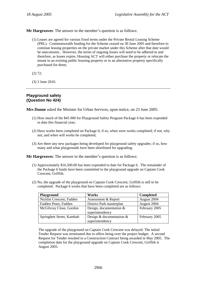- (1) Leases are agreed for various fixed terms under the Private Rental Leasing Scheme (PRL). Commonwealth funding for the Scheme ceased on 30 June 2005 and therefore to continue leasing properties on the private market under this Scheme after that date would be uneconomic. However, the terms of ongoing leases will need to be adhered to and therefore, as leases expire, Housing ACT will either purchase the property or relocate the tenant to an existing public housing property or to an alternative property specifically purchased for them;
- (2) 72;
- (3) 3 June 2010.

## **Playground safety (Question No 424)**

**Mrs Dunne** asked the Minister for Urban Services, upon notice, on 23 June 2005:

- (1) How much of the \$45 000 for Playground Safety Program Package 6 has been expended to date this financial year;
- (2) Have works been completed on Package 6; if so, when were works completed; if not, why not, and when will works be completed;
- (3) Are there any new packages being developed for playground safety upgrades; if so, how many and what playgrounds have been shortlisted for upgrading.

**Mr Hargreaves**: The answer to the member's question is as follows:

- (1) Approximately \$16,500.00 has been expended to date for Package 6. The remainder of the Package 6 funds have been committed to the playground upgrade on Captain Cook Crescent, Griffith.
- (2) No, the upgrade of the playground on Captain Cook Crescent, Griffith is still to be completed. Package 6 works that have been completed are as follows:

| Playground                | Works                                         | <b>Completed</b> |
|---------------------------|-----------------------------------------------|------------------|
| Nicklin Crescent, Fadden  | Assessment & Report                           | August 2004      |
| Fadden Pines, Fadden      | District Park masterplan                      | August 2004      |
| McGilvray Close, Gordon   | Design, documentation $\&$<br>superintendency | February 2005    |
| Springbett Street, Kambah | Design & documentation $\&$                   | February 2005    |
|                           | superintendency                               |                  |

The upgrade of the playground on Captain Cook Crescent was delayed. The initial Tender Request was terminated due to offers being over the project budget. A second Request for Tender resulted in a Construction Contract being awarded in May 2005. The completion date for the playground upgrade on Captain Cook Crescent, Griffith is August 2005.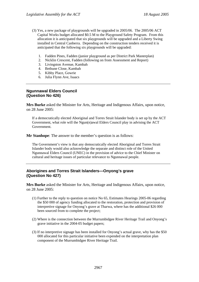- (3) Yes, a new package of playgrounds will be upgraded in 2005/06. The 2005/06 ACT Capital Works budget allocated \$0.5 M to the Playground Safety Program. From this allocation it is anticipated that six playgrounds will be upgraded and a Liberty Swing installed in Central Canberra. Depending on the construction tenders received it is anticipated that the following six playgrounds will be upgraded:
	- 1. Fadden Pines, Fadden (junior playground as per District Park Masterplan)
	- 2. Nicklin Crescent, Fadden (following on from Assessment and Report)
	- 3. Livingston Avenue, Kambah
	- 4. Bethune Close, Kambah
	- 5. Kibby Place, Gowrie
	- 6. Julia Flynn Ave, Isaacs

## **Ngunnawal Elders Council (Question No 426)**

**Mrs Burke** asked the Minister for Arts, Heritage and Indigenous Affairs, upon notice, on 28 June 2005:

If a democratically elected Aboriginal and Torres Strait Islander body is set up by the ACT Government, what role will the Ngun(n)awal Elders Council play in advising the ACT Government.

**Mr Stanhope**: The answer to the member's question is as follows:

The Government's view is that any democratically elected Aboriginal and Torres Strait Islander body would also acknowledge the separate and distinct role of the United Ngunnawal Elders Council (UNEC) in the provision of advice to the Chief Minister on cultural and heritage issues of particular relevance to Ngunnawal people.

# **Aborigines and Torres Strait Islanders—Onyong's grave (Question No 427)**

**Mrs Burke** asked the Minister for Arts, Heritage and Indigenous Affairs, upon notice, on 28 June 2005:

- (1) Further to the reply to question on notice No 65, Estimates Hearings 2005-06 regarding the \$50 000 of agency funding allocated to the restoration, protection and provision of interpretive signage for Onyong's grave at Tharwa, where has the additional \$26 000 been sourced from to complete the project;
- (2) Where is the connection between the Murrumbidgee River Heritage Trail and Onyong's grave initiative in the 2004-05 budget papers;
- (3) If no interpretive signage has been installed for Onyong's actual grave, why has the \$50 000 allocated for this particular initiative been expended on the interpretation plan component of the Murrumbidgee River Heritage Trail.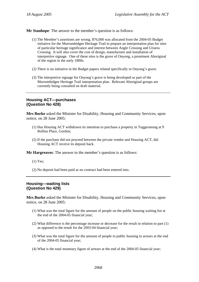**Mr Stanhope**: The answer to the member's question is as follows:

- (1) The Member's assertions are wrong. \$76,000 was allocated from the 2004-05 Budget initiative for the Murrumbidgee Heritage Trail to prepare an interpretation plan for sites of particular heritage significance and interest between Angle Crossing and Uriarra Crossing. It will also cover the cost of design, manufacture and installation of interpretive signage. One of these sites is the grave of Onyong, a prominent Aboriginal of the region in the early 1800s.
- (2) There is no initiative in the Budget papers related specifically to Onyong's grave.
- (3) The interpretive signage for Onyong's grave is being developed as part of the Murrumbidgee Heritage Trail interpretation plan. Relevant Aboriginal groups are currently being consulted on draft material.

## **Housing ACT—purchases (Question No 428)**

**Mrs Burke** asked the Minister for Disability, Housing and Community Services, upon notice, on 28 June 2005:

- (1) Has Housing ACT withdrawn its intention to purchase a property in Tuggeranong at 9 Rollins Place, Gordon;
- (2) If the purchase did not proceed between the private vendor and Housing ACT, did Housing ACT receive its deposit back.

**Mr Hargreaves**: The answer to the member's question is as follows:

- (1) Yes;
- (2) No deposit had been paid as no contract had been entered into.

## **Housing—waiting lists (Question No 429)**

**Mrs Burke** asked the Minister for Disability, Housing and Community Services, upon notice, on 28 June 2005:

- (1) What was the total figure for the amount of people on the public housing waiting list at the end of the 2004-05 financial year;
- (2) What difference is the percentage increase or decrease for the result in relation to part (1) as opposed to the result for the 2003-04 financial year;
- (3) What was the total figure for the amount of people in public housing in arrears at the end of the 2004-05 financial year;
- (4) What is the total monetary figure of arrears at the end of the 2004-05 financial year;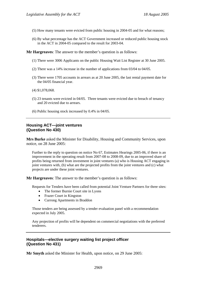- (5) How many tenants were evicted from public housing in 2004-05 and for what reasons;
- (6) By what percentage has the ACT Government increased or reduced public housing stock in the ACT in 2004-05 compared to the result for 2003-04.

**Mr Hargreaves**: The answer to the member's question is as follows:

- (1) There were 3006 Applicants on the public Housing Wait List Register at 30 June 2005.
- (2) There was a 14% increase in the number of applications from 03/04 to 04/05.
- (3) There were 1705 accounts in arrears as at 20 June 2005, the last rental payment date for the 04/05 financial year.
- (4) \$1,078,068.
- (5) 23 tenants were evicted in 04/05. Three tenants were evicted due to breach of tenancy and 20 evicted due to arrears.
- (6) Public housing stock increased by 0.4% in 04/05.

## **Housing ACT—joint ventures (Question No 430)**

**Mrs Burke** asked the Minister for Disability, Housing and Community Services, upon notice, on 28 June 2005:

Further to the reply to question on notice No 67, Estimates Hearings 2005-06, if there is an improvement in the operating result from 2007-08 to 2008-09, due to an improved share of profits being returned from investment in joint ventures (a) who is Housing ACT engaging in joint ventures with, (b) what are the projected profits from the joint ventures and (c) what projects are under these joint ventures.

**Mr Hargreaves**: The answer to the member's question is as follows:

Requests for Tenders have been called from potential Joint Venture Partners for three sites:

- The former Burnie Court site in Lyons
- Frazer Court in Kingston
- Currong Apartments in Braddon

Those tenders are being assessed by a tender evaluation panel with a recommendation expected in July 2005.

Any projection of profits will be dependent on commercial negotiations with the preferred tenderers.

# **Hospitals—elective surgery waiting list project officer (Question No 431)**

**Mr Smyth** asked the Minister for Health, upon notice, on 29 June 2005: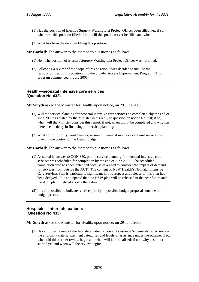- (1) Has the position of Elective Surgery Waiting List Project Officer been filled yet; if so, when was this position filled; if not, will this position ever be filled and when;
- (2) What has been the delay in filling this position.

**Mr Corbell**: The answer to the member's question is as follows:

- (1) No The position of Elective Surgery Waiting List Project Officer was not filled.
- (2) Following a review of the scope of this position it was decided to include the responsibilities of this position into the broader Access Improvement Program. This program commenced in July 2005.

## **Health—neonatal intensive care services (Question No 432)**

**Mr Smyth** asked the Minister for Health, upon notice, on 29 June 2005:

- (1) Will the service planning for neonatal intensive care services be completed "by the end of June 2005" as stated by the Minister in his reply to question on notice No 350; if so, when will the Minister consider this report; if not, when will it be completed and why has there been a delay in finalising the service planning;
- (2) What sort of priority would any expansion of neonatal intensive care unit services be given in the context of the Health budget.

**Mr Corbell**: The answer to the member's question is as follows:

- (1) As stated in answer to QON 350, part 4, service planning for neonatal intensive care services was scheduled for completion by the end of June 2005. The scheduled completion date has been extended because of a need to consider the impact of demand for services from outside the ACT. The content of NSW Health's Neonatal Intensive Care Services Plan is particularly significant in this respect and release of this plan has been delayed. It is anticipated that the NSW plan will be released in the near future and the ACT plan finalised shortly thereafter.
- (2) It is not possible to indicate relative priority to possible budget proposals outside the budget process.

# **Hospitals—interstate patients (Question No 433)**

**Mr Smyth** asked the Minister for Health, upon notice, on 29 June 2005:

(1) Has a further review of the Interstate Patients Travel Assistance Scheme started to review the eligibility criteria, payment categories and levels of assistance under the scheme; if so, when did this further review begin and when will it be finalised; if not, why has it not started yet and when will the review begin;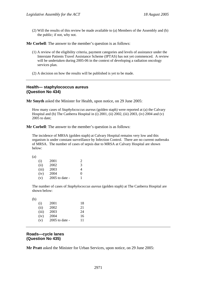(2) Will the results of this review be made available to (a) Members of the Assembly and (b) the public; if not, why not.

**Mr Corbell**: The answer to the member's question is as follows:

- (1) A review of the eligibility criteria, payment categories and levels of assistance under the Interstate Patients Travel Assistance Scheme (IPTAS) has not yet commenced. A review will be undertaken during 2005-06 in the context of developing a radiation oncology services plan.
- (2) A decision on how the results will be published is yet to be made.

### **Health— staphylococcus aureus (Question No 434)**

**Mr Smyth** asked the Minister for Health, upon notice, on 29 June 2005:

How many cases of *Staphylococcus aureus* (golden staph) were reported at (a) the Calvary Hospital and (b) The Canberra Hospital in (i) 2001, (ii) 2002, (iii) 2003, (iv) 2004 and (v)  $2005$  to date:

**Mr Corbell**: The answer to the member's question is as follows:

The incidence of MRSA (golden staph) at Calvary Hospital remains very low and this organism is under constant surveillance by Infection Control. There are no current outbreaks of MRSA. The number of cases of sepsis due to MRSA at Calvary Hospital are shown below:

| (i)   | 2001           | 2        |
|-------|----------------|----------|
| (ii)  | 2002           | 3        |
| (iii) | 2003           | 4        |
| (iv)  | 2004           | $\Omega$ |
| (v)   | 2005 to date - | 1        |

The number of cases of *Staphylococcus aureus* (golden staph) at The Canberra Hospital are shown below:

| ۰.<br>w<br>۰. |
|---------------|
| ٦             |

| (i)   | 2001             | 18 |
|-------|------------------|----|
| (ii)  | 2002             | 21 |
| (iii) | 2003             | 24 |
| (iv)  | 2004             | 16 |
| (v)   | $2005$ to date - | 11 |

## **Roads—cycle lanes (Question No 435)**

**Mr Pratt** asked the Minister for Urban Services, upon notice, on 29 June 2005: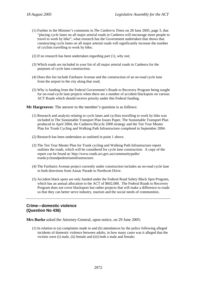- (1) Further to the Minister's comments in *The Canberra Times* on 28 June 2005, page 3, that "placing cycle lanes on all major arterial roads in Canberra will encourage more people to travel to work by bike", what research has the Government undertaken that shows that constructing cycle lanes on all major arterial roads will significantly increase the number of cyclists travelling to work by bike;
- (2) If no research has been undertaken regarding part (1), why not;
- (3) Which roads are included in your list of all major arterial roads in Canberra for the purposes of cycle lane construction;
- (4) Does this list include Fairbairn Avenue and the construction of an on-road cycle lane from the airport to the city along that road;
- (5) Why is funding from the Federal Government's Roads to Recovery Program being sought for on-road cycle lane projects when there are a number of accident blackspots on various ACT Roads which should receive priority under this Federal funding.

**Mr Hargreaves**: The answer to the member's question is as follows:

- (1) Research and analysis relating to cycle lanes and cyclists travelling to work by bike was included in The Sustainable Transport Plan Issues Paper, The Sustainable Transport Plan produced in April 2004, the Canberra Bicycle 2000 strategy and the Ten Year Master Plan for Trunk Cycling and Walking Path Infrastructure completed in September 2004.
- (2) Research has been undertaken as outlined in point 1 above.
- (3) The Ten Year Master Plan for Trunk cycling and Walking Path Infrastructure report outlines the roads, which will be considered for cycle lane construction. A copy of the report can be found at: http://www.roads.act.gov.au/communitypaths/ trunkcycleandpedestrianinfrastructure.
- (4) The Fairbairn Avenue project currently under construction includes an on-road cycle lane in both directions from Anzac Parade to Northcott Drive.
- (5) Accident black spots are only funded under the Federal Road Safety Black Spot Program, which has an annual allocation to the ACT of \$602,000. The Federal Roads to Recovery Program does not cover blackspots but rather projects that will make a difference to roads so that they can better serve industry, tourism and the social needs of communities.

## **Crime—domestic violence (Question No 436)**

**Mrs Burke** asked the Attorney-General, upon notice, on 29 June 2005:

(1) In relation to (a) complaints made to and (b) attendances by the police following alleged incidents of domestic violence between adults, in how many cases was it alleged that the victims were (i) male, (ii) female and (iii) both a male and female;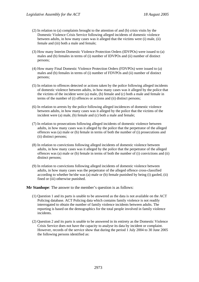- (2) In relation to (a) complaints brought to the attention of and (b) crisis visits by the Domestic Violence Crisis Service following alleged incidents of domestic violence between adults, in how many cases was it alleged that the victims were (i) male, (ii) female and (iii) both a male and female;
- (3) How many Interim Domestic Violence Protection Orders (IDVPOs) were issued to (a) males and (b) females in terms of (i) number of IDVPOs and (ii) number of distinct persons;
- (4) How many Final Domestic Violence Protection Orders (FDVPOs) were issued to (a) males and (b) females in terms of (i) number of FDVPOs and (ii) number of distinct persons;
- (5) In relation to offences detected or actions taken by the police following alleged incidents of domestic violence between adults, in how many cases was it alleged by the police that the victims of the incident were (a) male, (b) female and (c) both a male and female in terms of the number of (i) offences or actions and (ii) distinct persons;
- (6) In relation to arrests by the police following alleged incidences of domestic violence between adults, in how many cases was it alleged by the police that the victims of the incident were (a) male, (b) female and (c) both a male and female;
- (7) In relation to prosecutions following alleged incidents of domestic violence between adults, in how many cases was it alleged by the police that the perpetrator of the alleged offences was (a) male or (b) female in terms of both the number of (i) prosecutions and (ii) distinct persons;
- (8) In relation to convictions following alleged incidents of domestic violence between adults, in how many cases was it alleged by the police that the perpetrator of the alleged offences was (a) male or (b) female in terms of both the number of (i) convictions and (ii) distinct persons;
- (9) In relation to convictions following alleged incidents of domestic violence between adults, in how many cases was the perpetrator of the alleged offence cross-classified according to whether he/she was (a) male or (b) female punished by being (i) gaoled, (ii) fined or (iii) otherwise punished.

**Mr Stanhope**: The answer to the member's question is as follows:

- (1) Question 1 and its parts is unable to be answered as the data is not available on the ACT Policing database. ACT Policing data which contains family violence is not readily interrogated to obtain the number of family violence incidents between adults. The reporting is based on the demographics for the total people involved in family violence incidents.
- (2) Question 2 and its parts is unable to be answered in its entirety as the Domestic Violence Crisis Service does not have the capacity to analyse its data by incident or complaint. However, records of the service show that during the period 1 July 2004 to 30 June 2005 the following persons identified as: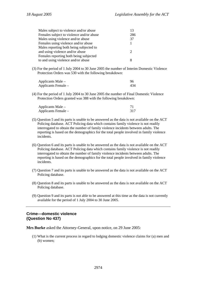| Males subject to violence and/or abuse   |     |
|------------------------------------------|-----|
| Females subject to violence and/or abuse | 286 |
| Males using violence and/or abuse        | 37  |
| Females using violence and/or abuse      |     |
| Males reporting both being subjected to  |     |
| and using violence and/or abuse          |     |
| Females reporting both being subjected   |     |
| to and using violence and/or abuse       | 8   |

(3) For the period of 1 July 2004 to 30 June 2005 the number of Interim Domestic Violence Protection Orders was 530 with the following breakdown:

| Applicants Male –   | 96  |
|---------------------|-----|
| Applicants Female – | 434 |

(4) For the period of 1 July 2004 to 30 June 2005 the number of Final Domestic Violence Protection Orders granted was 388 with the following breakdown:

| Applicants Male –   |  |
|---------------------|--|
| Applicants Female – |  |

- (5) Question 5 and its parts is unable to be answered as the data is not available on the ACT Policing database. ACT Policing data which contains family violence is not readily interrogated to obtain the number of family violence incidents between adults. The reporting is based on the demographics for the total people involved in family violence incidents.
- (6) Question 6 and its parts is unable to be answered as the data is not available on the ACT Policing database. ACT Policing data which contains family violence is not readily interrogated to obtain the number of family violence incidents between adults. The reporting is based on the demographics for the total people involved in family violence incidents.
- (7) Question 7 and its parts is unable to be answered as the data is not available on the ACT Policing database.
- (8) Question 8 and its parts is unable to be answered as the data is not available on the ACT Policing database.
- (9) Question 9 and its parts is not able to be answered at this time as the data is not currently available for the period of 1 July 2004 to 30 June 2005.

## **Crime—domestic violence (Question No 437)**

**Mrs Burke** asked the Attorney-General, upon notice, on 29 June 2005:

(1) What is the current process in regard to lodging domestic violence claims for (a) men and (b) women;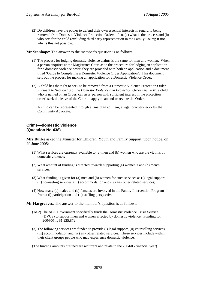(2) Do children have the power to defend their own essential interests in regard to being removed from Domestic Violence Protection Orders; if so, (a) what is the process and (b) who acts for the child (excluding third party representation in the Family Court); if not, why is this not possible.

**Mr Stanhope**: The answer to the member's question is as follows:

- (1) The process for lodging domestic violence claims is the same for men and women. When a person enquires at the Magistrates Court as to the procedure for lodging an application for a domestic violence order, they are provided with both an application and a document titled 'Guide to Completing a Domestic Violence Order Application'. This document sets out the process for making an application for a Domestic Violence Order.
- (2) A child has the right to seek to be removed from a Domestic Violence Protection Order. Pursuant to Section 13 of the *Domestic Violence and Protection Orders Act 2001* a child who is named on an Order, can as a 'person with sufficient interest in the protection order' seek the leave of the Court to apply to amend or revoke the Order.

A child can be represented through a Guardian ad litem, a legal practitioner or by the Community Advocate.

## **Crime—domestic violence (Question No 438)**

**Mrs Burke** asked the Minister for Children, Youth and Family Support, upon notice, on 29 June 2005:

- (1) What services are currently available to (a) men and (b) women who are the victims of domestic violence;
- (2) What amount of funding is directed towards supporting (a) women's and (b) men's services;
- (3) What funding is given for (a) men and (b) women for such services as (i) legal support, (ii) counseling services, (iii) accommodation and (iv) any other related services;
- (4) How many (a) males and (b) females are involved in the Family Intervention Program from a (i) participation and (ii) staffing perspective.

**Mr Hargreaves**: The answer to the member's question is as follows:

- (1&2) The ACT Government specifically funds the Domestic Violence Crisis Service (DVCS) to support men and women affected by domestic violence. Funding for 2004/05 is \$1,225,872.
- (3) The following services are funded to provide (i) legal support, (ii) counselling services, (iii) accommodation and (iv) any other related services. These services include within their client groups people who may experience domestic violence.

(The funding amounts outlined are recurrent and relate to the 2004/05 financial year).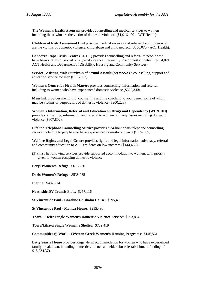**The Women's Health Program** provides counselling and medical services to women including those who are the victim of domestic violence. (\$1,016,400 - ACT Health).

**Children at Risk Assessment Unit** provides medical services and referral for children who are the victims of domestic violence, child abuse and child neglect. (\$856,070 - ACT Health).

**Canberra Rape Crisis Centre (CRCC)** provides counselling and referral to people who have been victims of sexual or physical violence, frequently in a domestic context (\$654,021) ACT Health and Department of Disability, Housing and Community Services).

**Service Assisting Male Survivors of Sexual Assault (SAMSSA)** a counselling, support and education service for men (\$115,307).

**Women's Centre for Health Matters** provides counselling, information and referral including to women who have experienced domestic violence (\$302,340).

**Menslink** provides mentoring, counselling and life coaching to young men some of whom may be victims or perpetrators of domestic violence (\$200,228).

**Women's Information, Referral and Education on Drugs and Dependency (WIREDD)** provide counselling, information and referral to women on many issues including domestic violence (\$607,802).

**Lifeline Telephone Counselling Service** provides a 24-hour crisis telephone counselling service including to people who have experienced domestic violence (\$174,965).

**Welfare Rights and Legal Centre** provides rights and legal information, advocacy, referral and community education to ACT residents on low incomes (\$144,469).

(3) (iii) The following services provide supported accommodation to women, with priority given to women escaping domestic violence.

**Beryl Women's Refuge**: \$613,230.

**Doris Women's Refuge**: \$538,935

**Inanna**: \$482,214.

**Northside DV Transit Flats**: \$257,116

**St Vincent de Paul - Caroline Chisholm House**: \$395,403

**St Vincent de Paul - Monica House**: \$295,490.

**Toora – Heira Single Women's Domestic Violence Service**: \$503,854.

**Toora/Likaya Single Women's Shelter**: \$729,419

**Communities @ Work – (Weston Creek Women's Housing Program)**: \$146,561

**Betty Searle House** provides longer-term accommodation for women who have experienced family breakdown, including domestic violence and elder abuse (establishment funding of \$15,034.37).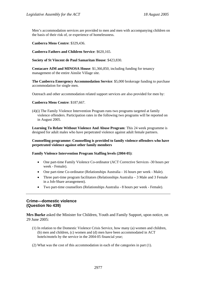Men's accommodation services are provided to men and men with accompanying children on the basis of their risk of, or experience of homelessness.

**Canberra Mens Centre**: \$329,436.

**Canberra Fathers and Children Service**: \$620,165.

**Society of St Vincent de Paul Samaritan House**: \$423,830.

**Centacare AIM and MINOSA House**: \$1,366,850, including funding for tenancy management of the entire Ainslie Village site.

**The Canberra Emergency Accommodation Service**: \$5,000 brokerage funding to purchase accommodation for single men.

Outreach and other accommodation related support services are also provided for men by:

#### **Canberra Mens Centre**: \$187,667.

(4)(i) The Family Violence Intervention Program runs two programs targeted at family violence offenders. Participation rates in the following two programs will be reported on in August 2005.

**Learning To Relate Without Violence And Abuse Program**: This 24 week programme is designed for adult males who have perpetrated violence against adult female partners.

**Counselling programme: Counselling is provided to family violence offenders who have perpetrated violence against other family members** 

#### **Family Violence Intervention Program Staffing levels (2004-05)**:

- One part-time Family Violence Co-ordinator (ACT Corrective Services -30 hours per week - Female).
- One part-time Co-ordinator (Relationships Australia 16 hours per week Male).
- Three part-time program facilitators (Relationships Australia 3 Male and 3 Female in a Job-Share arrangement).
- Two part-time counsellors (Relationships Australia 8 hours per week Female).

### **Crime—domestic violence (Question No 439)**

**Mrs Burke** asked the Minister for Children, Youth and Family Support, upon notice, on 29 June 2005:

- (1) In relation to the Domestic Violence Crisis Service, how many (a) women and children, (b) men and children, (c) women and (d) men have been accommodated in ACT hotels/motels by the service in the 2004-05 financial year;
- (2) What was the cost of this accommodation in each of the categories in part (1).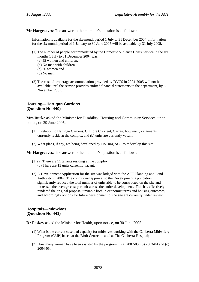**Mr Hargreaves**: The answer to the member's question is as follows:

Information is available for the six-month period 1 July to 31 December 2004. Information for the six-month period of 1 January to 30 June 2005 will be available by 31 July 2005.

- (1) The number of people accommodated by the Domestic Violence Crisis Service in the six months 1 July to 31 December 2004 was:
	- (a) 55 women and children.
	- (b) No men with children.
	- (c) 26 women and
	- (d) No men.
- (2) The cost of brokerage accommodation provided by DVCS in 2004-2005 will not be available until the service provides audited financial statements to the department, by 30 November 2005.

## **Housing—Hartigan Gardens (Question No 440)**

**Mrs Burke** asked the Minister for Disability, Housing and Community Services, upon notice, on 29 June 2005:

- (1) In relation to Hartigan Gardens, Gilmore Crescent, Garran, how many (a) tenants currently reside at the complex and (b) units are currently vacant;
- (2) What plans, if any, are being developed by Housing ACT to redevelop this site.

**Mr Hargreaves**: The answer to the member's question is as follows:

- (1) (a) There are 11 tenants residing at the complex. (b) There are 13 units currently vacant.
- (2) A Development Application for the site was lodged with the ACT Planning and Land Authority in 2004. The conditional approval to the Development Application significantly reduced the total number of units able to be constructed on the site and increased the average cost per unit across the entire development. This has effectively rendered the original proposal unviable both in economic terms and housing outcomes,

# **Hospitals—midwives (Question No 441)**

**Dr Foskey** asked the Minister for Health, upon notice, on 30 June 2005:

(1) What is the current caseload capacity for midwives working with the Canberra Midwifery Program (CMP) based at the Birth Centre located at The Canberra Hospital;

and accordingly options for future development of the site are currently under review.

(2) How many women have been assisted by the program in (a) 2002-03, (b) 2003-04 and (c) 2004-05;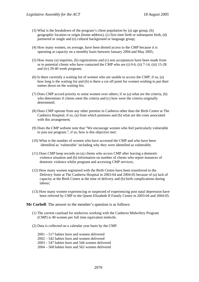- (3) What is the breakdown of the program's client population by (a) age group, (b) geographic location or origin (home address), (c) first time birth or subsequent birth, (d) partnered or single and (e) cultural background or language group;
- (4) How many women, on average, have been denied access to the CMP because it is operating at capacity on a monthly basis between January 2004 and May 2005;
- (5) How many (a) inquiries, (b) registrations and (c) non acceptances have been made from or to potential clients who have contacted the CMP who are (i) 0-6, (ii) 7-14, (iii) 15-28 and (iv) 29-40 week pregnant;
- (6) Is there currently a waiting list of women who are unable to access the CMP; if so, (a) how long is the waiting list and (b) is there a cut off point for women wishing to put their names down on the waiting list;
- (7) Does CMP accord priority to some women over others; if so (a) what are the criteria, (b) who determines if clients meet the criteria and (c) how were the criteria originally determined;
- (8) Does CMP operate from any other premise in Canberra other than the Birth Centre at The Canberra Hospital; if so, (a) from which premises and (b) what are the costs associated with this arrangement;
- (9) Does the CMP website note that "We encourage women who feel particularly vulnerable to join our program.", if so, how is this objective met;
- (10) What is the number of women who have accessed the CMP and who have been identified as 'vulnerable' including why they were identified as vulnerable;
- (11) Does CMP keep records on (a) clients who access CMP after leaving a domestic violence situation and (b) information on number of clients who report instances of domestic violence whilst pregnant and accessing CMP services;
- (12) How many women registered with the Birth Centre have been transferred to the Delivery Suite at The Canberra Hospital in 2003-04 and 2004-05 because of (a) lack of capacity at the Birth Centre at the time of delivery and (b) birth complications during labour;
- (13) How many women experiencing or suspected of experiencing post natal depression have been referred by CMP to the Queen Elizabeth II Family Centre in 2003-04 and 2004-05.

**Mr Corbell:** The answer to the member's question is as follows:

- (1) The current caseload for midwives working with the Canberra Midwifery Program (CMP) is 40 women per full time equivalent midwife.
- (2) Data is collected on a calendar year basis by the CMP.
	- 2001 517 babies born and women delivered
	- 2002 542 babies born and women delivered
	- 2003 547 babies born and 544 women delivered
	- 2004 568 babies born and 562 women delivered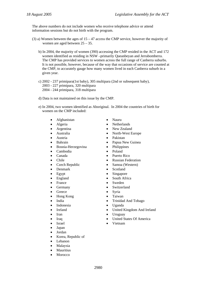The above numbers do not include women who receive telephone advice or attend information sessions but do not birth with the program.

- (3) a) Women between the ages of  $15 47$  access the CMP service, however the majority of women are aged between 25 – 35.
	- b) In 2004, the majority of women (390) accessing the CMP resided in the ACT and 172 women identified as residing in NSW –primarily Queanbeyan and Jerrabomberra. The CMP has provided services to women across the full range of Canberra suburbs. It is not possible, however, because of the way that occasions of service are counted at the CMP, to accurately gauge how many women lived in each Canberra suburb in a given year.
	- c) 2002 237 primipara(1st baby), 305 multipara (2nd or subsequent baby), 2003 - 227 primipara, 320 multipara 2004 - 244 primipara, 318 multipara
	- d) Data is not maintained on this issue by the CMP.
	- e) In 2004, two women identified as Aboriginal. In 2004 the countries of birth for women on the CMP included:
		- Afghanistan Nauru
		-
		-
		-
		-
		-
		- Bosnia-Herzegovina Philippines
		- Cambodia Poland
		-
		-
		-
		-
		-
		-
		-
		-
		- Greece Syria
		- Hong Kong Taiwan
		-
		- Indonesia Uganda
		-
		-
		-
		-
		-
		- Japan
		- Jordan
		- Korea, Republic of
		- Lebanon
		- Malaysia
		- Mauritius
		- **Morocco**
- 
- Algeria Netherlands
- Argentina New Zealand
	- Australia North-West Europe
- Austria Pakistan
- Bahrain Papua New Guinea
	-
	-
- Canada Puerto Rico
- Chile Russian Federation
- Czech Republic Samoa (Western)
- Denmark Scotland
- Egypt Singapore
- England South Africa
- France Sweden
- Germany Switzerland
	-
	-
- India Trinidad And Tobago
	-
- Ireland United Kingdom And Ireland
- Iran Uruguay
- Iraq United States Of America
- Israel Vietnam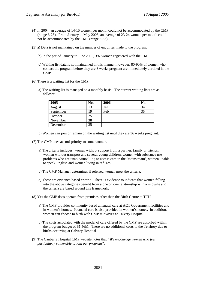- (4) In 2004, an average of 14-15 women per month could not be accommodated by the CMP (range 6-25). From January to May 2005, an average of 23-24 women per month could not be accommodated by the CMP (range 3-36).
- (5) a) Data is not maintained on the number of enquiries made to the program.
	- b) In the period January to June 2005, 392 women registered with the CMP.
	- c) Waiting list data is not maintained in this manner, however, 80-90% of women who contact the program before they are 8 weeks pregnant are immediately enrolled in the CMP.
- (6) There is a waiting list for the CMP.
	- a) The waiting list is managed on a monthly basis. The current waiting lists are as follows:

| 2005      | No. | 2006 | No. |
|-----------|-----|------|-----|
| August    |     | Jan  | 34  |
| September | 9   | Feb  | 35  |
| October   |     |      |     |
| November  | 38  |      |     |
| December  | 35  |      |     |

b) Women can join or remain on the waiting list until they are 36 weeks pregnant.

(7) The CMP does accord priority to some women.

- a) The criteria includes: women without support from a partner, family or friends, women without transport and several young children, women with substance use problems who are unable/unwilling to access care in the 'mainstream', women unable to speak English and women living in refuges.
- b) The CMP Manager determines if referred women meet the criteria.
- c) These are evidence-based criteria. There is evidence to indicate that women falling into the above categories benefit from a one on one relationship with a midwife and the criteria are based around this framework.
- (8) Yes the CMP does operate from premises other than the Birth Centre at TCH.
	- a) The CMP provides community based antenatal care at ACT Government facilities and in women's homes. Postnatal care is also provided in women's homes. In addition, women can choose to birth with CMP midwives at Calvary Hospital.
	- b) The costs associated with the model of care offered by the CMP are absorbed within the program budget of \$1.56M. There are no additional costs to the Territory due to births occurring at Calvary Hospital.
- (9) The Canberra Hospital CMP website notes that *"We encourage women who feel particularly vulnerable to join our program"*.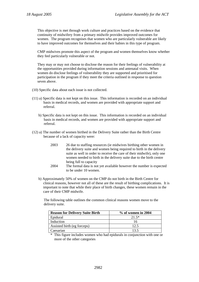This objective is met through work culture and practices based on the evidence that continuity of midwifery from a primary midwife provides improved outcomes for women. The program recognises that women who are particularly vulnerable are likely to have improved outcomes for themselves and their babies in this type of program.

CMP midwives promote this aspect of the program and women themselves know whether they feel particularly vulnerable or not.

They may or may not choose to disclose the reason for their feelings of vulnerability at the opportunities provided during information sessions and antenatal visits. When women do disclose feelings of vulnerability they are supported and prioritised for participation in the program if they meet the criteria outlined in response to question seven above.

- (10) Specific data about each issue is not collected.
- (11) a) Specific data is not kept on this issue. This information is recorded on an individual basis in medical records, and women are provided with appropriate support and referral.
	- b) Specific data is not kept on this issue. This information is recorded on an individual basis in medical records, and women are provided with appropriate support and referral.
- (12) a) The number of women birthed in the Delivery Suite rather than the Birth Centre because of a lack of capacity were:
	- 2003 26 due to staffing resources (ie midwives birthing other women in the delivery suite and women being required to birth in the delivery suite as well in order to receive the care of their midwife), only one women needed to birth in the delivery suite due to the birth centre being full to capacity
	- 2004 The formal data is not yet available however the number is expected to be under 10 women.
	- b) Approximately 50% of women on the CMP do not birth in the Birth Centre for clinical reasons, however not all of these are the result of birthing complications. It is important to note that while their place of birth changes, these women remain in the care of their CMP midwife.

The following table outlines the common clinical reasons women move to the delivery suite.

| <b>Reason for Delivery Suite Birth</b> | $%$ of women in 2004 |  |  |
|----------------------------------------|----------------------|--|--|
| Epidural                               | $21.5*$              |  |  |
| Induction                              | I6                   |  |  |
| Assisted birth (eg forceps)            | 12.5                 |  |  |
| Caesarian                              | 135                  |  |  |

This figure includes women who had epidurals in conjunction with one or more of the other categories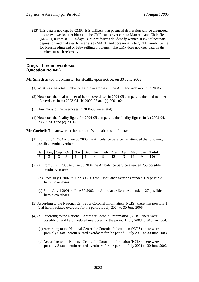(13) This data is not kept by CMP. It is unlikely that postnatal depression will be diagnosed before two weeks after birth and the CMP hands over care to Maternal and Child Health (MACH) nurses at 10-14 days. CMP midwives do identify women at risk of postnatal depression and make early referrals to MACH and occasionally to QE11 Family Centre for breastfeeding and or baby settling problems. The CMP does not keep data on the numbers of such referrals.

### **Drugs—heroin overdoses (Question No 442)**

**Mr Smyth** asked the Minister for Health, upon notice, on 30 June 2005:

- (1) What was the total number of heroin overdoses in the ACT for each month in 2004-05;
- (2) How does the total number of heroin overdoses in 2004-05 compare to the total number of overdoses in (a) 2003-04, (b) 2002-03 and (c) 2001-02;
- (3) How many of the overdoses in 2004-05 were fatal;
- (4) How does the fatality figure for 2004-05 compare to the fatality figures in (a) 2003-04, (b) 2002-03 and (c) 2001-02.

**Mr Corbell**: The answer to the member's question is as follows:

(1) From July 1 2004 to June 30 2005 the Ambulance Service has attended the following possible heroin overdoses:

|  |  |  |  |  |  | Jul   Aug   Sep   Oct   Nov   Dec   Jan   Feb   Mar   Apr   May   Jun   Total |
|--|--|--|--|--|--|-------------------------------------------------------------------------------|
|  |  |  |  |  |  | 106                                                                           |

- (2) (a) From July 1 2003 to June 30 2004 the Ambulance Service attended 253 possible heroin overdoses.
	- (b) From July 1 2002 to June 30 2003 the Ambulance Service attended 159 possible heroin overdoses.
	- (c) From July 1 2001 to June 30 2002 the Ambulance Service attended 127 possible heroin overdoses.
- (3) According to the National Centre for Coronial Information (NCIS), there was possibly 1 fatal heroin related overdose for the period 1 July 2004 to 30 June 2005.
- (4) (a) According to the National Centre for Coronial Information (NCIS), there were possibly 5 fatal heroin related overdoses for the period 1 July 2003 to 30 June 2004.
	- (b) According to the National Centre for Coronial Information (NCIS), there were possibly 6 fatal heroin related overdoses for the period 1 July 2002 to 30 June 2003.
	- (c) According to the National Centre for Coronial Information (NCIS), there were possibly 3 fatal heroin related overdoses for the period 1 July 2001 to 30 June 2002.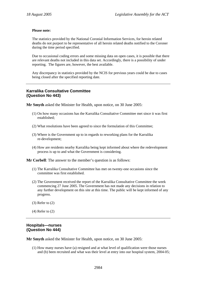#### **Please note:**

The statistics provided by the National Coronial Information Services, for heroin related deaths do not purport to be representative of all heroin related deaths notified to the Coroner during the time period specified.

Due to occasional coding errors and some missing data on open cases, it is possible that there are relevant deaths not included in this data set. Accordingly, there is a possibility of under reporting. The figures are, however, the best available.

Any discrepancy in statistics provided by the NCIS for previous years could be due to cases being closed after the specified reporting date.

## **Karralika Consultative Committee (Question No 443)**

**Mr Smyth** asked the Minister for Health, upon notice, on 30 June 2005:

- (1) On how many occasions has the Karralika Consultative Committee met since it was first established;
- (2) What resolutions have been agreed to since the formulation of this Committee;
- (3) Where is the Government up to in regards to reworking plans for the Karralika re-development;
- (4) How are residents nearby Karralika being kept informed about where the redevelopment process is up to and what the Government is considering.

**Mr Corbell**: The answer to the member's question is as follows:

- (1) The Karralika Consultative Committee has met on twenty-one occasions since the committee was first established.
- (2) The Government received the report of the Karralika Consultative Committee the week commencing 27 June 2005. The Government has not made any decisions in relation to any further development on this site at this time. The public will be kept informed of any progress.
- (3) Refer to (2)
- (4) Refer to (2)

## **Hospitals—nurses (Question No 444)**

**Mr Smyth** asked the Minister for Health, upon notice, on 30 June 2005:

(1) How many nurses have (a) resigned and at what level of qualification were those nurses and (b) been recruited and what was their level at entry into our hospital system, 2004-05;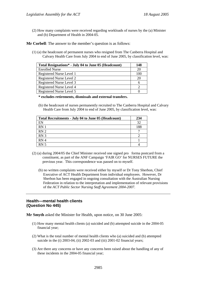(2) How many complaints were received regarding workloads of nurses by the (a) Minister and (b) Department of Health in 2004-05.

**Mr Corbell**: The answer to the member's question is as follows:

(1) (a) the headcount of permanent nurses who resigned from The Canberra Hospital and Calvary Health Care from July 2004 to end of June 2005, by classification level, was:

| Total Resignations* - July 04 to June 05 (Headcount) |     |  |
|------------------------------------------------------|-----|--|
| <b>Enrolled Nurse</b>                                | 20  |  |
| Registered Nurse Level 1                             | 100 |  |
| Registered Nurse Level 2                             | 20  |  |
| Registered Nurse Level 3                             |     |  |
| Registered Nurse Level 4                             |     |  |
| Registered Nurse Level 5                             |     |  |

**\* excludes retirements, dismissals and external transfers.** 

(b) the headcount of nurses permanently recruited to The Canberra Hospital and Calvary Health Care from July 2004 to end of June 2005, by classification level, was:

| Total Recruitments - July 04 to June 05 (Headcount) | 234 |
|-----------------------------------------------------|-----|
| EN                                                  | 32  |
| RN <sub>1</sub>                                     | 188 |
| RN <sub>2</sub>                                     |     |
| RN <sub>3</sub>                                     |     |
| RN <sub>4</sub>                                     |     |
| RN <sub>5</sub>                                     |     |

- $(2)$  (a) during 2004/05 the Chief Minister received one signed proforma postcard from a constituent, as part of the ANF Campaign 'FAIR GO' for NURSES FUTURE the previous year. This correspondence was passed on to myself.
	- (b) no written complaints were received either by myself or Dr Tony Sherbon, Chief Executive of ACT Health Department from individual employees. However, Dr Sherbon has been engaged in ongoing consultation with the Australian Nursing Federation in relation to the interpretation and implementation of relevant provisions of the *ACT Public Sector Nursing Staff Agreement 2004-2007*.

## **Health—mental health clients (Question No 445)**

**Mr Smyth** asked the Minister for Health, upon notice, on 30 June 2005:

- (1) How many mental health clients (a) suicided and (b) attempted suicide in the 2004-05 financial year;
- (2) What is the total number of mental health clients who (a) suicided and (b) attempted suicide in the (i) 2003-04, (ii) 2002-03 and (iii) 2001-02 financial years;
- (3) Are there any concerns or have any concerns been raised about the handling of any of these incidents in the 2004-05 financial year;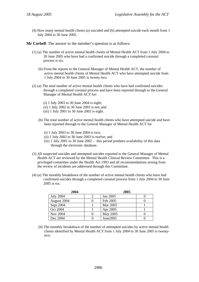(4) How many mental health clients (a) suicided and (b) attempted suicide each month from 1 July 2004 to 30 June 2005.

**Mr Corbell**: The answer to the member's question is as follows:

- (1) (a) The number of active mental health clients of Mental Health ACT from 1 July 2004 to 30 June 2005 who have had a confirmed suicide through a completed coronial process is six.
	- (b) From the reports to the General Manager of Mental Health ACT, the number of active mental health clients of Mental Health ACT who have attempted suicide from 1 July 2004 to 30 June 2005 is twenty-two.
- (2) (a) The total number of active mental health clients who have had confirmed suicides through a completed coronial process and have been reported through to the General Manager of Mental Health ACT for:
	- (i) 1 July 2003 to 30 June 2004 is eight;
	- (ii) 1 July 2002 to 30 June 2003 is ten; and
	- $(iii)$  1 July 2001 to 30 June 2002 is eight.
	- (b) The total number of active mental health clients who have attempted suicide and have been reported through to the General Manager of Mental Health ACT for
		- (i) 1 July 2003 to 30 June 2004 is two;
		- (ii) 1 July 2002 to 30 June 2003 is twelve; and
		- (iii) 1 July 2001 to 30 June 2002 this period predates availability of this data through the electronic database.
- (3) All suspected suicides and attempted suicides reported to the General Manager of Mental Health ACT are reviewed by the Mental Health Clinical Review Committee. This is a privileged committee under the Health Act 1993 and all recommendations arising from the review of incidents are addressed through this Committee.
- (4) (a) The monthly breakdown of the number of active mental health clients who have had confirmed suicides through a completed coronial process from 1 July 2004 to 30 June 2005 is six:

| 2004             |  | 2005     |  |
|------------------|--|----------|--|
| <b>July 2004</b> |  | Jan 2005 |  |
| August 2004      |  | Feb 2005 |  |
| Sept 2004        |  | Mar 2005 |  |
| Oct 2004         |  | Apr 2005 |  |
| Nov 2004         |  | May 2005 |  |
| Dec 2004         |  | June2005 |  |

(b) The monthly breakdown of the number of attempted suicides by active mental health clients identified by Mental Health ACT from 1 July 2004 to 30 June 2005 is twentytwo: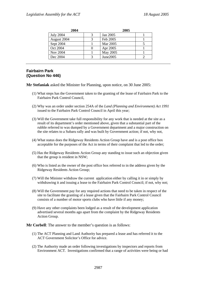| 2004             | 2005     |  |
|------------------|----------|--|
| <b>July 2004</b> | Jan 2005 |  |
| August 2004      | Feb 2005 |  |
| Sept 2004        | Mar 2005 |  |
| Oct 2004         | Apr 2005 |  |
| Nov 2004         | May 2005 |  |
| Dec 2004         | June2005 |  |

# **Fairbairn Park (Question No 446)**

**Mr Stefaniak** asked the Minister for Planning, upon notice, on 30 June 2005:

- (1) What steps has the Government taken to the granting of the lease of Fairbairn Park to the Fairbairn Park Control Council,
- (2) Why was an order under section 254A of the *Land (Planning and Environment) Act 1991* issued to the Fairbairn Park Control Council in April this year;
- (3) Will the Government take full responsibility for any work that is needed at the site as a result of its department's order mentioned above, given that a substantial part of the rubble referred to was dumped by a Government department and a major construction on the site relates to a Subaru rally and was built by Government action; if not, why not,
- (4) What status does the Ridgeway Residents Action Group have and is a post office box acceptable for the purposes of the Act in terms of their complaint that led to the order;
- (5) Has the Ridgeway Residents Action Group any standing to issue such an objection given that the group is resident in NSW;
- (6) Who is listed as the owner of the post office box referred to in the address given by the Ridgeway Residents Action Group;
- (7) Will the Minister withdraw the current application either by calling it in or simply by withdrawing it and issuing a lease to the Fairbairn Park Control Council; if not, why not;
- (8) Will the Government pay for any required actions that need to be taken in respect of the site to facilitate the granting of a lease given that the Fairbairn Park Control Council consists of a number of motor sports clubs who have little if any money;
- (9) Have any other complaints been lodged as a result of the development application advertised several months ago apart from the complaint by the Ridgeway Residents Action Group.

**Mr Corbell**: The answer to the member's question is as follows:

- (1) The ACT Planning and Land Authority has prepared a lease and has referred it to the ACT Government Solicitor's Office for advice.
- (2) The Authority made an order following investigations by inspectors and reports from Environment ACT. Investigations confirmed that a range of activities were being or had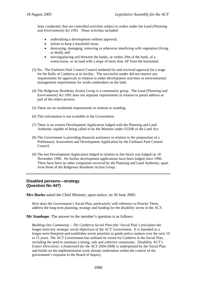been conducted, that are controlled activities subject to orders under the *Land (Planning and Environment) Act 1991*. These activities included:

- undertaking a development without approval;
- failure to keep a leasehold clean;
- destroying, damaging, removing or otherwise interfering with vegetation (living or dead); and
- moving/placing soil between the banks, or within 20m of the bank, of a watercourse, or on land with a slope of more than  $18^{\circ}$  from the horizontal.
- (3) No. The Fairbairn Park Control Council tendered for and received approval for a stage for the Rally of Canberra at its facility. The successful tender did not remove any requirements for approvals in relation to either development activities or environmental management requirements for works undertaken on the land.
- (4) The Ridgeway Residents Action Group is a community group. The *Land (Planning and Environment) Act 1991* does not stipulate requirements in relation to postal address as part of the orders process.
- (5) There are no residential requirements in relation to standing.
- (6) This information is not available to the Government.
- (7) There is no current Development Application lodged with the Planning and Land Authority capable of being called in by the Minister under S229B of the Land Act.
- (8) The Government is providing financial assistance in relation to the preparation of a Preliminary Assessment and Development Application by the Fairbairn Park Control Council.
- (9) The last Development Application lodged in relation to this block was lodged on 18 November 1996. No further development applications have been lodged since 1996. There have been no other complaints received by the Planning and Land Authority, apart from those of the Ridgeway Residents Action Group.

## **Disabled persons—strategy (Question No 447)**

**Mrs Burke** asked the Chief Minister, upon notice, on 30 June 2005:

How does the Government's Social Plan, particularly with reference to Priority Three, address the long term planning, strategy and funding for the disability sector in the ACT.

**Mr Stanhope**: The answer to the member's question is as follows:

*Building Our Community – The Canberra Social Plan* (the 'Social Plan') articulates the longer-term key strategic social objectives of the ACT Government. It is intended as a longer-term blueprint and establishes seven priorities to guide policy-makers over the next 10 to 15 years. The ACT Government has outlined its vision for Canberra in the Social Plan, including the need to maintain a strong, safe and cohesive community. Disability ACT's *Future Directions: a framework for the ACT 2004-2008*, is underpinned by the Social Plan and builds on the implementation work already undertaken within the context of the government's response to the Board of Inquiry.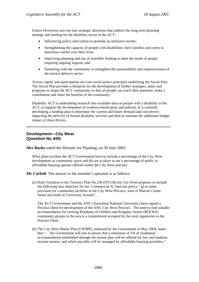*Future Directions* sets out four strategic directions that address the long term planning strategy and funding for the disability sector in the ACT:

- Influencing policy and culture to promote an inclusive society;
- Strengthening the capacity of people with disabilities, their families and carers to maximise control over their lives;
- Improving planning and use of available funding to meet the needs of people requiring ongoing support; and
- Partnering with the community to strengthen the sustainability and responsiveness of the service delivery sector.

Access, equity and participation are core social justice principles underlying the Social Plan. The Social Plan provides a blueprint for the development of further strategies, plans and programs to shape the ACT community so that all people can reach their potential, make a contribution and share the benefits of the community.

Disability ACT is undertaking research into available data on people with a disability in the ACT, to support the development of evidence-based plans and policies. It is currently developing a funding plan to determine the current and future demand and cost drivers impacting the delivery of formal disability services and then to estimate the additional budget impact of these drivers.

### **Development—City West (Question No 449)**

**Mrs Burke** asked the Minister for Planning, on 30 June 2005:

What plans (a) does the ACT Government have to include a percentage of the City West development as community space and (b) are in place to see a percentage of public or affordable housing options offered within the City West precinct.

**Mr Corbell**: The answer to the member's question is as follows:

(a) Draft Variation to the Territory Plan No.236 (DV236) for City West proposes to include the following new objective for the 'Commercial A' land use policy: "g) to make provision for community facilities in the City West Precinct, west of Marcus Clarke Street and north of University Avenue".

The ACT Government and the ANU (Australian National University) have signed a Precinct Deed for development of the ANU City West Precinct. The need to find suitable accommodation for existing Residents of Childers and Kingsley Streets (ROCKS) community groups in the area is a commitment accepted by the joint signatories to the Precinct Deed.

(b) The City West Master Plan (CWMP), endorsed by the Government in May 2004, states that "… the Government will aim to ensure that a minimum of 5% of residential accommodation established through the master plan will be offered for low and medium income earners, and where possible will be managed by affordable housing providers."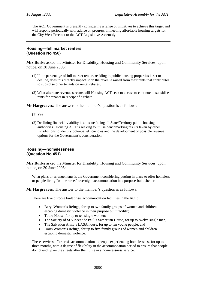The ACT Government is presently considering a range of initiatives to achieve this target and will respond periodically with advice on progress in meeting affordable housing targets for the City West Precinct to the ACT Legislative Assembly.

## **Housing—full market renters (Question No 450)**

**Mrs Burke** asked the Minister for Disability, Housing and Community Services, upon notice, on 30 June 2005:

- (1) If the percentage of full market renters residing in public housing properties is set to decline, does this directly impact upon the revenue raised from their rents that contributes to subsidise other tenants on rental rebates;
- (2) What alternate revenue streams will Housing ACT seek to access to continue to subsidise rents for tenants in receipt of a rebate.

**Mr Hargreaves**: The answer to the member's question is as follows:

- (1) Yes
- (2) Declining financial viability is an issue facing all State/Territory public housing authorities. Housing ACT is seeking to utilise benchmarking results taken by other jurisdictions to identify potential efficiencies and the development of possible revenue options for the Government's consideration.

# **Housing—homelessness (Question No 451)**

**Mrs Burke** asked the Minister for Disability, Housing and Community Services, upon notice, on 30 June 2005:

What plans or arrangements is the Government considering putting in place to offer homeless or people living "on the street" overnight accommodation in a purpose-built shelter.

**Mr Hargreaves**: The answer to the member's question is as follows:

There are five purpose built crisis accommodation facilities in the ACT:

- Beryl Women's Refuge, for up to two family groups of women and children escaping domestic violence in their purpose built facility;
- Toora House, for up to ten single women;
- The Society of St Vincent de Paul's Samaritan House, for up to twelve single men;
- The Salvation Army's LASA house, for up to ten young people; and
- Doris Women's Refuge, for up to five family groups of women and children escaping domestic violence.

These services offer crisis accommodation to people experiencing homelessness for up to three months, with a degree of flexibility in the accommodation period to ensure that people do not end up on the streets after their time in a homelessness service.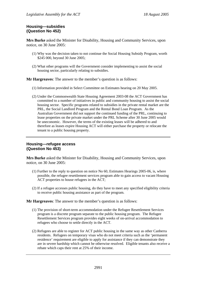## **Housing—subsidies (Question No 452)**

**Mrs Burke** asked the Minister for Disability, Housing and Community Services, upon notice, on 30 June 2005:

- (1) Why was the decision taken to not continue the Social Housing Subsidy Program, worth \$245 000, beyond 30 June 2005;
- (2) What other programs will the Government consider implementing to assist the social housing sector, particularly relating to subsidies.

**Mr Hargreaves**: The answer to the member's question is as follows:

- (1) Information provided in Select Committee on Estimates hearing on 20 May 2005.
- (2) Under the Commonwealth State Housing Agreement 2003-08 the ACT Government has committed to a number of initiatives in public and community housing to assist the social housing sector. Specific programs related to subsidies in the private rental market are the PRL, the Social Landlord Program and the Rental Bond Loan Program. As the Australian Government did not support the continued funding of the PRL, continuing to lease properties on the private market under the PRL Scheme after 30 June 2005 would be uneconomic. However, the terms of the existing leases will be adhered to and therefore as leases expire Housing ACT will either purchase the property or relocate the tenant to a public housing property.

## **Housing—refugee access (Question No 453)**

**Mrs Burke** asked the Minister for Disability, Housing and Community Services, upon notice, on 30 June 2005:

- (1) Further to the reply to question on notice No 60, Estimates Hearings 2005-06, is, where possible, the refugee resettlement services program able to gain access to vacant Housing ACT properties to house refugees in the ACT;
- (2) If a refugee accesses public housing, do they have to meet any specified eligibility criteria to receive public housing assistance as part of the program.

**Mr Hargreaves**: The answer to the member's question is as follows:

- (1) The provision of short-term accommodation under the Refugee Resettlement Services program is a discrete program separate to the public housing program. The Refugee Resettlement Services program provides eight weeks of on-arrival accommodation to refugees who choose to settle directly in the ACT.
- (2) Refugees are able to register for ACT public housing in the same way as other Canberra residents. Refugees on temporary visas who do not meet criteria such as the 'permanent residence' requirement are eligible to apply for assistance if they can demonstrate they are in severe hardship which cannot be otherwise resolved. Eligible tenants also receive a rebate which caps their rent at 25% of their income.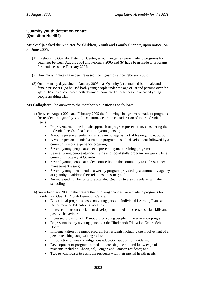# **Quamby youth detention centre (Question No 454)**

**Mr Seselja** asked the Minister for Children, Youth and Family Support, upon notice, on 30 June 2005:

- (1) In relation to Quamby Detention Centre, what changes (a) were made to programs for detainees between August 2004 and February 2005 and (b) have been made to programs for detainees since February 2005;
- (2) How many inmates have been released from Quamby since February 2005;
- (3) On how many days, since 1 January 2005, has Quamby (a) contained both male and female prisoners, (b) housed both young people under the age of 18 and persons over the age of 18 and (c) contained both detainees convicted of offences and accused young people awaiting trial.

**Ms Gallagher**: The answer to the member's question is as follows:

- 1a) Between August 2004 and February 2005 the following changes were made to programs for residents at Quamby Youth Detention Centre in consideration of their individual needs:
	- Improvements to the holistic approach to program presentation, considering the individual needs of each child or young person;
	- A young person attended a mainstream college as part of his ongoing education;
	- A young person attended a training program in skills development followed by a community work experience program;
	- Several young people attended a pre-employment training program;
	- Several young people attended living and social skills program run weekly by a community agency at Quamby;
	- Several young people attended counselling in the community to address anger management issues;
	- Several young men attended a weekly program provided by a community agency at Quamby to address their relationship issues; and
	- An increased number of tutors attended Quamby to assist residents with their schooling.
- 1b) Since February 2005 to the present the following changes were made to programs for residents at Quamby Youth Detention Centre:
	- Educational programs based on young person's Individual Learning Plans and Department of Education guidelines;
	- Increased focus on curriculum development aimed at increased social skills and positive behaviour;
	- Increased provision of IT support for young people in the education program;
	- Representation by a young person on the Hindmarsh Education Centre School Board;
	- Implementation of a music program for residents including the involvement of a person teaching song writing skills;
	- Introduction of weekly Indigenous education support for residents;
	- Development of programs aimed at increasing the cultural knowledge of residents including Aboriginal, Tongan and Samoan residents; and
	- Two psychologists to assist the residents with their mental health needs.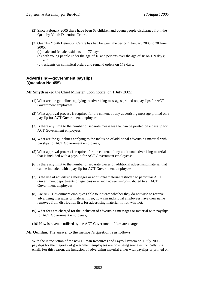- (2) Since February 2005 there have been 68 children and young people discharged from the Quamby Youth Detention Centre.
- (3) Quamby Youth Detention Centre has had between the period 1 January 2005 to 30 June 2005:
	- (a) male and female residents on 177 days;
	- (b) both young people under the age of 18 and persons over the age of 18 on 139 days; and
	- (c) residents on committal orders and remand orders on 179 days.

## **Advertising—government payslips (Question No 455)**

**Mr Smyth** asked the Chief Minister, upon notice, on 1 July 2005:

- (1) What are the guidelines applying to advertising messages printed on payslips for ACT Government employees;
- (2) What approval process is required for the content of any advertising message printed on a payslip for ACT Government employees;
- (3) Is there any limit to the number of separate messages that can be printed on a payslip for ACT Government employees
- (4) What are the guidelines applying to the inclusion of additional advertising material with payslips for ACT Government employees;
- (5) What approval process is required for the content of any additional advertising material that is included with a payslip for ACT Government employees;
- (6) Is there any limit to the number of separate pieces of additional advertising material that can be included with a payslip for ACT Government employees;
- (7) Is the use of advertising messages or additional material restricted to particular ACT Government departments or agencies or is such advertising distributed to all ACT Government employees;
- (8) Are ACT Government employees able to indicate whether they do not wish to receive advertising messages or material; if so, how can individual employees have their name removed from distribution lists for advertising material; if not, why not;
- (9) What fees are charged for the inclusion of advertising messages or material with payslips for ACT Government employees;
- (10) How is revenue utilised by the ACT Government if fees are charged.

**Mr Quinlan**: The answer to the member's question is as follows:

With the introduction of the new Human Resources and Payroll system on 1 July 2005, payslips for the majority of government employees are now being sent electronically, via email. For this reason, the inclusion of advertising material either with payslips or printed on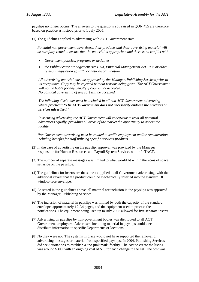payslips no longer occurs. The answers to the questions you raised in QON 455 are therefore based on practice as it stood prior to 1 July 2005.

(1) The guidelines applied to advertising with ACT Government state:

*Potential non government advertisers, their products and their advertising material will be carefully vetted to ensure that the material is appropriate and there is no conflict with:* 

- *Government policies, programs or activities;*
- *the Public Sector Management Act 1994, Financial Management Act 1996 or other relevant legislation eg EEO or anti- discrimination.*

*All advertising material must be approved by the Manager, Publishing Services prior to its acceptance. Copy may be rejected without reasons being given. The ACT Government will not be liable for any penalty if copy is not accepted. No political advertising of any sort will be accepted.* 

*The following disclaimer must be included in all non ACT Government advertising where practical: "The ACT Government does not necessarily endorse the products or services advertised."* 

*In securing advertising the ACT Government will endeavour to treat all potential advertisers equally, providing all areas of the market the opportunity to access the facility.* 

*Non Government advertising must be related to staff's employment and/or remuneration, including benefits for staff utilising specific services/products.* 

- (2) In the case of advertising on the payslip, approval was provided by the Manager responsible for Human Resources and Payroll System Services within InTACT.
- (3) The number of separate messages was limited to what would fit within the 7cms of space set aside on the payslips.
- (4) The guidelines for inserts are the same as applied to all Government advertising, with the additional caveat that the product could be mechanically inserted into the standard DL window-face envelope.
- (5) As stated in the guidelines above, all material for inclusion in the payslips was approved by the Manager, Publishing Services.
- (6) The inclusion of material in payslips was limited by both the capacity of the standard envelope, approximately 12 A4 pages, and the equipment used to process the notifications. The equipment being used up to July 2005 allowed for five separate inserts.
- (7) Advertising on payslips by non-government bodies was distributed to all ACT Government employees. Advertisers including material in payslips could elect to distribute information to specific Departments or locations.
- (8) No they were not. The systems in place would not have supported the removal of advertising messages or material from specified payslips. In 2004, Publishing Services did seek quotations to establish a "no junk mail" facility. The cost to create the listing was around \$300, with an ongoing cost of \$18 for each change to the list. The cost was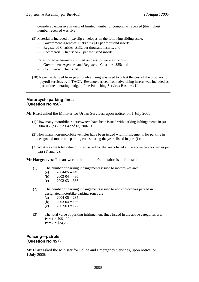considered excessive in view of limited number of complaints received (the highest number received was five).

- (9) Material is included in payslip envelopes on the following sliding scale:
	- − Government Agencies: \$198 plus \$11 per thousand inserts;
	- − Registered Charities: \$132 per thousand inserts; and
	- − Commercial Clients: \$176 per thousand inserts.

Rates for advertisements printed on payslips were as follows:

- − Government Agencies and Registered Charities: \$55; and
- − Commercial Clients: \$165.
- (10) Revenue derived from payslip advertising was used to offset the cost of the provision of payroll services by InTACT. Revenue derived from advertising inserts was included as part of the operating budget of the Publishing Services Business Unit.

## **Motorcycle parking fines (Question No 456)**

**Mr Pratt** asked the Minister for Urban Services, upon notice, on 1 July 2005:

- (1) How many motorbike riders/owners have been issued with parking infringements in (a) 2004-05, (b) 2003-04 and (3) 2002-03;
- (2) How many non-motorbike vehicles have been issued with infringements for parking in designated motorbike parking zones during the years listed in part (1);
- (3) What was the total value of fines issued for the years listed at the above categorised as per part (1) and (2).

**Mr Hargreaves**: The answer to the member's question is as follows:

- (1) The number of parking infringements issued to motorbikes are:
	- (a)  $2004-05 = 449$
	- (b)  $2003-04 = 490$
	- (c)  $2002-03 = 333$
- (2) The number of parking infringements issued to non-motorbikes parked in designated motorbike parking zones are:
	- (a)  $2004-05 = 235$
	- (b)  $2003-04 = 156$
	- (c)  $2002-03 = 127$
- (3) The total value of parking infringement fines issued in the above categories are: Part  $1 = $95,120$ Part  $2 = $34,258$

## **Policing—patrols (Question No 457)**

**Mr Pratt** asked the Minister for Police and Emergency Services, upon notice, on 1 July 2005: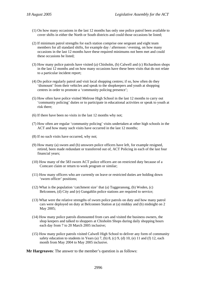- (1) On how many occasions in the last 12 months has only one police patrol been available to cover shifts in either the North or South districts and could those occasions be listed;
- (2) If minimum patrol strengths for each station comprise one sergeant and eight team members for all standard shifts, for example day / afternoon / evening, on how many occasions in the last 12 months have these required minimums not been met and could these occasions be listed;
- (3) How many police patrols have visited (a) Chisholm, (b) Calwell and (c) Richardson shops in the last 12 months and on how many occasions have these been visits that do not relate to a particular incident report;
- (4) Do police regularly patrol and visit local shopping centres; if so, how often do they 'dismount' from their vehicles and speak to the shopkeepers and youth at shopping centres in order to promote a 'community policing presence';
- (5) How often have police visited Melrose High School in the last 12 months to carry out 'community policing' duties or to participate in educational activities or speak to youth at risk there;
- (6) If there have been no visits in the last 12 months why not;
- (7) How often are regular 'community policing' visits undertaken at other high schools in the ACT and how many such visits have occurred in the last 12 months;
- (8) If no such visits have occurred, why not;
- (9) How many (a) sworn and (b) unsworn police officers have left, for example resigned, retired, been made redundant or transferred out of, ACT Policing in each of the last four financial years;
- (10) How many of the 583 sworn ACT police officers are on restricted duty because of a Comcare claim or return to work program or similar;
- (11) How many officers who are currently on leave or restricted duties are holding down 'sworn officer' positions;
- (12) What is the population 'catchment size' that (a) Tuggeranong, (b) Woden, (c) Belconnen, (d) City and (e) Gungahlin police stations are required to service;
- (13) What were the relative strengths of sworn police patrols on duty and how many patrol cars were deployed on duty at Belconnen Station at (a) midday and (b) midnight on 2 May 2005;
- (14) How many police patrols dismounted from cars and visited the business owners, the shop keepers and talked to shoppers at Chisholm Shops during daily shopping hours each day from 7 to 20 March 2005 inclusive;
- (15) How many police patrols visited Calwell High School to deliver any form of community safety education to students in Years (a)  $7$ , (b)  $8$ , (c)  $9$ , (d)  $10$ , (e)  $11$  and (f)  $12$ , each month from May 2004 to May 2005 inclusive.

**Mr Hargreaves**: The answer to the member's question is as follows: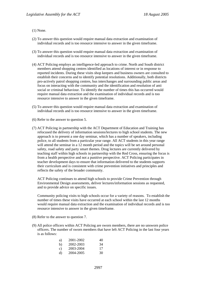#### (1) None.

- (2) To answer this question would require manual data extraction and examination of individual records and is too resource intensive to answer in the given timeframe.
- (3) To answer this question would require manual data extraction and examination of individual records and is too resource intensive to answer in the given timeframe.
- (4) ACT Policing employs an intelligence-led approach to crime. North and South district members attend shopping centres identified as locations of interest or in response to reported incidents. During these visits shop keepers and business owners are consulted to establish their concerns and to identify potential resolutions. Additionally, both districts pro-actively patrol shopping centres, bus interchanges and surrounding public areas and focus on interacting with the community and the identification and resolution of anti social or criminal behaviour. To identify the number of times this has occurred would require manual data extraction and the examination of individual records and is too resource intensive to answer in the given timeframe.
- (5) To answer this question would require manual data extraction and examination of individual records and is too resource intensive to answer in the given timeframe.
- (6) Refer to the answer to question 5.
- (7) ACT Policing in partnership with the ACT Department of Education and Training has refocused the delivery of information sessions/lectures to high school students. The new approach is to present a one day seminar, which has a number of speakers, including police, to all students from a particular year range. All ACT students in this year range will attend the seminar in a 12 month period and the topics will be set around personal safety, road safety and party smart themes. Drug lectures are currently delivered by teaching staff within high schools in partnership with the Red Cross, ensuring the focus is from a health perspective and not a punitive perspective. ACT Policing participates in teacher development days to ensure that information delivered to the students supports their curriculum and is consistent with crime prevention initiatives and principles and reflects the safety of the broader community.

ACT Policing continues to attend high schools to provide Crime Prevention through Environmental Design assessments, deliver lectures/information sessions as requested, and to provide advice on specific issues.

Community policing visits to high schools occur for a variety of reasons. To establish the number of times these visits have occurred at each school within the last 12 months would require manual data extraction and the examination of individual records and is too resource intensive to answer in the given timeframe.

- (8) Refer to the answer to question 7.
- (9) All police officers within ACT Policing are sworn members, there are no unsworn police officers. The number of sworn members that have left ACT Policing in the last four years is as follows:

| a)           | 2001-2002 | 40 |
|--------------|-----------|----|
| b)           | 2002-2003 | 34 |
| $\mathbf{c}$ | 2003-2004 | 17 |
| d)           | 2004-2005 | 30 |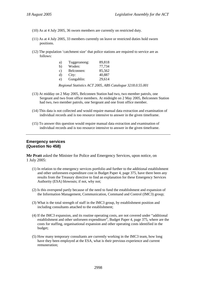- (10) As at 4 July 2005, 36 sworn members are currently on restricted duty.
- (11) As at 4 July 2005, 33 members currently on leave or restricted duties hold sworn positions.
- (12) The population 'catchment size' that police stations are required to service are as follows:

| a)            | Tuggeranong: | 89,818 |
|---------------|--------------|--------|
| b)            | Woden:       | 77,734 |
| $\mathbf{c})$ | Belconnen:   | 85,562 |
| d)            | City:        | 40,887 |
| e)            | Gungahlin:   | 29,614 |

*Regional Statistics ACT 2005, ABS Catalogue 3218.0.55.001* 

- (13) At midday on 2 May 2005, Belconnen Station had two, two member patrols, one Sergeant and two front office members. At midnight on 2 May 2005, Belconnen Station had two, two member patrols, one Sergeant and one front office member.
- (14) This data is not collected and would require manual data extraction and examination of individual records and is too resource intensive to answer in the given timeframe.
- (15) To answer this question would require manual data extraction and examination of individual records and is too resource intensive to answer in the given timeframe.

## **Emergency services (Question No 458)**

**Mr Pratt** asked the Minister for Police and Emergency Services, upon notice, on 1 July 2005:

- (1) In relation to the emergency services portfolio and further to the additional establishment and other unforeseen expenditure cost in Budget Paper 4, page 375, have there been any results from the Treasury directive to find an explanation for these Emergency Services Authority (ESA) blowouts; if not, why not;
- (2) Is this overspend partly because of the need to fund the establishment and expansion of the Information Management, Communication, Command and Control (IMC3) group;
- (3) What is the total strength of staff in the IMC3 group, by establishment position and including consultants attached to the establishment;
- (4) If the IMC3 expansion, and its routine operating costs, are not covered under "additional establishment and other unforseen expenditure", Budget Paper 4, page 375, where are the costs for staffing, organisational expansion and other operating costs identified in the budget;
- (5) How many temporary consultants are currently working in the IMC3 team, how long have they been employed at the ESA, what is their previous experience and current remuneration;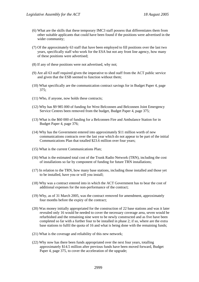- (6) What are the skills that these temporary IMC3 staff possess that differentiates them from other suitable applicants that could have been found if the positions were advertised in the wider community;
- (7) Of the approximately 63 staff that have been employed to fill positions over the last two years, specifically staff who work for the ESA but not any front line agency, how many of these positions were advertised;
- (8) If any of these positions were not advertised, why not;
- (9) Are all 63 staff required given the imperative to shed staff from the ACT public service and given that the ESB seemed to function without them;
- (10) What specifically are the communication contract savings for in Budget Paper 4, page 375;
- (11) Who, if anyone, now holds these contracts;
- (12) Why has \$9 985 000 of funding for West Belconnen and Belconnen Joint Emergency Service Centres been removed from the budget, Budget Paper 4, page 375;
- (13) What is the \$60 000 of funding for a Belconnen Fire and Ambulance Station for in Budget Paper 4, page 376;
- (14) Why has the Government entered into approximately \$11 million worth of new communications contracts over the last year which do not appear to be part of the initial Communications Plan that totalled \$23.6 million over four years;
- (15) What is the current Communications Plan;
- (16) What is the estimated total cost of the Trunk Radio Network (TRN), including the cost of installations so far by component of funding for future TRN installations;
- (17) In relation to the TRN, how many base stations, including those installed and those yet to be installed, have you or will you install;
- (18) Why was a contract entered into in which the ACT Government has to bear the cost of additional expenses for the non-performance of the contract;
- (19) Why, as of 31 March 2005, was the contract removed for amendment, approximately four months before the expiry of the contract;
- (20) Was money initially appropriated for the construction of 22 base stations and was it later revealed only 16 would be needed to cover the necessary coverage area, seven would be refurbished and the remaining nine were to be newly constructed and as five have been completed so far with a further four to be installed in phase 2; if so, where are the extra base stations to fulfil the quota of 16 and what is being done with the remaining funds;
- (21) What is the coverage and reliability of this new network;
- (22) Why now has there been funds appropriated over the next four years, totalling approximately \$14.5 million after previous funds have been moved forward, Budget Paper 4, page 375, to cover the acceleration of the upgrade;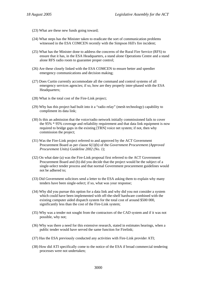- (23) What are these new funds going toward;
- (24) What steps has the Minister taken to eradicate the sort of communication problems witnessed in the ESA COMCEN recently with the Simpson Hill's fire incident;
- (25) What has the Minister done to address the concerns of the Rural Fire Service (RFS) to ensure that it has, in the ESA Headquarters, a stand alone Operations Centre and a stand alone RFS radio room to guarantee proper control;
- (26) Are these closely linked with the ESA COMCEN to ensure better and speedier emergency communications and decision making;
- (27) Does Curtin currently accommodate all the command and control systems of all emergency services agencies; if so, how are they properly inter-phased with the ESA Headquarters;
- (28) What is the total cost of the Fire-Link project;
- (29) Why has this project had built into it a "radio relay" (mesh technology) capability to compliment its data link;
- (30) Is this an admission that the voice/radio network initially commissioned fails to cover the 95% \* 95% coverage and reliability requirement and that data link equipment is now required to bridge gaps in the existing [TRN] voice net system; if not, then why commission the project;
- (31) Was the Fire-Link project referred to and approved by the ACT Government Procurement Board as per clause 6(1)(b) of the *Government Procurement (Approved Procurement Units) Guideline 2002 (No. 1)*;
- (32) On what date (a) was the Fire-Link proposal first referred to the ACT Government Procurement Board and (b) did you decide that the project would be the subject of a single-select tender process and that normal Government procurement guidelines would not be adhered to;
- (33) Did Government solicitors send a letter to the ESA asking them to explain why many tenders have been single-select; if so, what was your response;
- (34) Why did you pursue this option for a data link and why did you not consider a system which could have been implemented with off-the-shelf hardware combined with the existing computer aided dispatch system for the total cost of around \$500 000, significantly less than the cost of the Fire-Link system;
- (35) Why was a tender not sought from the contractors of the CAD system and if it was not possible, why not;
- (36) Why was there a need for this extensive research, stated in estimates hearings, when a public tender would have served the same function for Firelink;
- (37) Has the ESA previously conducted any activities with Fire-Link provider ATI;
- (38) How did ATI specifically come to the notice of the ESA if broad commercial tendering processes were not undertaken;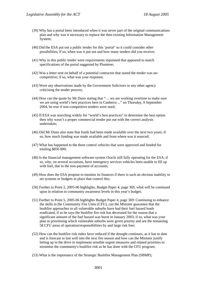- (39) Why has a portal been introduced when it was never part of the original communications plan and why was it necessary to replace the then existing Information Management System;
- (40) Did the ESA put out a public tender for this 'portal' so it could consider other possibilities; if so, when was it put out and how many tenders did you receive;
- (41) Why in this public tender were requirements stipulated that appeared to match specifications of the portal suggested by Plumtree;
- (42) Was a letter sent on behalf of a potential contractor that stated the tender was uncompetitive; if so, what was your response;
- (43) Were any observations made by the Government Solicitors or any other agency criticising the tender process;
- (44) How can the quote by Mr Dunn stating that "… we are working overtime to make sure we are using world's best practices here in Canberra ..." on Thursday, 9 September 2004, be true if non-competitive tenders were used;
- (45) If ESA was searching widely for "world's best practices" to determine the best option then why wasn't a proper commercial tender put out with the correct analysis undertaken;
- (46) Did Mr Dunn also state that funds had been made available over the next two years; if so, how much funding was made available and from where was it sourced;
- (47) What has happened to the three control vehicles that were approved and funded for totaling \$856 000;
- (48) Is the financial management software system Oracle still fully operating for the ESA; if so, why, on several occasions, have emergency services vehicles been unable to fill up with fuel, due to the non-payment of accounts;
- (49) How does the ESA propose to monitor its finances if there is such an obvious inability to set systems or budgets in place that control this;
- (50) Further to Point 2, 2005-06 highlights, Budget Paper 4, page 369, what will be continued upon in relation to community awareness levels in this year's budget;
- (51) Further to Point 5, 2005-06 highlights Budget Paper 4, page 369: Continuing to enhance the skills in the Community Fire Units (CFU), can the Minister guarantee that the bushfire approaches to all vulnerable suburbs have had their fuel hazard loads eradicated, if as he says the bushfire fire risk has decreased for the reason that a significant amount of the fuel hazard was burnt in January 2003; if so, what was your plan in prioritising which vulnerable suburbs were given priority and are the remaining 58 CFU areas of operation/responsibilities by and large risk free;
- (52) How can the bushfire risk index have reduced if the drought continues, as it has to date and is forecast to last well into the next fire season and how can the Minister justify letting up in the drive to implement sensible urgent measures and related priorities to minimise the community's bushfire risk as he has done with the CFU program;
- (53) What is the importance of the Strategic Bushfire Management Plan (SBMP);